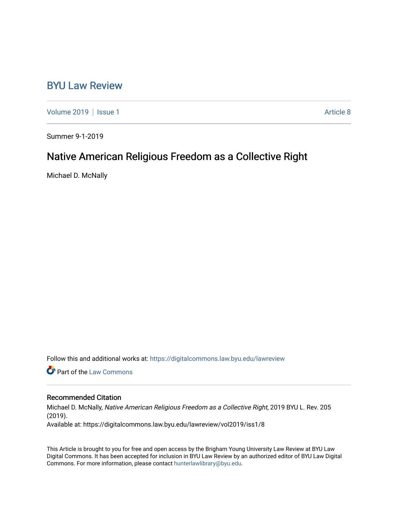## [BYU Law Review](https://digitalcommons.law.byu.edu/lawreview)

[Volume 2019](https://digitalcommons.law.byu.edu/lawreview/vol2019) | [Issue 1](https://digitalcommons.law.byu.edu/lawreview/vol2019/iss1) Article 8

Summer 9-1-2019

# Native American Religious Freedom as a Collective Right

Michael D. McNally

Follow this and additional works at: [https://digitalcommons.law.byu.edu/lawreview](https://digitalcommons.law.byu.edu/lawreview?utm_source=digitalcommons.law.byu.edu%2Flawreview%2Fvol2019%2Fiss1%2F8&utm_medium=PDF&utm_campaign=PDFCoverPages)

**C** Part of the [Law Commons](http://network.bepress.com/hgg/discipline/578?utm_source=digitalcommons.law.byu.edu%2Flawreview%2Fvol2019%2Fiss1%2F8&utm_medium=PDF&utm_campaign=PDFCoverPages)

#### Recommended Citation

Michael D. McNally, Native American Religious Freedom as a Collective Right, 2019 BYU L. Rev. 205 (2019). Available at: https://digitalcommons.law.byu.edu/lawreview/vol2019/iss1/8

This Article is brought to you for free and open access by the Brigham Young University Law Review at BYU Law Digital Commons. It has been accepted for inclusion in BYU Law Review by an authorized editor of BYU Law Digital Commons. For more information, please contact [hunterlawlibrary@byu.edu](mailto:hunterlawlibrary@byu.edu).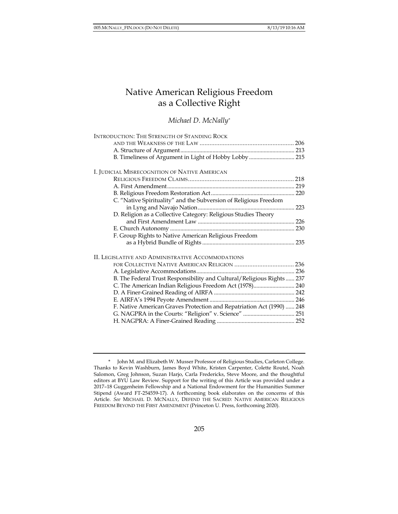## Native American Religious Freedom as a Collective Right

#### *Michael D. McNally\**

| <b>INTRODUCTION: THE STRENGTH OF STANDING ROCK</b>                     |     |
|------------------------------------------------------------------------|-----|
|                                                                        |     |
|                                                                        |     |
| B. Timeliness of Argument in Light of Hobby Lobby  215                 |     |
| I. JUDICIAL MISRECOGNITION OF NATIVE AMERICAN                          |     |
|                                                                        |     |
|                                                                        |     |
|                                                                        |     |
| C. "Native Spirituality" and the Subversion of Religious Freedom       |     |
|                                                                        |     |
| D. Religion as a Collective Category: Religious Studies Theory         |     |
|                                                                        | 226 |
|                                                                        |     |
| F. Group Rights to Native American Religious Freedom                   |     |
|                                                                        |     |
|                                                                        |     |
| II. LEGISLATIVE AND ADMINISTRATIVE ACCOMMODATIONS                      |     |
|                                                                        |     |
|                                                                        |     |
| B. The Federal Trust Responsibility and Cultural/Religious Rights  237 |     |
| C. The American Indian Religious Freedom Act (1978) 240                |     |
|                                                                        |     |
|                                                                        |     |
| F. Native American Graves Protection and Repatriation Act (1990)  248  |     |
|                                                                        |     |
|                                                                        |     |
|                                                                        |     |

<sup>\*</sup> John M. and Elizabeth W. Musser Professor of Religious Studies, Carleton College. Thanks to Kevin Washburn, James Boyd White, Kristen Carpenter, Colette Routel, Noah Salomon, Greg Johnson, Suzan Harjo, Carla Fredericks, Steve Moore, and the thoughtful editors at BYU Law Review. Support for the writing of this Article was provided under a 2017–18 Guggenheim Fellowship and a National Endowment for the Humanities Summer Stipend (Award FT-254559-17). A forthcoming book elaborates on the concerns of this Article. *See* MICHAEL D. MCNALLY, DEFEND THE SACRED: NATIVE AMERICAN RELIGIOUS FREEDOM BEYOND THE FIRST AMENDMENT (Princeton U. Press, forthcoming 2020).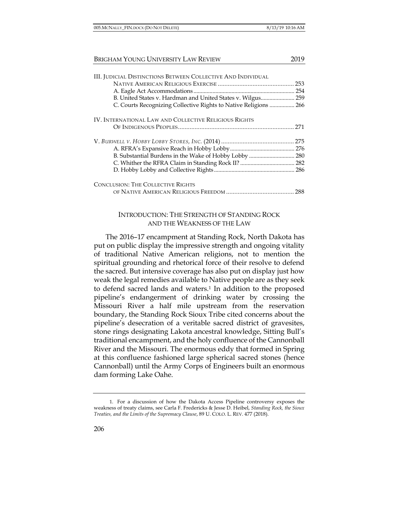| <b>III. JUDICIAL DISTINCTIONS BETWEEN COLLECTIVE AND INDIVIDUAL</b> |     |
|---------------------------------------------------------------------|-----|
|                                                                     | 253 |
|                                                                     |     |
| B. United States v. Hardman and United States v. Wilgus 259         |     |
| C. Courts Recognizing Collective Rights to Native Religions  266    |     |
| IV. INTERNATIONAL LAW AND COLLECTIVE RELIGIOUS RIGHTS               |     |
|                                                                     | 271 |
|                                                                     |     |
|                                                                     |     |
|                                                                     |     |
|                                                                     |     |
|                                                                     |     |
| <b>CONCLUSION: THE COLLECTIVE RIGHTS</b>                            |     |
|                                                                     | 288 |

## INTRODUCTION: THE STRENGTH OF STANDING ROCK AND THE WEAKNESS OF THE LAW

The 2016–17 encampment at Standing Rock, North Dakota has put on public display the impressive strength and ongoing vitality of traditional Native American religions, not to mention the spiritual grounding and rhetorical force of their resolve to defend the sacred. But intensive coverage has also put on display just how weak the legal remedies available to Native people are as they seek to defend sacred lands and waters.<sup>1</sup> In addition to the proposed pipeline's endangerment of drinking water by crossing the Missouri River a half mile upstream from the reservation boundary, the Standing Rock Sioux Tribe cited concerns about the pipeline's desecration of a veritable sacred district of gravesites, stone rings designating Lakota ancestral knowledge, Sitting Bull's traditional encampment, and the holy confluence of the Cannonball River and the Missouri. The enormous eddy that formed in Spring at this confluence fashioned large spherical sacred stones (hence Cannonball) until the Army Corps of Engineers built an enormous dam forming Lake Oahe.

<sup>1.</sup> For a discussion of how the Dakota Access Pipeline controversy exposes the weakness of treaty claims, see Carla F. Fredericks & Jesse D. Heibel, *Standing Rock, the Sioux Treaties, and the Limits of the Supremacy Clause*, 89 U. COLO. L. REV. 477 (2018).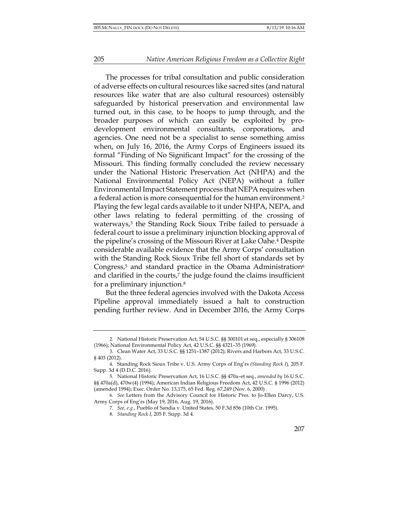The processes for tribal consultation and public consideration of adverse effects on cultural resources like sacred sites (and natural resources like water that are also cultural resources) ostensibly safeguarded by historical preservation and environmental law turned out, in this case, to be hoops to jump through, and the broader purposes of which can easily be exploited by prodevelopment environmental consultants, corporations, and agencies. One need not be a specialist to sense something amiss when, on July 16, 2016, the Army Corps of Engineers issued its formal "Finding of No Significant Impact" for the crossing of the Missouri. This finding formally concluded the review necessary under the National Historic Preservation Act (NHPA) and the National Environmental Policy Act (NEPA) without a fuller Environmental Impact Statement process that NEPA requires when a federal action is more consequential for the human environment.2 Playing the few legal cards available to it under NHPA, NEPA, and other laws relating to federal permitting of the crossing of waterways,<sup>3</sup> the Standing Rock Sioux Tribe failed to persuade a federal court to issue a preliminary injunction blocking approval of the pipeline's crossing of the Missouri River at Lake Oahe.4 Despite considerable available evidence that the Army Corps' consultation with the Standing Rock Sioux Tribe fell short of standards set by Congress,<sup>5</sup> and standard practice in the Obama Administration<sup>6</sup> and clarified in the courts,<sup>7</sup> the judge found the claims insufficient for a preliminary injunction.8

But the three federal agencies involved with the Dakota Access Pipeline approval immediately issued a halt to construction pending further review. And in December 2016, the Army Corps

<sup>2.</sup> National Historic Preservation Act, 54 U.S.C. §§ 300101 et seq., especially § 306108 (1966); National Environmental Policy Act, 42 U.S.C. §§ 4321–35 (1969).

<sup>3.</sup> Clean Water Act, 33 U.S.C. §§ 1251–1387 (2012); Rivers and Harbors Act, 33 U.S.C. § 403 (2012).

<sup>4.</sup> Standing Rock Sioux Tribe v. U.S. Army Corps of Eng'rs *(Standing Rock I*)*,* 205 F. Supp. 3d 4 (D.D.C. 2016).

<sup>5.</sup> National Historic Preservation Act, 16 U.S.C. §§ 470a–et seq., *amended by* 16 U.S.C. §§ 470a(d), 470w(4) (1994); American Indian Religious Freedom Act, 42 U.S.C. § 1996 (2012) (amended 1994); Exec. Order No. 13,175, 65 Fed. Reg. 67,249 (Nov. 6, 2000) .

<sup>6.</sup> *See* Letters from the Advisory Council for Historic Pres. to Jo-Ellen Darcy, U.S. Army Corps of Eng'rs (May 19, 2016, Aug. 19, 2016).

<sup>7.</sup> *See, e.g.*, Pueblo of Sandia v. United States*,* 50 F.3d 856 (10th Cir. 1995).

<sup>8.</sup> *Standing Rock I*, 205 F. Supp. 3d 4.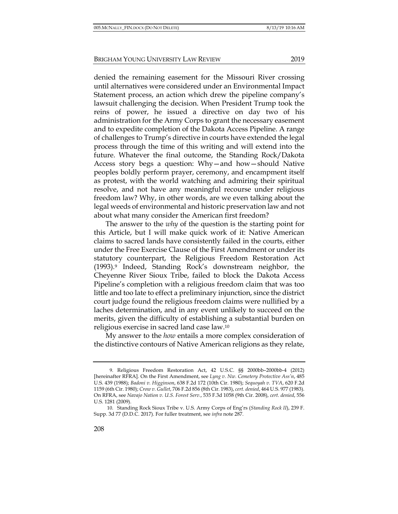denied the remaining easement for the Missouri River crossing until alternatives were considered under an Environmental Impact Statement process, an action which drew the pipeline company's lawsuit challenging the decision. When President Trump took the reins of power, he issued a directive on day two of his administration for the Army Corps to grant the necessary easement and to expedite completion of the Dakota Access Pipeline. A range of challenges to Trump's directive in courts have extended the legal process through the time of this writing and will extend into the future. Whatever the final outcome, the Standing Rock/Dakota Access story begs a question: Why—and how—should Native peoples boldly perform prayer, ceremony, and encampment itself as protest, with the world watching and admiring their spiritual resolve, and not have any meaningful recourse under religious freedom law? Why, in other words, are we even talking about the legal weeds of environmental and historic preservation law and not about what many consider the American first freedom?

The answer to the *why* of the question is the starting point for this Article, but I will make quick work of it: Native American claims to sacred lands have consistently failed in the courts, either under the Free Exercise Clause of the First Amendment or under its statutory counterpart, the Religious Freedom Restoration Act (1993).9 Indeed, Standing Rock's downstream neighbor, the Cheyenne River Sioux Tribe, failed to block the Dakota Access Pipeline's completion with a religious freedom claim that was too little and too late to effect a preliminary injunction, since the district court judge found the religious freedom claims were nullified by a laches determination, and in any event unlikely to succeed on the merits, given the difficulty of establishing a substantial burden on religious exercise in sacred land case law.10

My answer to the *how* entails a more complex consideration of the distinctive contours of Native American religions as they relate,

<sup>9.</sup> Religious Freedom Restoration Act, 42 U.S.C. §§ 2000bb–2000bb-4 (2012) [hereinafter RFRA]. On the First Amendment, see *Lyng v. Nw. Cemetery Protective Ass'n*, 485 U.S. 439 (1988); *Badoni v. Higginson*, 638 F.2d 172 (10th Cir. 1980); *Sequoyah v. TVA*, 620 F.2d 1159 (6th Cir. 1980); *Crow v. Gullet*, 706 F.2d 856 (8th Cir. 1983), *cert. denied*, 464 U.S. 977 (1983). On RFRA, see *Navajo Nation v. U.S. Forest Serv.*, 535 F.3d 1058 (9th Cir. 2008), *cert. denied*, 556 U.S. 1281 (2009).

<sup>10.</sup> Standing Rock Sioux Tribe v. U.S. Army Corps of Eng'rs (*Standing Rock II*), 239 F. Supp. 3d 77 (D.D.C. 2017). For fuller treatment, see *infra* note 287.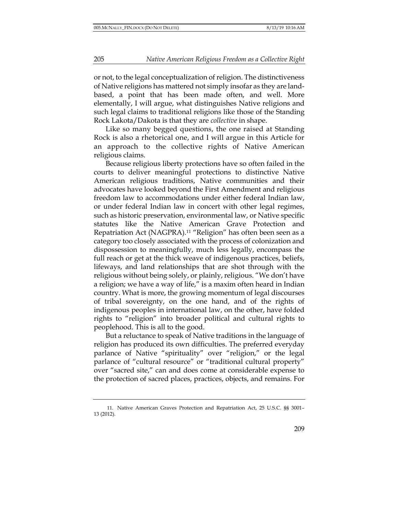or not, to the legal conceptualization of religion. The distinctiveness of Native religions has mattered not simply insofar as they are landbased, a point that has been made often, and well. More elementally, I will argue, what distinguishes Native religions and such legal claims to traditional religions like those of the Standing Rock Lakota/Dakota is that they are *collective* in shape.

Like so many begged questions, the one raised at Standing Rock is also a rhetorical one, and I will argue in this Article for an approach to the collective rights of Native American religious claims.

Because religious liberty protections have so often failed in the courts to deliver meaningful protections to distinctive Native American religious traditions, Native communities and their advocates have looked beyond the First Amendment and religious freedom law to accommodations under either federal Indian law, or under federal Indian law in concert with other legal regimes, such as historic preservation, environmental law, or Native specific statutes like the Native American Grave Protection and Repatriation Act (NAGPRA).11 "Religion" has often been seen as a category too closely associated with the process of colonization and dispossession to meaningfully, much less legally, encompass the full reach or get at the thick weave of indigenous practices, beliefs, lifeways, and land relationships that are shot through with the religious without being solely, or plainly, religious. "We don't have a religion; we have a way of life," is a maxim often heard in Indian country. What is more, the growing momentum of legal discourses of tribal sovereignty, on the one hand, and of the rights of indigenous peoples in international law, on the other, have folded rights to "religion" into broader political and cultural rights to peoplehood. This is all to the good.

But a reluctance to speak of Native traditions in the language of religion has produced its own difficulties. The preferred everyday parlance of Native "spirituality" over "religion," or the legal parlance of "cultural resource" or "traditional cultural property" over "sacred site," can and does come at considerable expense to the protection of sacred places, practices, objects, and remains. For

<sup>11.</sup> Native American Graves Protection and Repatriation Act, 25 U.S.C. §§ 3001– 13 (2012).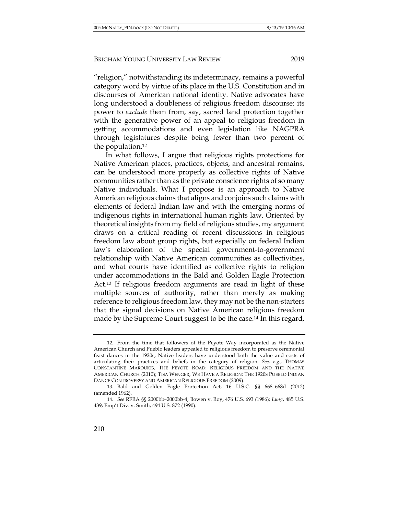"religion," notwithstanding its indeterminacy, remains a powerful category word by virtue of its place in the U.S. Constitution and in discourses of American national identity. Native advocates have long understood a doubleness of religious freedom discourse: its power to *exclude* them from, say, sacred land protection together with the generative power of an appeal to religious freedom in getting accommodations and even legislation like NAGPRA through legislatures despite being fewer than two percent of the population.12

In what follows, I argue that religious rights protections for Native American places, practices, objects, and ancestral remains, can be understood more properly as collective rights of Native communities rather than as the private conscience rights of so many Native individuals. What I propose is an approach to Native American religious claims that aligns and conjoins such claims with elements of federal Indian law and with the emerging norms of indigenous rights in international human rights law. Oriented by theoretical insights from my field of religious studies, my argument draws on a critical reading of recent discussions in religious freedom law about group rights, but especially on federal Indian law's elaboration of the special government-to-government relationship with Native American communities as collectivities, and what courts have identified as collective rights to religion under accommodations in the Bald and Golden Eagle Protection Act.13 If religious freedom arguments are read in light of these multiple sources of authority, rather than merely as making reference to religious freedom law, they may not be the non-starters that the signal decisions on Native American religious freedom made by the Supreme Court suggest to be the case.14 In this regard,

<sup>12.</sup> From the time that followers of the Peyote Way incorporated as the Native American Church and Pueblo leaders appealed to religious freedom to preserve ceremonial feast dances in the 1920s, Native leaders have understood both the value and costs of articulating their practices and beliefs in the category of religion. *See, e.g.*, THOMAS CONSTANTINE MAROUKIS, THE PEYOTE ROAD: RELIGIOUS FREEDOM AND THE NATIVE AMERICAN CHURCH (2010); TISA WENGER, WE HAVE A RELIGION: THE 1920S PUEBLO INDIAN DANCE CONTROVERSY AND AMERICAN RELIGIOUS FREEDOM (2009).

<sup>13.</sup> Bald and Golden Eagle Protection Act, 16 U.S.C. §§ 668–668d (2012) (amended 1962).

<sup>14.</sup> *See* RFRA §§ 2000bb–2000bb-4; Bowen v. Roy, 476 U.S. 693 (1986); *Lyng*, 485 U.S. 439; Emp't Div. v. Smith, 494 U.S. 872 (1990).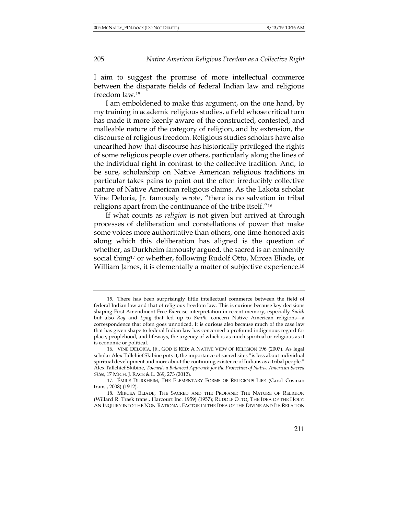I aim to suggest the promise of more intellectual commerce between the disparate fields of federal Indian law and religious freedom law.15

I am emboldened to make this argument, on the one hand, by my training in academic religious studies, a field whose critical turn has made it more keenly aware of the constructed, contested, and malleable nature of the category of religion, and by extension, the discourse of religious freedom. Religious studies scholars have also unearthed how that discourse has historically privileged the rights of some religious people over others, particularly along the lines of the individual right in contrast to the collective tradition. And, to be sure, scholarship on Native American religious traditions in particular takes pains to point out the often irreducibly collective nature of Native American religious claims. As the Lakota scholar Vine Deloria, Jr. famously wrote, "there is no salvation in tribal religions apart from the continuance of the tribe itself."16

If what counts as *religion* is not given but arrived at through processes of deliberation and constellations of power that make some voices more authoritative than others, one time-honored axis along which this deliberation has aligned is the question of whether, as Durkheim famously argued, the sacred is an eminently social thing<sup>17</sup> or whether, following Rudolf Otto, Mircea Eliade, or William James, it is elementally a matter of subjective experience.<sup>18</sup>

<sup>15.</sup> There has been surprisingly little intellectual commerce between the field of federal Indian law and that of religious freedom law. This is curious because key decisions shaping First Amendment Free Exercise interpretation in recent memory, especially *Smith*  but also *Roy* and *Lyng* that led up to *Smith,* concern Native American religions—a correspondence that often goes unnoticed. It is curious also because much of the case law that has given shape to federal Indian law has concerned a profound indigenous regard for place, peoplehood, and lifeways, the urgency of which is as much spiritual or religious as it is economic or political.

<sup>16.</sup> VINE DELORIA, JR., GOD IS RED: A NATIVE VIEW OF RELIGION 196 (2007). As legal scholar Alex Tallchief Skibine puts it, the importance of sacred sites "is less about individual spiritual development and more about the continuing existence of Indians as a tribal people." Alex Tallchief Skibine, *Towards a Balanced Approach for the Protection of Native American Sacred Sites*, 17 MICH. J. RACE & L. 269, 273 (2012).

<sup>17.</sup> ÉMILE DURKHEIM, THE ELEMENTARY FORMS OF RELIGIOUS LIFE (Carol Cosman trans., 2008) (1912).

<sup>18.</sup> MIRCEA ELIADE, THE SACRED AND THE PROFANE: THE NATURE OF RELIGION (Willard R. Trask trans., Harcourt Inc. 1959) (1957); RUDOLF OTTO, THE IDEA OF THE HOLY: AN INQUIRY INTO THE NON-RATIONAL FACTOR IN THE IDEA OF THE DIVINE AND ITS RELATION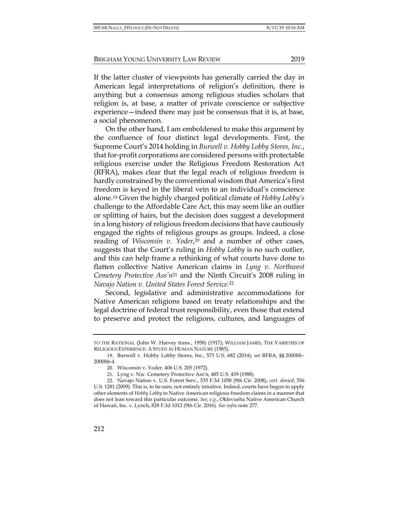If the latter cluster of viewpoints has generally carried the day in American legal interpretations of religion's definition, there is anything but a consensus among religious studies scholars that religion is, at base, a matter of private conscience or subjective experience—indeed there may just be consensus that it is, at base, a social phenomenon.

On the other hand, I am emboldened to make this argument by the confluence of four distinct legal developments. First, the Supreme Court's 2014 holding in *Burwell v. Hobby Lobby Stores, Inc.*, that for-profit corporations are considered persons with protectable religious exercise under the Religious Freedom Restoration Act (RFRA), makes clear that the legal reach of religious freedom is hardly constrained by the conventional wisdom that America's first freedom is keyed in the liberal vein to an individual's conscience alone.19 Given the highly charged political climate of *Hobby Lobby's*  challenge to the Affordable Care Act, this may seem like an outlier or splitting of hairs, but the decision does suggest a development in a long history of religious freedom decisions that have cautiously engaged the rights of religious groups as groups. Indeed, a close reading of *Wisconsin v. Yoder*,20 and a number of other cases, suggests that the Court's ruling in *Hobby Lobby* is no such outlier, and this can help frame a rethinking of what courts have done to flatten collective Native American claims in *Lyng v. Northwest Cemetery Protective Ass'n*<sup>21</sup> and the Ninth Circuit's 2008 ruling in *Navajo Nation v. United States Forest Service.*<sup>22</sup>

Second, legislative and administrative accommodations for Native American religions based on treaty relationships and the legal doctrine of federal trust responsibility, even those that extend to preserve and protect the religions, cultures, and languages of

TO THE RATIONAL (John W. Harvey trans., 1958) (1917); WILLIAM JAMES, THE VARIETIES OF RELIGIOUS EXPERIENCE: A STUDY IN HUMAN NATURE (1985).

<sup>19.</sup> Burwell v. Hobby Lobby Stores, Inc., 573 U.S. 682 (2014); *see* RFRA, §§ 2000bb– 2000bb-4.

<sup>20.</sup> Wisconsin v. Yoder*,* 406 U.S. 205 (1972).

<sup>21.</sup> Lyng v. Nw. Cemetery Protective Ass'n, 485 U.S. 439 (1988).

<sup>22.</sup> Navajo Nation v. U.S. Forest Serv., 535 F.3d 1058 (9th Cir. 2008), *cert. denied*, 556 U.S. 1281 (2009). This is, to be sure, not entirely intuitive. Indeed, courts have begun to apply other elements of *Hobby Lobby* to Native American religious freedom claims in a manner that does not lean toward this particular outcome. *See, e.g.*, Oklevueha Native American Church of Hawaii, Inc. v. Lynch, 828 F.3d 1012 (9th Cir. 2016). *See infra* note 277.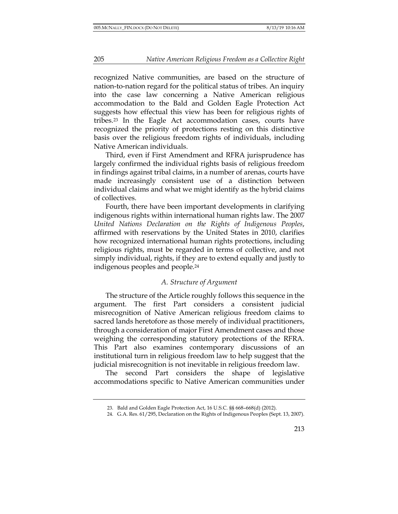recognized Native communities, are based on the structure of nation-to-nation regard for the political status of tribes. An inquiry into the case law concerning a Native American religious accommodation to the Bald and Golden Eagle Protection Act suggests how effectual this view has been for religious rights of tribes.23 In the Eagle Act accommodation cases, courts have recognized the priority of protections resting on this distinctive basis over the religious freedom rights of individuals, including Native American individuals.

Third, even if First Amendment and RFRA jurisprudence has largely confirmed the individual rights basis of religious freedom in findings against tribal claims, in a number of arenas, courts have made increasingly consistent use of a distinction between individual claims and what we might identify as the hybrid claims of collectives.

Fourth, there have been important developments in clarifying indigenous rights within international human rights law. The 2007 *United Nations Declaration on the Rights of Indigenous Peoples*, affirmed with reservations by the United States in 2010, clarifies how recognized international human rights protections, including religious rights, must be regarded in terms of collective, and not simply individual, rights, if they are to extend equally and justly to indigenous peoples and people.24

#### *A. Structure of Argument*

The structure of the Article roughly follows this sequence in the argument. The first Part considers a consistent judicial misrecognition of Native American religious freedom claims to sacred lands heretofore as those merely of individual practitioners, through a consideration of major First Amendment cases and those weighing the corresponding statutory protections of the RFRA. This Part also examines contemporary discussions of an institutional turn in religious freedom law to help suggest that the judicial misrecognition is not inevitable in religious freedom law.

The second Part considers the shape of legislative accommodations specific to Native American communities under

<sup>23.</sup> Bald and Golden Eagle Protection Act, 16 U.S.C. §§ 668–668(d) (2012).

<sup>24.</sup> G.A. Res. 61/295, Declaration on the Rights of Indigenous Peoples (Sept. 13, 2007).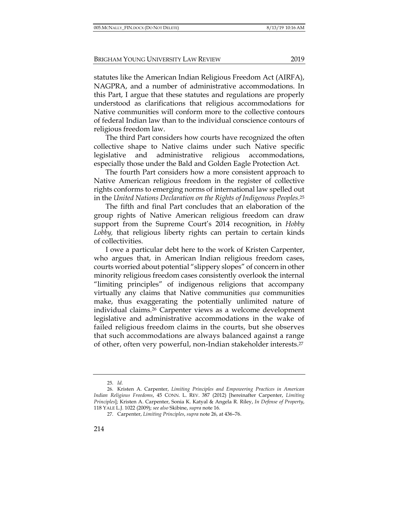statutes like the American Indian Religious Freedom Act (AIRFA), NAGPRA, and a number of administrative accommodations. In this Part, I argue that these statutes and regulations are properly understood as clarifications that religious accommodations for Native communities will conform more to the collective contours of federal Indian law than to the individual conscience contours of religious freedom law.

The third Part considers how courts have recognized the often collective shape to Native claims under such Native specific legislative and administrative religious accommodations, especially those under the Bald and Golden Eagle Protection Act.

The fourth Part considers how a more consistent approach to Native American religious freedom in the register of collective rights conforms to emerging norms of international law spelled out in the *United Nations Declaration on the Rights of Indigenous Peoples*.25

The fifth and final Part concludes that an elaboration of the group rights of Native American religious freedom can draw support from the Supreme Court's 2014 recognition, in *Hobby Lobby,* that religious liberty rights can pertain to certain kinds of collectivities.

I owe a particular debt here to the work of Kristen Carpenter, who argues that, in American Indian religious freedom cases, courts worried about potential "slippery slopes" of concern in other minority religious freedom cases consistently overlook the internal "limiting principles" of indigenous religions that accompany virtually any claims that Native communities *qua* communities make, thus exaggerating the potentially unlimited nature of individual claims.26 Carpenter views as a welcome development legislative and administrative accommodations in the wake of failed religious freedom claims in the courts, but she observes that such accommodations are always balanced against a range of other, often very powerful, non-Indian stakeholder interests.27

<sup>25.</sup> *Id.*

<sup>26.</sup> Kristen A. Carpenter, *Limiting Principles and Empowering Practices in American Indian Religious Freedoms*, 45 CONN. L. REV. 387 (2012) [hereinafter Carpenter, *Limiting Principles*]; Kristen A. Carpenter, Sonia K. Katyal & Angela R. Riley, *In Defense of Property*, 118 YALE L.J. 1022 (2009); *see also* Skibine, *supra* note 16.

<sup>27.</sup> Carpenter, *Limiting Principles*, *supra* note 26, at 436–76.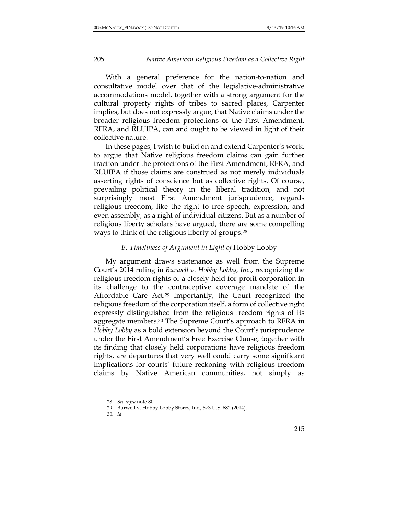With a general preference for the nation-to-nation and consultative model over that of the legislative-administrative accommodations model, together with a strong argument for the cultural property rights of tribes to sacred places, Carpenter implies, but does not expressly argue, that Native claims under the broader religious freedom protections of the First Amendment, RFRA, and RLUIPA, can and ought to be viewed in light of their collective nature.

In these pages, I wish to build on and extend Carpenter's work, to argue that Native religious freedom claims can gain further traction under the protections of the First Amendment, RFRA, and RLUIPA if those claims are construed as not merely individuals asserting rights of conscience but as collective rights. Of course, prevailing political theory in the liberal tradition, and not surprisingly most First Amendment jurisprudence, regards religious freedom, like the right to free speech, expression, and even assembly, as a right of individual citizens. But as a number of religious liberty scholars have argued, there are some compelling ways to think of the religious liberty of groups.28

#### *B. Timeliness of Argument in Light of* Hobby Lobby

My argument draws sustenance as well from the Supreme Court's 2014 ruling in *Burwell v. Hobby Lobby, Inc.*, recognizing the religious freedom rights of a closely held for-profit corporation in its challenge to the contraceptive coverage mandate of the Affordable Care Act.29 Importantly, the Court recognized the religious freedom of the corporation itself, a form of collective right expressly distinguished from the religious freedom rights of its aggregate members.30 The Supreme Court's approach to RFRA in *Hobby Lobby* as a bold extension beyond the Court's jurisprudence under the First Amendment's Free Exercise Clause, together with its finding that closely held corporations have religious freedom rights, are departures that very well could carry some significant implications for courts' future reckoning with religious freedom claims by Native American communities, not simply as

<sup>28.</sup> *See infra* note 80.

<sup>29.</sup> Burwell v. Hobby Lobby Stores, Inc.*,* 573 U.S. 682 (2014).

<sup>30.</sup> *Id.*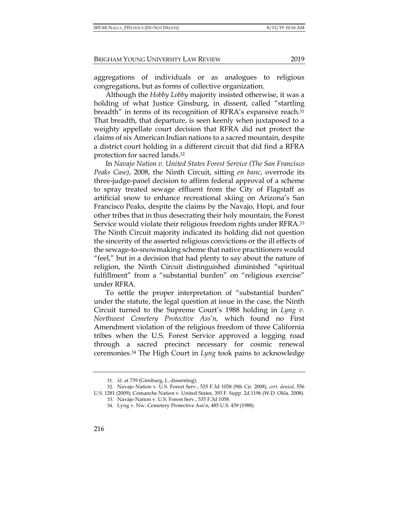aggregations of individuals or as analogues to religious congregations, but as forms of collective organization.

Although the *Hobby Lobby* majority insisted otherwise, it was a holding of what Justice Ginsburg, in dissent, called "startling breadth" in terms of its recognition of RFRA's expansive reach.31 That breadth, that departure, is seen keenly when juxtaposed to a weighty appellate court decision that RFRA did not protect the claims of six American Indian nations to a sacred mountain, despite a district court holding in a different circuit that did find a RFRA protection for sacred lands.32

In *Navajo Nation v. United States Forest Service (The San Francisco Peaks Case)*, 2008, the Ninth Circuit, sitting *en banc*, overrode its three-judge-panel decision to affirm federal approval of a scheme to spray treated sewage effluent from the City of Flagstaff as artificial snow to enhance recreational skiing on Arizona's San Francisco Peaks, despite the claims by the Navajo, Hopi, and four other tribes that in thus desecrating their holy mountain, the Forest Service would violate their religious freedom rights under RFRA.33 The Ninth Circuit majority indicated its holding did not question the sincerity of the asserted religious convictions or the ill effects of the sewage-to-snowmaking scheme that native practitioners would "feel," but in a decision that had plenty to say about the nature of religion, the Ninth Circuit distinguished diminished "spiritual fulfillment" from a "substantial burden" on "religious exercise" under RFRA.

To settle the proper interpretation of "substantial burden" under the statute, the legal question at issue in the case, the Ninth Circuit turned to the Supreme Court's 1988 holding in *Lyng v. Northwest Cemetery Protective Ass'n,* which found no First Amendment violation of the religious freedom of three California tribes when the U.S. Forest Service approved a logging road through a sacred precinct necessary for cosmic renewal ceremonies.34 The High Court in *Lyng* took pains to acknowledge

<sup>31.</sup> *Id.* at 739 (Ginsburg, J., dissenting).

<sup>32.</sup> Navajo Nation v. U.S. Forest Serv., 535 F.3d 1058 (9th Cir. 2008), *cert. denied*, 556

U.S. 1281 (2009); Comanche Nation v. United States*,* 393 F. Supp. 2d 1196 (W.D. Okla. 2008). 33. Navajo Nation v. U.S. Forest Serv., 535 F.3d 1058.

<sup>34.</sup> Lyng v. Nw. Cemetery Protective Ass'n, 485 U.S. 439 (1988).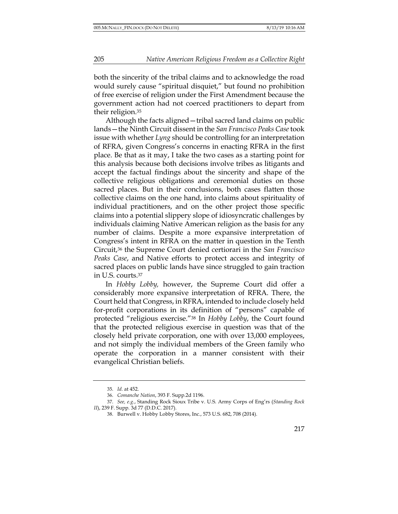both the sincerity of the tribal claims and to acknowledge the road would surely cause "spiritual disquiet," but found no prohibition of free exercise of religion under the First Amendment because the government action had not coerced practitioners to depart from their religion.35

Although the facts aligned—tribal sacred land claims on public lands—the Ninth Circuit dissent in the *San Francisco Peaks Case* took issue with whether *Lyng* should be controlling for an interpretation of RFRA, given Congress's concerns in enacting RFRA in the first place. Be that as it may, I take the two cases as a starting point for this analysis because both decisions involve tribes as litigants and accept the factual findings about the sincerity and shape of the collective religious obligations and ceremonial duties on those sacred places. But in their conclusions, both cases flatten those collective claims on the one hand, into claims about spirituality of individual practitioners, and on the other project those specific claims into a potential slippery slope of idiosyncratic challenges by individuals claiming Native American religion as the basis for any number of claims. Despite a more expansive interpretation of Congress's intent in RFRA on the matter in question in the Tenth Circuit,36 the Supreme Court denied certiorari in the *San Francisco Peaks Case*, and Native efforts to protect access and integrity of sacred places on public lands have since struggled to gain traction in U.S. courts.37

In *Hobby Lobby,* however, the Supreme Court did offer a considerably more expansive interpretation of RFRA. There, the Court held that Congress, in RFRA, intended to include closely held for-profit corporations in its definition of "persons" capable of protected "religious exercise."38 In *Hobby Lobby*, the Court found that the protected religious exercise in question was that of the closely held private corporation, one with over 13,000 employees, and not simply the individual members of the Green family who operate the corporation in a manner consistent with their evangelical Christian beliefs.

<sup>35.</sup> *Id.* at 452.

<sup>36.</sup> *Comanche Nation*, 393 F. Supp.2d 1196.

<sup>37.</sup> *See, e.g.*, Standing Rock Sioux Tribe v. U.S. Army Corps of Eng'rs (*Standing Rock II*), 239 F. Supp. 3d 77 (D.D.C. 2017).

<sup>38.</sup> Burwell v. Hobby Lobby Stores, Inc., 573 U.S. 682, 708 (2014).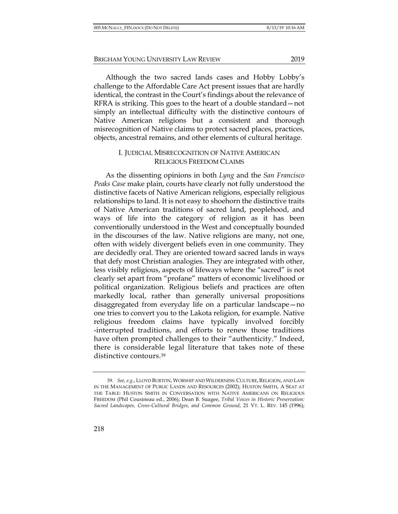Although the two sacred lands cases and Hobby Lobby's challenge to the Affordable Care Act present issues that are hardly identical, the contrast in the Court's findings about the relevance of RFRA is striking. This goes to the heart of a double standard—not simply an intellectual difficulty with the distinctive contours of Native American religions but a consistent and thorough misrecognition of Native claims to protect sacred places, practices, objects, ancestral remains, and other elements of cultural heritage.

#### I. JUDICIAL MISRECOGNITION OF NATIVE AMERICAN RELIGIOUS FREEDOM CLAIMS

As the dissenting opinions in both *Lyng* and the *San Francisco Peaks Case* make plain, courts have clearly not fully understood the distinctive facets of Native American religions, especially religious relationships to land. It is not easy to shoehorn the distinctive traits of Native American traditions of sacred land, peoplehood, and ways of life into the category of religion as it has been conventionally understood in the West and conceptually bounded in the discourses of the law. Native religions are many, not one, often with widely divergent beliefs even in one community. They are decidedly oral. They are oriented toward sacred lands in ways that defy most Christian analogies. They are integrated with other, less visibly religious, aspects of lifeways where the "sacred" is not clearly set apart from "profane" matters of economic livelihood or political organization. Religious beliefs and practices are often markedly local, rather than generally universal propositions disaggregated from everyday life on a particular landscape—no one tries to convert you to the Lakota religion, for example. Native religious freedom claims have typically involved forcibly -interrupted traditions, and efforts to renew those traditions have often prompted challenges to their "authenticity." Indeed, there is considerable legal literature that takes note of these distinctive contours.39

<sup>39.</sup> *See, e.g.*, LLOYD BURTON, WORSHIP AND WILDERNESS: CULTURE, RELIGION, AND LAW IN THE MANAGEMENT OF PUBLIC LANDS AND RESOURCES (2002); HUSTON SMITH, A SEAT AT THE TABLE: HUSTON SMITH IN CONVERSATION WITH NATIVE AMERICANS ON RELIGIOUS FREEDOM (Phil Cousineau ed., 2006); Dean B. Suagee, *Tribal Voices in Historic Preservation: Sacred Landscapes, Cross-Cultural Bridges, and Common Ground*, 21 VT. L. REV. 145 (1996);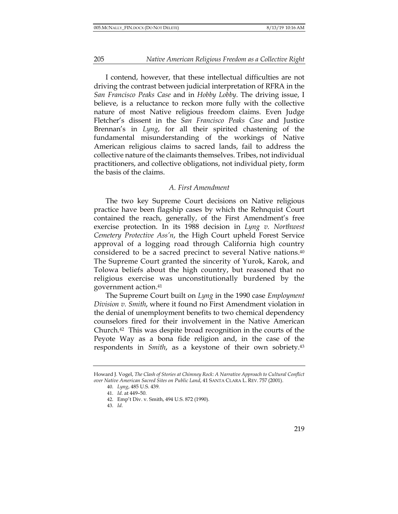I contend, however, that these intellectual difficulties are not driving the contrast between judicial interpretation of RFRA in the *San Francisco Peaks Case* and in *Hobby Lobby*. The driving issue, I believe, is a reluctance to reckon more fully with the collective nature of most Native religious freedom claims. Even Judge Fletcher's dissent in the *San Francisco Peaks Case* and Justice Brennan's in *Lyng*, for all their spirited chastening of the fundamental misunderstanding of the workings of Native American religious claims to sacred lands, fail to address the collective nature of the claimants themselves. Tribes, not individual practitioners, and collective obligations, not individual piety, form the basis of the claims.

#### *A. First Amendment*

The two key Supreme Court decisions on Native religious practice have been flagship cases by which the Rehnquist Court contained the reach, generally, of the First Amendment's free exercise protection. In its 1988 decision in *Lyng v. Northwest Cemetery Protective Ass'n*, the High Court upheld Forest Service approval of a logging road through California high country considered to be a sacred precinct to several Native nations.40 The Supreme Court granted the sincerity of Yurok, Karok, and Tolowa beliefs about the high country, but reasoned that no religious exercise was unconstitutionally burdened by the government action.41

The Supreme Court built on *Lyng* in the 1990 case *Employment Division v. Smith*, where it found no First Amendment violation in the denial of unemployment benefits to two chemical dependency counselors fired for their involvement in the Native American Church.42 This was despite broad recognition in the courts of the Peyote Way as a bona fide religion and, in the case of the respondents in *Smith*, as a keystone of their own sobriety.43

Howard J. Vogel, *The Clash of Stories at Chimney Rock: A Narrative Approach to Cultural Conflict over Native American Sacred Sites on Public Land*, 41 SANTA CLARA L. REV. 757 (2001).

<sup>40.</sup> *Lyng*, 485 U.S. 439.

<sup>41.</sup> *Id.* at 449–50.

<sup>42.</sup> Emp't Div. v. Smith, 494 U.S. 872 (1990).

<sup>43.</sup> *Id.*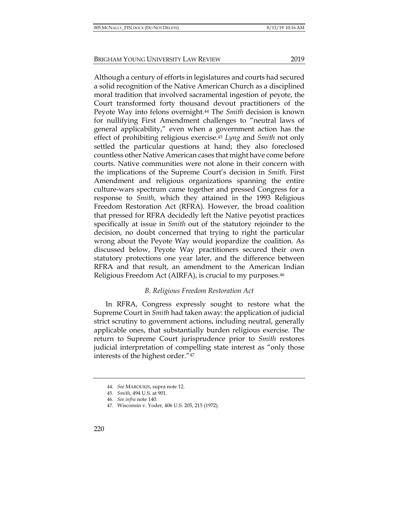Although a century of efforts in legislatures and courts had secured a solid recognition of the Native American Church as a disciplined moral tradition that involved sacramental ingestion of peyote, the Court transformed forty thousand devout practitioners of the Peyote Way into felons overnight.44 The *Smith* decision is known for nullifying First Amendment challenges to "neutral laws of general applicability," even when a government action has the effect of prohibiting religious exercise.45 *Lyng* and *Smith* not only settled the particular questions at hand; they also foreclosed countless other Native American cases that might have come before courts. Native communities were not alone in their concern with the implications of the Supreme Court's decision in *Smith.* First Amendment and religious organizations spanning the entire culture-wars spectrum came together and pressed Congress for a response to *Smith*, which they attained in the 1993 Religious Freedom Restoration Act (RFRA). However, the broad coalition that pressed for RFRA decidedly left the Native peyotist practices specifically at issue in *Smith* out of the statutory rejoinder to the decision, no doubt concerned that trying to right the particular wrong about the Peyote Way would jeopardize the coalition. As discussed below, Peyote Way practitioners secured their own statutory protections one year later, and the difference between RFRA and that result, an amendment to the American Indian Religious Freedom Act (AIRFA), is crucial to my purposes.46

## *B. Religious Freedom Restoration Act*

In RFRA, Congress expressly sought to restore what the Supreme Court in *Smith* had taken away: the application of judicial strict scrutiny to government actions, including neutral, generally applicable ones, that substantially burden religious exercise. The return to Supreme Court jurisprudence prior to *Smith* restores judicial interpretation of compelling state interest as "only those interests of the highest order."47

<sup>44.</sup> *See* MAROUKIS, supra note 12.

<sup>45.</sup> *Smith*, 494 U.S. at 901.

<sup>46.</sup> *See infra* note 140.

<sup>47.</sup> Wisconsin v. Yoder*,* 406 U.S. 205, 215 (1972).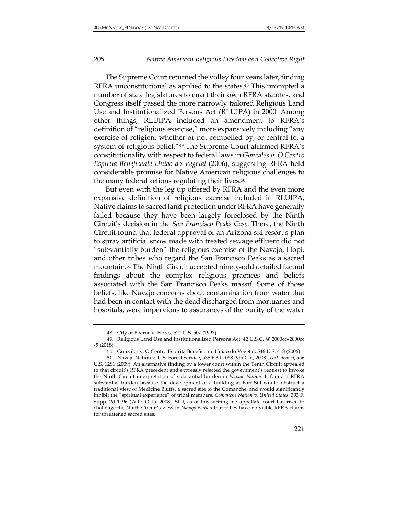The Supreme Court returned the volley four years later, finding RFRA unconstitutional as applied to the states.48 This prompted a number of state legislatures to enact their own RFRA statutes, and Congress itself passed the more narrowly tailored Religious Land Use and Institutionalized Persons Act (RLUIPA) in 2000*.* Among other things, RLUIPA included an amendment to RFRA's definition of "religious exercise," more expansively including "any exercise of religion, whether or not compelled by, or central to, a system of religious belief."49 The Supreme Court affirmed RFRA's constitutionality with respect to federal laws in *Gonzales v. O Centro Espirita Beneficente Uniao do Vegetal* (2006), suggesting RFRA held considerable promise for Native American religious challenges to the many federal actions regulating their lives.<sup>50</sup>

But even with the leg up offered by RFRA and the even more expansive definition of religious exercise included in RLUIPA, Native claims to sacred land protection under RFRA have generally failed because they have been largely foreclosed by the Ninth Circuit's decision in the *San Francisco Peaks Case*. There, the Ninth Circuit found that federal approval of an Arizona ski resort's plan to spray artificial snow made with treated sewage effluent did not "substantially burden" the religious exercise of the Navajo, Hopi, and other tribes who regard the San Francisco Peaks as a sacred mountain.51 The Ninth Circuit accepted ninety-odd detailed factual findings about the complex religious practices and beliefs associated with the San Francisco Peaks massif. Some of those beliefs, like Navajo concerns about contamination from water that had been in contact with the dead discharged from mortuaries and hospitals, were impervious to assurances of the purity of the water

<sup>48.</sup> City of Boerne v. Flores, 521 U.S. 507 (1997).

<sup>49.</sup> Religious Land Use and Institutionalized Persons Act*,* 42 U.S.C. §§ 2000cc–2000cc -5 (2018).

<sup>50.</sup> Gonzales v. O Centro Espirita Beneficente Uniao do Vegetal, 546 U.S. 418 (2006).

<sup>51.</sup> Navajo Nation v. U.S. Forest Service, 535 F.3d 1058 (9th Cir., 2008), *cert. denied*, 556 U.S. 1281 (2009). An alternative finding by a lower court within the Tenth Circuit appealed to that circuit's RFRA precedent and expressly rejected the government's request to invoke the Ninth Circuit interpretation of substantial burden in *Navajo Nation*. It found a RFRA substantial burden because the development of a building at Fort Sill would obstruct a traditional view of Medicine Bluffs, a sacred site to the Comanche, and would significantly inhibit the "spiritual experience" of tribal members. *Comanche Nation v. United States*, 393 F. Supp. 2d 1196 (W.D, Okla. 2008). Still, as of this writing, no appellate court has risen to challenge the Ninth Circuit's view in *Navajo Nation* that tribes have no viable RFRA claims for threatened sacred sites.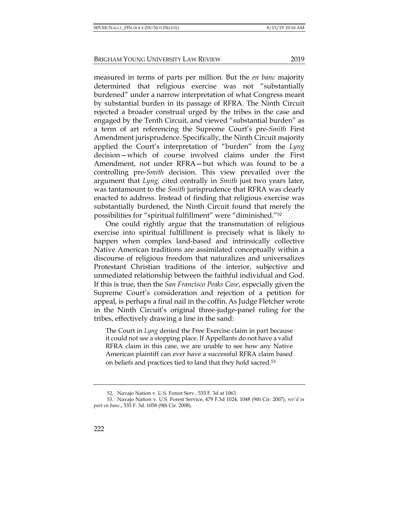measured in terms of parts per million. But the *en banc* majority determined that religious exercise was not "substantially burdened" under a narrow interpretation of what Congress meant by substantial burden in its passage of RFRA. The Ninth Circuit rejected a broader construal urged by the tribes in the case and engaged by the Tenth Circuit, and viewed "substantial burden" as a term of art referencing the Supreme Court's pre-*Smith* First Amendment jurisprudence. Specifically, the Ninth Circuit majority applied the Court's interpretation of "burden" from the *Lyng* decision—which of course involved claims under the First Amendment, not under RFRA—but which was found to be a controlling pre-*Smith* decision. This view prevailed over the argument that *Lyng,* cited centrally in *Smith* just two years later, was tantamount to the *Smith* jurisprudence that RFRA was clearly enacted to address. Instead of finding that religious exercise was substantially burdened, the Ninth Circuit found that merely the possibilities for "spiritual fulfillment" were "diminished."52

One could rightly argue that the transmutation of religious exercise into spiritual fulfillment is precisely what is likely to happen when complex land-based and intrinsically collective Native American traditions are assimilated conceptually within a discourse of religious freedom that naturalizes and universalizes Protestant Christian traditions of the interior, subjective and unmediated relationship between the faithful individual and God. If this is true, then the *San Francisco Peaks Case*, especially given the Supreme Court's consideration and rejection of a petition for appeal, is perhaps a final nail in the coffin. As Judge Fletcher wrote in the Ninth Circuit's original three-judge-panel ruling for the tribes, effectively drawing a line in the sand:

The Court in *Lyng* denied the Free Exercise claim in part because it could not see a stopping place. If Appellants do not have a valid RFRA claim in this case, we are unable to see how any Native American plaintiff can ever have a successful RFRA claim based on beliefs and practices tied to land that they hold sacred.53

<sup>52.</sup> Navajo Nation v. U.S. Forest Serv.*,* 535 F. 3d at 1063.

<sup>53.</sup> Navajo Nation v. U.S. Forest Service, 479 F.3d 1024, 1048 (9th Cir. 2007), *rev'd in part en banc*., 535 F. 3d. 1058 (9th Cir. 2008).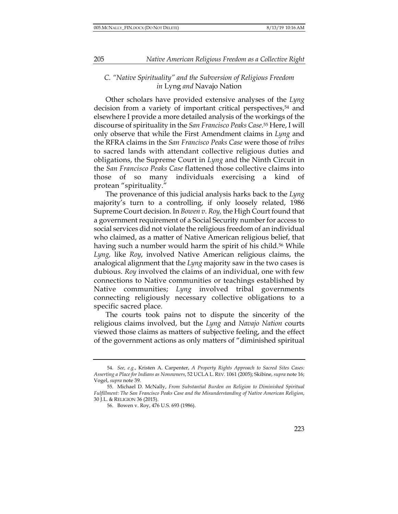#### *C. "Native Spirituality" and the Subversion of Religious Freedom in* Lyng *and* Navajo Nation

Other scholars have provided extensive analyses of the *Lyng*  decision from a variety of important critical perspectives,54 and elsewhere I provide a more detailed analysis of the workings of the discourse of spirituality in the *San Francisco Peaks Case*.55 Here, I will only observe that while the First Amendment claims in *Lyng* and the RFRA claims in the *San Francisco Peaks Case* were those of *tribes* to sacred lands with attendant collective religious duties and obligations, the Supreme Court in *Lyng* and the Ninth Circuit in the *San Francisco Peaks Case* flattened those collective claims into those of so many individuals exercising a kind of protean "spirituality."

The provenance of this judicial analysis harks back to the *Lyng*  majority's turn to a controlling, if only loosely related, 1986 Supreme Court decision. In *Bowen v. Roy,* the High Court found that a government requirement of a Social Security number for access to social services did not violate the religious freedom of an individual who claimed, as a matter of Native American religious belief, that having such a number would harm the spirit of his child.<sup>56</sup> While *Lyng,* like *Roy*, involved Native American religious claims, the analogical alignment that the *Lyng* majority saw in the two cases is dubious. *Roy* involved the claims of an individual, one with few connections to Native communities or teachings established by Native communities; *Lyng* involved tribal governments connecting religiously necessary collective obligations to a specific sacred place.

The courts took pains not to dispute the sincerity of the religious claims involved, but the *Lyng* and *Navajo Nation* courts viewed those claims as matters of subjective feeling, and the effect of the government actions as only matters of "diminished spiritual

<sup>54.</sup> *See, e.g.*, Kristen A. Carpenter, *A Property Rights Approach to Sacred Sites Cases: Asserting a Place for Indians as Nonowners*, 52 UCLA L. REV. 1061 (2005); Skibine, *supra* note 16; Vogel, *supra* note 39.

<sup>55.</sup> Michael D. McNally, *From Substantial Burden on Religion to Diminished Spiritual Fulfillment: The San Francisco Peaks Case and the Misunderstanding of Native American Religion*, 30 J.L. & RELIGION 36 (2015).

<sup>56.</sup> Bowen v. Roy, 476 U.S. 693 (1986).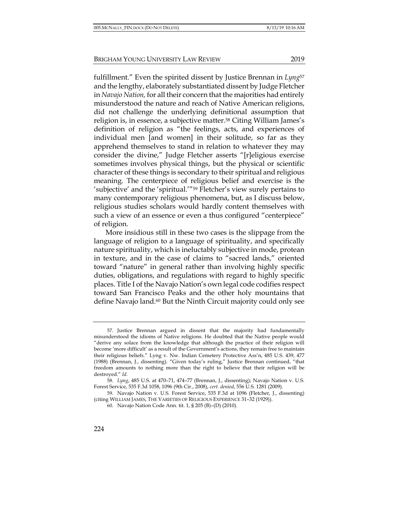fulfillment." Even the spirited dissent by Justice Brennan in *Lyng*<sup>57</sup> and the lengthy, elaborately substantiated dissent by Judge Fletcher in *Navajo Nation,* for all their concern that the majorities had entirely misunderstood the nature and reach of Native American religions, did not challenge the underlying definitional assumption that religion is, in essence, a subjective matter.58 Citing William James's definition of religion as "the feelings, acts, and experiences of individual men [and women] in their solitude, so far as they apprehend themselves to stand in relation to whatever they may consider the divine," Judge Fletcher asserts "[r]eligious exercise sometimes involves physical things, but the physical or scientific character of these things is secondary to their spiritual and religious meaning. The centerpiece of religious belief and exercise is the 'subjective' and the 'spiritual.'"59 Fletcher's view surely pertains to many contemporary religious phenomena, but, as I discuss below, religious studies scholars would hardly content themselves with

such a view of an essence or even a thus configured "centerpiece" of religion.

More insidious still in these two cases is the slippage from the language of religion to a language of spirituality, and specifically nature spirituality, which is ineluctably subjective in mode, protean in texture, and in the case of claims to "sacred lands," oriented toward "nature" in general rather than involving highly specific duties, obligations, and regulations with regard to highly specific places. Title I of the Navajo Nation's own legal code codifies respect toward San Francisco Peaks and the other holy mountains that define Navajo land.<sup>60</sup> But the Ninth Circuit majority could only see

<sup>57.</sup> Justice Brennan argued in dissent that the majority had fundamentally misunderstood the idioms of Native religions. He doubted that the Native people would "derive any solace from the knowledge that although the practice of their religion will become 'more difficult' as a result of the Government's actions, they remain free to maintain their religious beliefs." Lyng v. Nw. Indian Cemetery Protective Ass'n, 485 U.S. 439, 477 (1988) (Brennan, J., dissenting). "Given today's ruling," Justice Brennan continued, "that freedom amounts to nothing more than the right to believe that their religion will be destroyed." *Id.*

<sup>58.</sup> *Lyng*, 485 U.S. at 470–71, 474–77 (Brennan, J., dissenting); Navajo Nation v. U.S. Forest Service, 535 F.3d 1058, 1096 (9th Cir., 2008), *cert. denied*, 556 U.S. 1281 (2009).

<sup>59.</sup> Navajo Nation v. U.S. Forest Service, 535 F.3d at 1096 (Fletcher, J., dissenting) (citing WILLIAM JAMES, THE VARIETIES OF RELIGIOUS EXPERIENCE 31–32 (1929)).

<sup>60.</sup> Navajo Nation Code Ann. tit. 1, § 205 (B)–(D) (2010).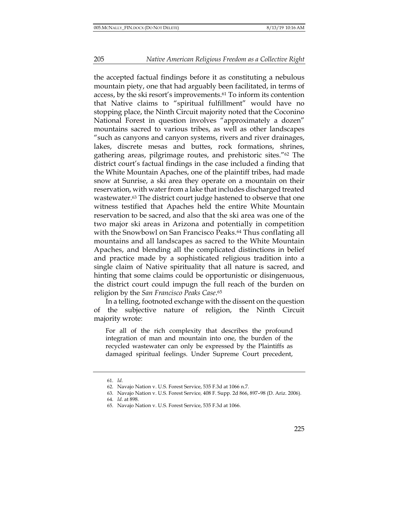the accepted factual findings before it as constituting a nebulous mountain piety, one that had arguably been facilitated, in terms of access, by the ski resort's improvements.61 To inform its contention that Native claims to "spiritual fulfillment" would have no stopping place, the Ninth Circuit majority noted that the Coconino National Forest in question involves "approximately a dozen" mountains sacred to various tribes, as well as other landscapes "such as canyons and canyon systems, rivers and river drainages, lakes, discrete mesas and buttes, rock formations, shrines, gathering areas, pilgrimage routes, and prehistoric sites."62 The district court's factual findings in the case included a finding that the White Mountain Apaches, one of the plaintiff tribes, had made snow at Sunrise, a ski area they operate on a mountain on their reservation, with water from a lake that includes discharged treated wastewater.63 The district court judge hastened to observe that one witness testified that Apaches held the entire White Mountain reservation to be sacred, and also that the ski area was one of the two major ski areas in Arizona and potentially in competition with the Snowbowl on San Francisco Peaks.<sup>64</sup> Thus conflating all mountains and all landscapes as sacred to the White Mountain Apaches, and blending all the complicated distinctions in belief and practice made by a sophisticated religious tradition into a single claim of Native spirituality that all nature is sacred, and hinting that some claims could be opportunistic or disingenuous, the district court could impugn the full reach of the burden on religion by the *San Francisco Peaks Case*.65

In a telling, footnoted exchange with the dissent on the question of the subjective nature of religion, the Ninth Circuit majority wrote:

For all of the rich complexity that describes the profound integration of man and mountain into one, the burden of the recycled wastewater can only be expressed by the Plaintiffs as damaged spiritual feelings. Under Supreme Court precedent,

<sup>61.</sup> *Id.*

<sup>62.</sup> Navajo Nation v. U.S. Forest Service, 535 F.3d at 1066 n.7.

<sup>63.</sup> Navajo Nation v. U.S. Forest Service*,* 408 F. Supp. 2d 866, 897–98 (D. Ariz. 2006).

<sup>64.</sup> *Id.* at 898.

<sup>65.</sup> Navajo Nation v. U.S. Forest Service, 535 F.3d at 1066.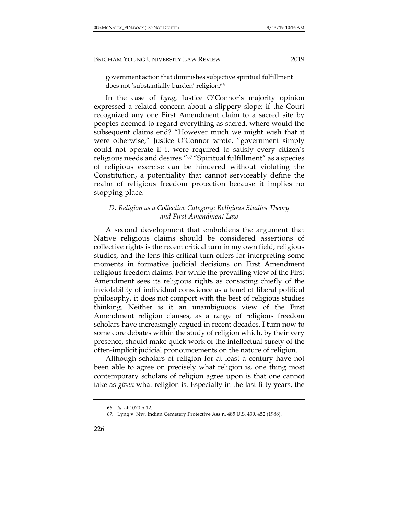In the case of *Lyng,* Justice O'Connor's majority opinion expressed a related concern about a slippery slope: if the Court recognized any one First Amendment claim to a sacred site by peoples deemed to regard everything as sacred, where would the subsequent claims end? "However much we might wish that it were otherwise," Justice O'Connor wrote, "government simply could not operate if it were required to satisfy every citizen's religious needs and desires."67 "Spiritual fulfillment" as a species of religious exercise can be hindered without violating the Constitution, a potentiality that cannot serviceably define the realm of religious freedom protection because it implies no stopping place.

## *D. Religion as a Collective Category: Religious Studies Theory and First Amendment Law*

A second development that emboldens the argument that Native religious claims should be considered assertions of collective rights is the recent critical turn in my own field, religious studies, and the lens this critical turn offers for interpreting some moments in formative judicial decisions on First Amendment religious freedom claims. For while the prevailing view of the First Amendment sees its religious rights as consisting chiefly of the inviolability of individual conscience as a tenet of liberal political philosophy, it does not comport with the best of religious studies thinking. Neither is it an unambiguous view of the First Amendment religion clauses, as a range of religious freedom scholars have increasingly argued in recent decades. I turn now to some core debates within the study of religion which, by their very presence, should make quick work of the intellectual surety of the often-implicit judicial pronouncements on the nature of religion.

Although scholars of religion for at least a century have not been able to agree on precisely what religion is, one thing most contemporary scholars of religion agree upon is that one cannot take as *given* what religion is. Especially in the last fifty years, the

<sup>66.</sup> *Id.* at 1070 n.12.

<sup>67.</sup> Lyng v. Nw. Indian Cemetery Protective Ass'n, 485 U.S. 439, 452 (1988).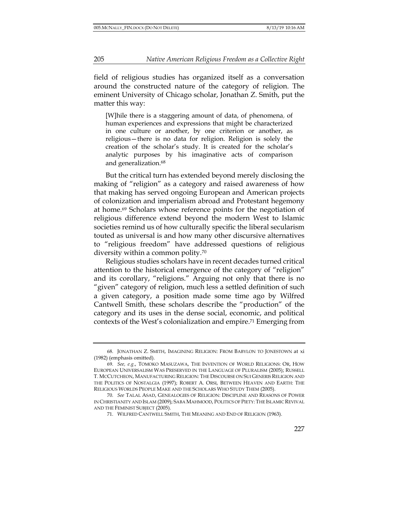field of religious studies has organized itself as a conversation around the constructed nature of the category of religion. The eminent University of Chicago scholar, Jonathan Z. Smith, put the matter this way:

[W]hile there is a staggering amount of data, of phenomena, of human experiences and expressions that might be characterized in one culture or another, by one criterion or another, as religious—there is no data for religion. Religion is solely the creation of the scholar's study. It is created for the scholar's analytic purposes by his imaginative acts of comparison and generalization.<sup>68</sup>

But the critical turn has extended beyond merely disclosing the making of "religion" as a category and raised awareness of how that making has served ongoing European and American projects of colonization and imperialism abroad and Protestant hegemony at home.69 Scholars whose reference points for the negotiation of religious difference extend beyond the modern West to Islamic societies remind us of how culturally specific the liberal secularism touted as universal is and how many other discursive alternatives to "religious freedom" have addressed questions of religious diversity within a common polity.70

Religious studies scholars have in recent decades turned critical attention to the historical emergence of the category of "religion" and its corollary, "religions." Arguing not only that there is no "given" category of religion, much less a settled definition of such a given category, a position made some time ago by Wilfred Cantwell Smith, these scholars describe the "production" of the category and its uses in the dense social, economic, and political contexts of the West's colonialization and empire.71 Emerging from

<sup>68.</sup> JONATHAN Z. SMITH, IMAGINING RELIGION: FROM BABYLON TO JONESTOWN at xi (1982) (emphasis omitted).

<sup>69.</sup> *See, e.g.*, TOMOKO MASUZAWA, THE INVENTION OF WORLD RELIGIONS: OR, HOW EUROPEAN UNIVERSALISM WAS PRESERVED IN THE LANGUAGE OF PLURALISM (2005); RUSSELL T. MCCUTCHEON, MANUFACTURING RELIGION: THE DISCOURSE ON SUI GENERIS RELIGION AND THE POLITICS OF NOSTALGIA (1997); ROBERT A. ORSI, BETWEEN HEAVEN AND EARTH: THE RELIGIOUS WORLDS PEOPLE MAKE AND THE SCHOLARS WHO STUDY THEM (2005).

<sup>70.</sup> *See* TALAL ASAD, GENEALOGIES OF RELIGION: DISCIPLINE AND REASONS OF POWER IN CHRISTIANITY AND ISLAM (2009); SABA MAHMOOD, POLITICS OF PIETY: THE ISLAMIC REVIVAL AND THE FEMINIST SUBJECT (2005).

<sup>71.</sup> WILFRED CANTWELL SMITH, THE MEANING AND END OF RELIGION (1963).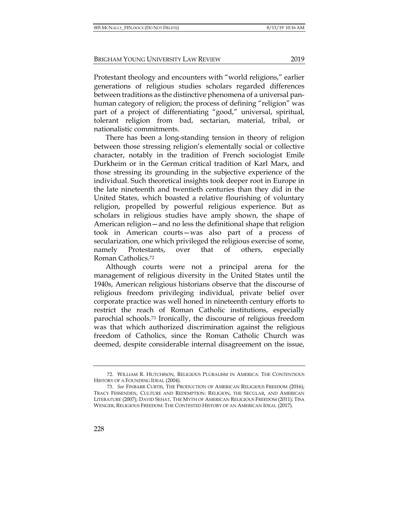Protestant theology and encounters with "world religions," earlier generations of religious studies scholars regarded differences between traditions as the distinctive phenomena of a universal panhuman category of religion; the process of defining "religion" was part of a project of differentiating "good," universal, spiritual, tolerant religion from bad, sectarian, material, tribal, or nationalistic commitments.

There has been a long-standing tension in theory of religion between those stressing religion's elementally social or collective character, notably in the tradition of French sociologist Emile Durkheim or in the German critical tradition of Karl Marx, and those stressing its grounding in the subjective experience of the individual. Such theoretical insights took deeper root in Europe in the late nineteenth and twentieth centuries than they did in the United States, which boasted a relative flourishing of voluntary religion, propelled by powerful religious experience. But as scholars in religious studies have amply shown, the shape of American religion—and no less the definitional shape that religion took in American courts—was also part of a process of secularization, one which privileged the religious exercise of some, namely Protestants, over that of others, especially Roman Catholics.72

Although courts were not a principal arena for the management of religious diversity in the United States until the 1940s, American religious historians observe that the discourse of religious freedom privileging individual, private belief over corporate practice was well honed in nineteenth century efforts to restrict the reach of Roman Catholic institutions, especially parochial schools.73 Ironically, the discourse of religious freedom was that which authorized discrimination against the religious freedom of Catholics, since the Roman Catholic Church was deemed, despite considerable internal disagreement on the issue,

<sup>72.</sup> WILLIAM R. HUTCHISON, RELIGIOUS PLURALISM IN AMERICA: THE CONTENTIOUS HISTORY OF A FOUNDING IDEAL (2004).

<sup>73.</sup> *See* FINBARR CURTIS, THE PRODUCTION OF AMERICAN RELIGIOUS FREEDOM (2016); TRACY FESSENDEN, CULTURE AND REDEMPTION: RELIGION, THE SECULAR, AND AMERICAN LITERATURE (2007); DAVID SEHAT, THE MYTH OF AMERICAN RELIGIOUS FREEDOM (2011); TISA WENGER, RELIGIOUS FREEDOM: THE CONTESTED HISTORY OF AN AMERICAN IDEAL (2017).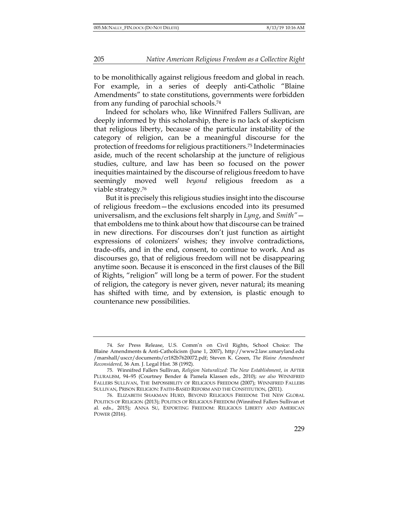to be monolithically against religious freedom and global in reach. For example, in a series of deeply anti-Catholic "Blaine Amendments" to state constitutions, governments were forbidden from any funding of parochial schools.74

Indeed for scholars who, like Winnifred Fallers Sullivan, are deeply informed by this scholarship, there is no lack of skepticism that religious liberty, because of the particular instability of the category of religion, can be a meaningful discourse for the protection of freedoms for religious practitioners.75 Indeterminacies aside, much of the recent scholarship at the juncture of religious studies, culture, and law has been so focused on the power inequities maintained by the discourse of religious freedom to have seemingly moved well *beyond* religious freedom as a viable strategy.76

But it is precisely this religious studies insight into the discourse of religious freedom—the exclusions encoded into its presumed universalism, and the exclusions felt sharply in *Lyng*, and *Smith"* that emboldens me to think about how that discourse can be trained in new directions. For discourses don't just function as airtight expressions of colonizers' wishes; they involve contradictions, trade-offs, and in the end, consent, to continue to work. And as discourses go, that of religious freedom will not be disappearing anytime soon. Because it is ensconced in the first clauses of the Bill of Rights, "religion" will long be a term of power. For the student of religion, the category is never given, never natural; its meaning has shifted with time, and by extension, is plastic enough to countenance new possibilities.

<sup>74.</sup> *See* Press Release, U.S. Comm'n on Civil Rights, School Choice: The Blaine Amendments & Anti-Catholicism (June 1, 2007), http://www2.law.umaryland.edu /marshall/usccr/documents/cr182b7620072.pdf; Steven K. Green, *The Blaine Amendment Reconsidered*, 36 Am. J. Legal Hist. 38 (1992).

<sup>75.</sup> Winnifred Fallers Sullivan, *Religion Naturalized: The New Establishment*, *in* AFTER PLURALISM, 94–95 (Courtney Bender & Pamela Klassen eds., 2010); *see also* WINNIFRED FALLERS SULLIVAN, THE IMPOSSIBILITY OF RELIGIOUS FREEDOM (2007); WINNIFRED FALLERS SULLIVAN, PRISON RELIGION: FAITH-BASED REFORM AND THE CONSTITUTION, (2011).

<sup>76.</sup> ELIZABETH SHAKMAN HURD, BEYOND RELIGIOUS FREEDOM: THE NEW GLOBAL POLITICS OF RELIGION (2013); POLITICS OF RELIGIOUS FREEDOM (Winnifred Fallers Sullivan et al. eds., 2015); ANNA SU, EXPORTING FREEDOM: RELIGIOUS LIBERTY AND AMERICAN POWER (2016).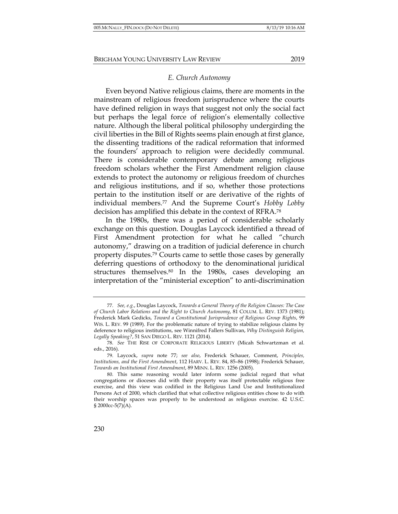Even beyond Native religious claims, there are moments in the mainstream of religious freedom jurisprudence where the courts have defined religion in ways that suggest not only the social fact but perhaps the legal force of religion's elementally collective nature. Although the liberal political philosophy undergirding the civil liberties in the Bill of Rights seems plain enough at first glance, the dissenting traditions of the radical reformation that informed the founders' approach to religion were decidedly communal. There is considerable contemporary debate among religious freedom scholars whether the First Amendment religion clause extends to protect the autonomy or religious freedom of churches and religious institutions, and if so, whether those protections pertain to the institution itself or are derivative of the rights of individual members.77 And the Supreme Court's *Hobby Lobby* decision has amplified this debate in the context of RFRA.78

In the 1980s, there was a period of considerable scholarly exchange on this question. Douglas Laycock identified a thread of First Amendment protection for what he called "church autonomy," drawing on a tradition of judicial deference in church property disputes.79 Courts came to settle those cases by generally deferring questions of orthodoxy to the denominational juridical structures themselves.80 In the 1980s, cases developing an interpretation of the "ministerial exception" to anti-discrimination

<sup>77.</sup> *See, e.g.*, Douglas Laycock, *Towards a General Theory of the Religion Clauses: The Case of Church Labor Relations and the Right to Church Autonomy*, 81 COLUM. L. REV. 1373 (1981); Frederick Mark Gedicks, *Toward a Constitutional Jurisprudence of Religious Group Rights*, 99 WIS. L. REV. 99 (1989). For the problematic nature of trying to stabilize religious claims by deference to religious institutions, see Winnifred Fallers Sullivan, *Why Distinguish Religion, Legally Speaking?*, 51 SAN DIEGO L. REV. 1121 (2014).

<sup>78.</sup> *See* THE RISE OF CORPORATE RELIGIOUS LIBERTY (Micah Schwartzman et al. eds., 2016).

<sup>79.</sup> Laycock, *supra* note 77; *see also*, Frederick Schauer, Comment, *Principles, Institutions, and the First Amendment*, 112 HARV. L. REV. 84, 85–86 (1998); Frederick Schauer, *Towards an Institutional First Amendment*, 89 MINN. L. REV. 1256 (2005).

<sup>80.</sup> This same reasoning would later inform some judicial regard that what congregations or dioceses did with their property was itself protectable religious free exercise, and this view was codified in the Religious Land Use and Institutionalized Persons Act of 2000, which clarified that what collective religious entities chose to do with their worship spaces was properly to be understood as religious exercise. 42 U.S.C. § 2000cc-5(7)(A).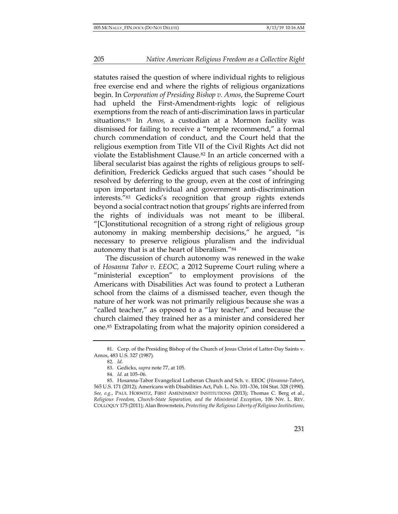statutes raised the question of where individual rights to religious free exercise end and where the rights of religious organizations begin. In *Corporation of Presiding Bishop v. Amos*, the Supreme Court had upheld the First-Amendment-rights logic of religious exemptions from the reach of anti-discrimination laws in particular situations.81 In *Amos,* a custodian at a Mormon facility was dismissed for failing to receive a "temple recommend," a formal church commendation of conduct, and the Court held that the religious exemption from Title VII of the Civil Rights Act did not violate the Establishment Clause.82 In an article concerned with a liberal secularist bias against the rights of religious groups to selfdefinition, Frederick Gedicks argued that such cases "should be resolved by deferring to the group, even at the cost of infringing upon important individual and government anti-discrimination interests."83 Gedicks's recognition that group rights extends beyond a social contract notion that groups'rights are inferred from the rights of individuals was not meant to be illiberal. "[C]onstitutional recognition of a strong right of religious group autonomy in making membership decisions," he argued, "is necessary to preserve religious pluralism and the individual autonomy that is at the heart of liberalism."84

The discussion of church autonomy was renewed in the wake of *Hosanna Tabor v. EEOC,* a 2012 Supreme Court ruling where a "ministerial exception" to employment provisions of the Americans with Disabilities Act was found to protect a Lutheran school from the claims of a dismissed teacher, even though the nature of her work was not primarily religious because she was a "called teacher," as opposed to a "lay teacher," and because the church claimed they trained her as a minister and considered her one.85 Extrapolating from what the majority opinion considered a

<sup>81.</sup> Corp. of the Presiding Bishop of the Church of Jesus Christ of Latter-Day Saints v. Amos, 483 U.S. 327 (1987).

<sup>82.</sup> *Id.*

<sup>83.</sup> Gedicks, *supra* note 77, at 105.

<sup>84.</sup> *Id.* at 105–06.

<sup>85.</sup> Hosanna-Tabor Evangelical Lutheran Church and Sch. v. EEOC (*Hosanna-Tabor*), 565 U.S. 171 (2012); Americans with Disabilities Act, Pub. L. No. 101–336, 104 Stat. 328 (1990). *See, e.g.*, PAUL HORWITZ, FIRST AMENDMENT INSTITUTIONS (2013); Thomas C. Berg et al., *Religious Freedom, Church-State Separation, and the Ministerial Exception*, 106 NW. L. REV. COLLOQUY 175 (2011); Alan Brownstein, *Protecting the Religious Liberty of Religious Institutions*,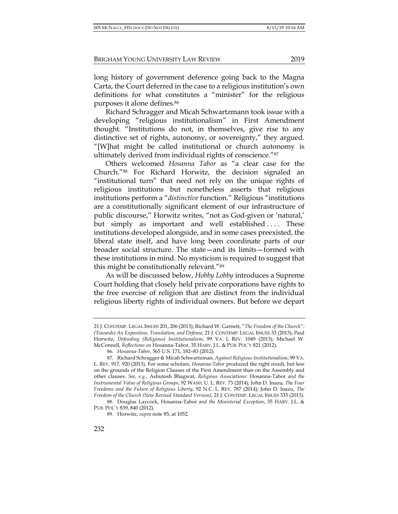long history of government deference going back to the Magna Carta, the Court deferred in the case to a religious institution's own definitions for what constitutes a "minister" for the religious purposes it alone defines.86

Richard Schragger and Micah Schwartzmann took issue with a developing "religious institutionalism" in First Amendment thought. "Institutions do not, in themselves, give rise to any distinctive set of rights, autonomy, or sovereignty," they argued. "[W]hat might be called institutional or church autonomy is ultimately derived from individual rights of conscience."87

Others welcomed *Hosanna Tabor* as "a clear case for the Church."88 For Richard Horwitz, the decision signaled an "institutional turn" that need not rely on the unique rights of religious institutions but nonetheless asserts that religious institutions perform a "*distinctive* function." Religious "institutions are a constitutionally significant element of our infrastructure of public discourse," Horwitz writes, "not as God-given or 'natural,' but simply as important and well established .... These institutions developed alongside, and in some cases preexisted, the liberal state itself, and have long been coordinate parts of our broader social structure. The state—and its limits—formed with these institutions in mind. No mysticism is required to suggest that this might be constitutionally relevant."89

As will be discussed below, *Hobby Lobby* introduces a Supreme Court holding that closely held private corporations have rights to the free exercise of religion that are distinct from the individual religious liberty rights of individual owners. But before we depart

<sup>21</sup> J. CONTEMP. LEGAL ISSUES 201, 206 (2013); Richard W. Garnett, "*The Freedom of the Church": (Towards) An Exposition, Translation, and Defense*, 21 J. CONTEMP. LEGAL ISSUES 33 (2013); Paul Horwitz, *Defending (Religious) Institutionalism*, 99 VA. L REV. 1049 (2013); Michael W. McConnell, *Reflections on* Hosanna-Tabor, 35 HARV. J.L. & PUB. POL'Y 821 (2012).

<sup>86.</sup> *Hosanna-Tabor*, 565 U.S. 171, 182–83 (2012).

<sup>87.</sup> Richard Schragger & Micah Schwartzman, *Against Religious Institutionalism*, 99 VA. L. REV. 917, 920 (2013). For some scholars, *Hosanna-Tabor* produced the right result, but less on the grounds of the Religion Clauses of the First Amendment than on the Assembly and other clauses. *See, e.g.*, Ashutosh Bhagwat, *Religious Associations:* Hosanna-Tabor *and the Instrumental Value of Religious Groups*, 92 WASH. U. L. REV. 73 (2014); John D. Inazu, *The Four Freedoms and the Future of Religious Liberty*, 92 N.C. L. REV. 787 (2014); John D. Inazu, *The Freedom of the Church (New Revised Standard Version)*, 21 J. CONTEMP. LEGAL ISSUES 335 (2013).

<sup>88.</sup> Douglas Laycock, Hosanna-Tabor *and the Ministerial Exception*, 35 HARV. J.L. & PUB. POL'Y 839, 840 (2012).

<sup>89.</sup> Horwitz, *supra* note 85, at 1052.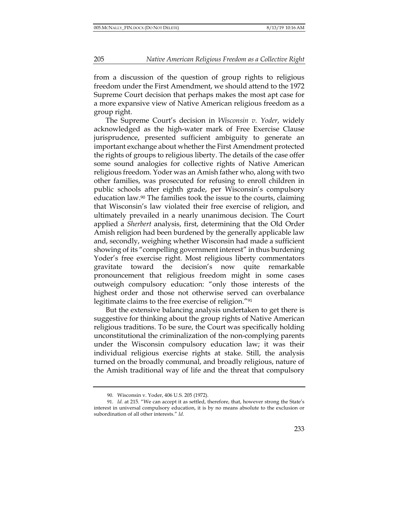from a discussion of the question of group rights to religious freedom under the First Amendment, we should attend to the 1972 Supreme Court decision that perhaps makes the most apt case for a more expansive view of Native American religious freedom as a group right.

The Supreme Court's decision in *Wisconsin v. Yoder*, widely acknowledged as the high-water mark of Free Exercise Clause jurisprudence, presented sufficient ambiguity to generate an important exchange about whether the First Amendment protected the rights of groups to religious liberty. The details of the case offer some sound analogies for collective rights of Native American religious freedom. Yoder was an Amish father who, along with two other families, was prosecuted for refusing to enroll children in public schools after eighth grade, per Wisconsin's compulsory education law.90 The families took the issue to the courts, claiming that Wisconsin's law violated their free exercise of religion, and ultimately prevailed in a nearly unanimous decision. The Court applied a *Sherbert* analysis, first, determining that the Old Order Amish religion had been burdened by the generally applicable law and, secondly, weighing whether Wisconsin had made a sufficient showing of its "compelling government interest" in thus burdening Yoder's free exercise right. Most religious liberty commentators gravitate toward the decision's now quite remarkable pronouncement that religious freedom might in some cases outweigh compulsory education: "only those interests of the highest order and those not otherwise served can overbalance legitimate claims to the free exercise of religion."91

But the extensive balancing analysis undertaken to get there is suggestive for thinking about the group rights of Native American religious traditions. To be sure, the Court was specifically holding unconstitutional the criminalization of the non-complying parents under the Wisconsin compulsory education law; it was their individual religious exercise rights at stake. Still, the analysis turned on the broadly communal, and broadly religious, nature of the Amish traditional way of life and the threat that compulsory

<sup>90.</sup> Wisconsin v. Yoder, 406 U.S. 205 (1972).

<sup>91.</sup> *Id.* at 215. "We can accept it as settled, therefore, that, however strong the State's interest in universal compulsory education, it is by no means absolute to the exclusion or subordination of all other interests." *Id*.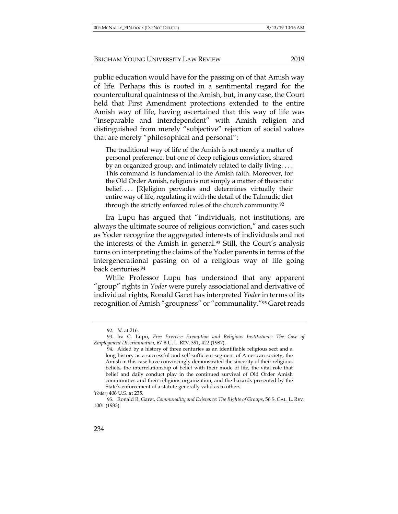public education would have for the passing on of that Amish way of life. Perhaps this is rooted in a sentimental regard for the countercultural quaintness of the Amish, but, in any case, the Court held that First Amendment protections extended to the entire Amish way of life, having ascertained that this way of life was "inseparable and interdependent" with Amish religion and distinguished from merely "subjective" rejection of social values that are merely "philosophical and personal":

The traditional way of life of the Amish is not merely a matter of personal preference, but one of deep religious conviction, shared by an organized group, and intimately related to daily living. . . . This command is fundamental to the Amish faith. Moreover, for the Old Order Amish, religion is not simply a matter of theocratic belief. . . . [R]eligion pervades and determines virtually their entire way of life, regulating it with the detail of the Talmudic diet through the strictly enforced rules of the church community.92

Ira Lupu has argued that "individuals, not institutions, are always the ultimate source of religious conviction," and cases such as Yoder recognize the aggregated interests of individuals and not the interests of the Amish in general.93 Still, the Court's analysis turns on interpreting the claims of the Yoder parents in terms of the intergenerational passing on of a religious way of life going back centuries.94

While Professor Lupu has understood that any apparent "group" rights in *Yoder* were purely associational and derivative of individual rights, Ronald Garet has interpreted *Yoder* in terms of its recognition of Amish "groupness" or "communality."95 Garet reads

<sup>92.</sup> *Id.* at 216.

<sup>93.</sup> Ira C. Lupu, *Free Exercise Exemption and Religious Institutions: The Case of Employment Discrimination*, 67 B.U. L. REV. 391, 422 (1987).

<sup>94.</sup> Aided by a history of three centuries as an identifiable religious sect and a long history as a successful and self-sufficient segment of American society, the Amish in this case have convincingly demonstrated the sincerity of their religious beliefs, the interrelationship of belief with their mode of life, the vital role that belief and daily conduct play in the continued survival of Old Order Amish communities and their religious organization, and the hazards presented by the State's enforcement of a statute generally valid as to others.

*Yoder*, 406 U.S. at 235.

<sup>95.</sup> Ronald R. Garet, *Communality and Existence: The Rights of Groups*, 56 S. CAL. L. REV. 1001 (1983).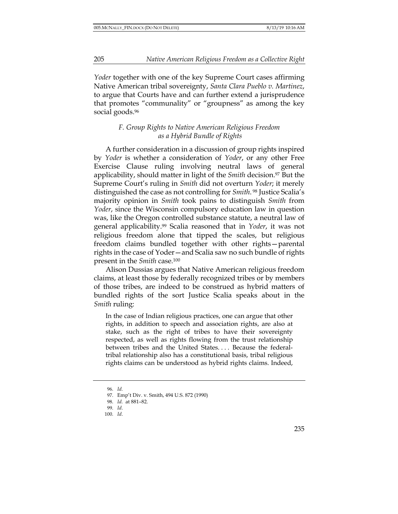*Yoder* together with one of the key Supreme Court cases affirming Native American tribal sovereignty, *Santa Clara Pueblo v. Martinez*, to argue that Courts have and can further extend a jurisprudence that promotes "communality" or "groupness" as among the key social goods.<sup>96</sup>

## *F. Group Rights to Native American Religious Freedom as a Hybrid Bundle of Rights*

A further consideration in a discussion of group rights inspired by *Yoder* is whether a consideration of *Yoder*, or any other Free Exercise Clause ruling involving neutral laws of general applicability, should matter in light of the *Smith* decision.<sup>97</sup> But the Supreme Court's ruling in *Smith* did not overturn *Yoder*; it merely distinguished the case as not controlling for *Smith*. <sup>98</sup> Justice Scalia's majority opinion in *Smith* took pains to distinguish *Smith* from *Yoder*, since the Wisconsin compulsory education law in question was, like the Oregon controlled substance statute, a neutral law of general applicability.99 Scalia reasoned that in *Yoder*, it was not religious freedom alone that tipped the scales, but religious freedom claims bundled together with other rights—parental rights in the case of Yoder—and Scalia saw no such bundle of rights present in the *Smith* case.100

Alison Dussias argues that Native American religious freedom claims, at least those by federally recognized tribes or by members of those tribes, are indeed to be construed as hybrid matters of bundled rights of the sort Justice Scalia speaks about in the *Smith* ruling:

In the case of Indian religious practices, one can argue that other rights, in addition to speech and association rights, are also at stake, such as the right of tribes to have their sovereignty respected, as well as rights flowing from the trust relationship between tribes and the United States. . . . Because the federaltribal relationship also has a constitutional basis, tribal religious rights claims can be understood as hybrid rights claims. Indeed,

<sup>96.</sup> *Id.*

<sup>97.</sup> Emp't Div. v. Smith, 494 U.S. 872 (1990)

<sup>98.</sup> *Id.* at 881–82.

<sup>99.</sup> *Id*.

<sup>100.</sup> *Id*.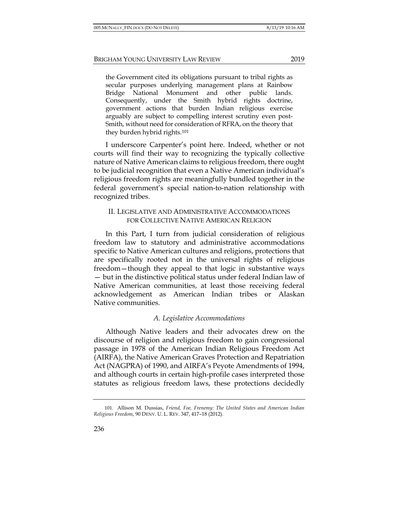the Government cited its obligations pursuant to tribal rights as secular purposes underlying management plans at Rainbow Bridge National Monument and other public lands. Consequently, under the Smith hybrid rights doctrine, government actions that burden Indian religious exercise arguably are subject to compelling interest scrutiny even post-Smith, without need for consideration of RFRA, on the theory that they burden hybrid rights.101

I underscore Carpenter's point here. Indeed, whether or not courts will find their way to recognizing the typically collective nature of Native American claims to religious freedom, there ought to be judicial recognition that even a Native American individual's religious freedom rights are meaningfully bundled together in the federal government's special nation-to-nation relationship with recognized tribes.

### II. LEGISLATIVE AND ADMINISTRATIVE ACCOMMODATIONS FOR COLLECTIVE NATIVE AMERICAN RELIGION

In this Part, I turn from judicial consideration of religious freedom law to statutory and administrative accommodations specific to Native American cultures and religions, protections that are specifically rooted not in the universal rights of religious freedom—though they appeal to that logic in substantive ways — but in the distinctive political status under federal Indian law of Native American communities, at least those receiving federal acknowledgement as American Indian tribes or Alaskan Native communities.

## *A. Legislative Accommodations*

Although Native leaders and their advocates drew on the discourse of religion and religious freedom to gain congressional passage in 1978 of the American Indian Religious Freedom Act (AIRFA), the Native American Graves Protection and Repatriation Act (NAGPRA) of 1990, and AIRFA's Peyote Amendments of 1994, and although courts in certain high-profile cases interpreted those statutes as religious freedom laws, these protections decidedly

<sup>101.</sup> Allison M. Dussias, *Friend, Foe, Frenemy: The United States and American Indian Religious Freedom*, 90 DENV. U. L. REV. 347, 417–18 (2012).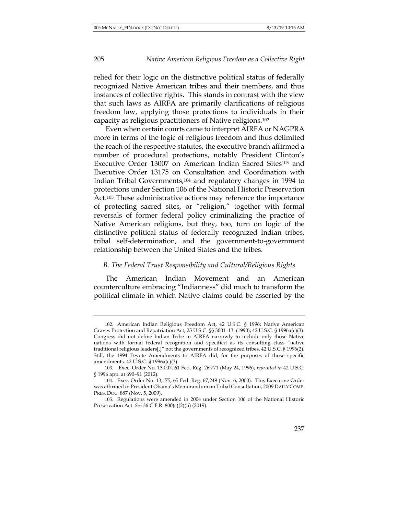relied for their logic on the distinctive political status of federally recognized Native American tribes and their members, and thus instances of collective rights. This stands in contrast with the view that such laws as AIRFA are primarily clarifications of religious freedom law, applying those protections to individuals in their capacity as religious practitioners of Native religions.102

Even when certain courts came to interpret AIRFA or NAGPRA more in terms of the logic of religious freedom and thus delimited the reach of the respective statutes, the executive branch affirmed a number of procedural protections, notably President Clinton's Executive Order 13007 on American Indian Sacred Sites<sup>103</sup> and Executive Order 13175 on Consultation and Coordination with Indian Tribal Governments,104 and regulatory changes in 1994 to protections under Section 106 of the National Historic Preservation Act.<sup>105</sup> These administrative actions may reference the importance of protecting sacred sites, or "religion," together with formal reversals of former federal policy criminalizing the practice of Native American religions, but they, too, turn on logic of the distinctive political status of federally recognized Indian tribes, tribal self-determination, and the government-to-government relationship between the United States and the tribes.

#### *B. The Federal Trust Responsibility and Cultural/Religious Rights*

The American Indian Movement and an American counterculture embracing "Indianness" did much to transform the political climate in which Native claims could be asserted by the

<sup>102.</sup> American Indian Religious Freedom Act, 42 U.S.C. § 1996; Native American Graves Protection and Repatriation Act, 25 U.S.C. §§ 3001–13. (1990); 42 U.S.C. § 1996a(c)(3). Congress did not define Indian Tribe in AIRFA narrowly to include only those Native nations with formal federal recognition and specified as its consulting class "native traditional religious leaders[,]" not the governments of recognized tribes. 42 U.S.C. § 1996(2). Still, the 1994 Peyote Amendments to AIRFA did, for the purposes of those specific amendments. 42 U.S.C. § 1996a(c)(3).

<sup>103.</sup> Exec. Order No. 13,007, 61 Fed. Reg. 26,771 (May 24, 1996), *reprinted in* 42 U.S.C. § 1996 app. at 690-91 (2012).

<sup>104.</sup> Exec. Order No. 13,175, 65 Fed. Reg. 67,249 (Nov. 6, 2000). This Executive Order was affirmed in President Obama's Memorandum on Tribal Consultation, 2009 DAILY COMP. PRES. DOC. 887 (Nov. 5, 2009).

<sup>105.</sup> Regulations were amended in 2004 under Section 106 of the National Historic Preservation Act. *See* 36 C.F.R. 800(c)(2)(ii) (2019).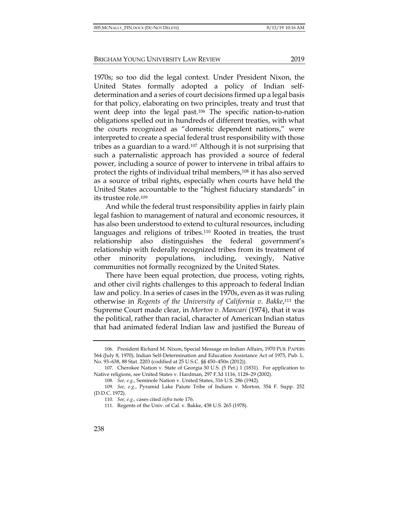1970s; so too did the legal context. Under President Nixon, the United States formally adopted a policy of Indian selfdetermination and a series of court decisions firmed up a legal basis for that policy, elaborating on two principles, treaty and trust that went deep into the legal past.106 The specific nation-to-nation obligations spelled out in hundreds of different treaties, with what the courts recognized as "domestic dependent nations," were interpreted to create a special federal trust responsibility with those tribes as a guardian to a ward.107 Although it is not surprising that such a paternalistic approach has provided a source of federal power, including a source of power to intervene in tribal affairs to protect the rights of individual tribal members,108 it has also served as a source of tribal rights, especially when courts have held the United States accountable to the "highest fiduciary standards" in its trustee role.109

And while the federal trust responsibility applies in fairly plain legal fashion to management of natural and economic resources, it has also been understood to extend to cultural resources, including languages and religions of tribes.110 Rooted in treaties, the trust relationship also distinguishes the federal government's relationship with federally recognized tribes from its treatment of other minority populations, including, vexingly, Native communities not formally recognized by the United States.

There have been equal protection, due process, voting rights, and other civil rights challenges to this approach to federal Indian law and policy. In a series of cases in the 1970s, even as it was ruling otherwise in *Regents of the University of California v. Bakke*,111 the Supreme Court made clear, in *Morton v. Mancari* (1974), that it was the political, rather than racial, character of American Indian status that had animated federal Indian law and justified the Bureau of

<sup>106.</sup> President Richard M. Nixon, Special Message on Indian Affairs, 1970 PUB. PAPERS 564 (July 8, 1970); Indian Self-Determination and Education Assistance Act of 1975, Pub. L. No. 93–638, 88 Stat. 2203 (codified at 25 U.S.C. §§ 450–450n (2012)).

<sup>107.</sup> Cherokee Nation v. State of Georgia 30 U.S. (5 Pet.) 1 (1831). For application to Native religions, see United States v. Hardman, 297 F.3d 1116, 1128–29 (2002).

<sup>108.</sup> *See, e.g.*, Seminole Nation v. United States, 316 U.S. 286 (1942).

<sup>109.</sup> *See, e.g.*, Pyramid Lake Paiute Tribe of Indians v. Morton*,* 354 F. Supp. 252 (D.D.C. 1972).

<sup>110.</sup> *See, e.g.,* cases cited *infra* note 176.

<sup>111.</sup> Regents of the Univ. of Cal. v. Bakke, 438 U.S. 265 (1978).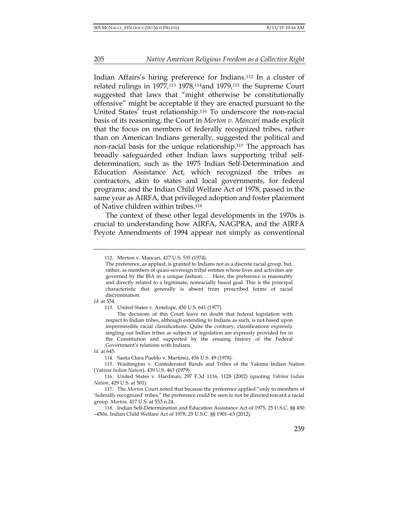Indian Affairs's hiring preference for Indians.112 In a cluster of related rulings in 1977,113 1978,114and 1979,115 the Supreme Court suggested that laws that "might otherwise be constitutionally offensive" might be acceptable if they are enacted pursuant to the United States' trust relationship.116 To underscore the non-racial basis of its reasoning, the Court in *Morton v. Mancari* made explicit that the focus on members of federally recognized tribes, rather than on American Indians generally, suggested the political and non-racial basis for the unique relationship.117 The approach has broadly safeguarded other Indian laws supporting tribal selfdetermination, such as the 1975 Indian Self-Determination and Education Assistance Act, which recognized the tribes as contractors, akin to states and local governments, for federal programs; and the Indian Child Welfare Act of 1978, passed in the same year as AIRFA, that privileged adoption and foster placement of Native children within tribes.118

The context of these other legal developments in the 1970s is crucial to understanding how AIRFA, NAGPRA, and the AIRFA Peyote Amendments of 1994 appear not simply as conventional

*Id.* at 554.

113. United States v. Antelope, 430 U.S. 641 (1977).

The decisions of this Court leave no doubt that federal legislation with respect to Indian tribes, although extending to Indians as such, is not based upon impermissible racial classifications. Quite the contrary, classifications expressly singling out Indian tribes as subjects of legislation are expressly provided for in the Constitution and supported by the ensuing history of the Federal Government's relations with Indians.

<sup>112.</sup> Morton v. Mancari, 417 U.S. 535 (1974).

The preference, as applied, is granted to Indians not as a discrete racial group, but, rather, as members of quasi-sovereign tribal entities whose lives and activities are governed by the BIA in a unique fashion. . . . Here, the preference is reasonably and directly related to a legitimate, nonracially based goal. This is the principal characteristic that generally is absent from proscribed forms of racial discrimination.

*Id.* at 645.

<sup>114.</sup> Santa Clara Pueblo v. Martinez, 436 U.S. 49 (1978).

<sup>115.</sup> Washington v. Confederated Bands and Tribes of the Yakima Indian Nation (*Yakima Indian Nation*), 439 U.S. 463 (1979).

<sup>116.</sup> United States v. Hardman, 297 F.3d 1116, 1128 (2002) (quoting *Yakima Indian Nation*, 429 U.S. at 501).

<sup>117.</sup> The *Morton* Court noted that because the preference applied "only to members of 'federally recognized' tribes," the preference could be seen to not be directed toward a racial group. *Morton,* 417 U.S. at 553 n.24.

<sup>118.</sup> Indian Self-Determination and Education Assistance Act of 1975, 25 U.S.C. §§ 450 –450n. Indian Child Welfare Act of 1978, 25 U.S.C. §§ 1901–63 (2012).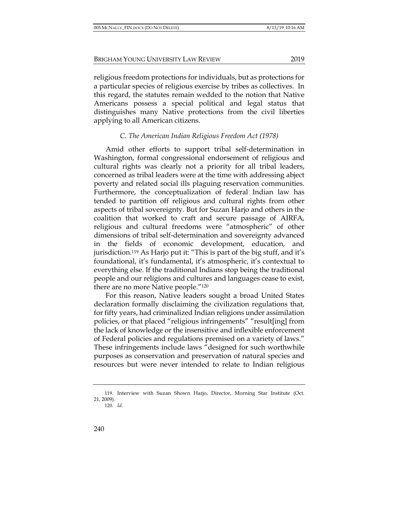religious freedom protections for individuals, but as protections for a particular species of religious exercise by tribes as collectives. In this regard, the statutes remain wedded to the notion that Native Americans possess a special political and legal status that distinguishes many Native protections from the civil liberties applying to all American citizens.

# *C. The American Indian Religious Freedom Act (1978)*

Amid other efforts to support tribal self-determination in Washington, formal congressional endorsement of religious and cultural rights was clearly not a priority for all tribal leaders, concerned as tribal leaders were at the time with addressing abject poverty and related social ills plaguing reservation communities. Furthermore, the conceptualization of federal Indian law has tended to partition off religious and cultural rights from other aspects of tribal sovereignty. But for Suzan Harjo and others in the coalition that worked to craft and secure passage of AIRFA, religious and cultural freedoms were "atmospheric" of other dimensions of tribal self-determination and sovereignty advanced the fields of economic development, education, and jurisdiction.119 As Harjo put it: "This is part of the big stuff, and it's foundational, it's fundamental, it's atmospheric, it's contextual to everything else. If the traditional Indians stop being the traditional people and our religions and cultures and languages cease to exist, there are no more Native people."120

For this reason, Native leaders sought a broad United States declaration formally disclaiming the civilization regulations that, for fifty years, had criminalized Indian religions under assimilation policies, or that placed "religious infringements" "result[ing] from the lack of knowledge or the insensitive and inflexible enforcement of Federal policies and regulations premised on a variety of laws." These infringements include laws "designed for such worthwhile purposes as conservation and preservation of natural species and resources but were never intended to relate to Indian religious

<sup>119.</sup> Interview with Suzan Shown Harjo, Director, Morning Star Institute (Oct. 21, 2009).

<sup>120.</sup> *Id.*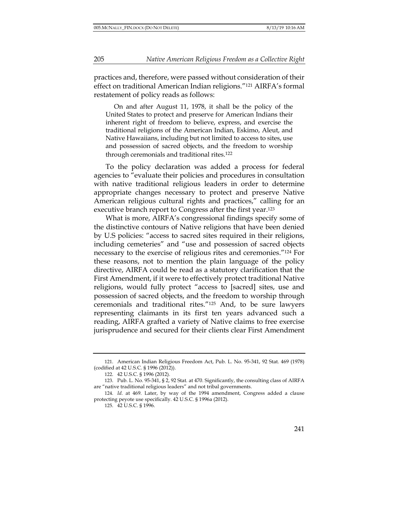practices and, therefore, were passed without consideration of their effect on traditional American Indian religions."121 AIRFA's formal restatement of policy reads as follows:

On and after August 11, 1978, it shall be the policy of the United States to protect and preserve for American Indians their inherent right of freedom to believe, express, and exercise the traditional religions of the American Indian, Eskimo, Aleut, and Native Hawaiians, including but not limited to access to sites, use and possession of sacred objects, and the freedom to worship through ceremonials and traditional rites.122

To the policy declaration was added a process for federal agencies to "evaluate their policies and procedures in consultation with native traditional religious leaders in order to determine appropriate changes necessary to protect and preserve Native American religious cultural rights and practices," calling for an executive branch report to Congress after the first year.123

What is more, AIRFA's congressional findings specify some of the distinctive contours of Native religions that have been denied by U.S policies: "access to sacred sites required in their religions, including cemeteries" and "use and possession of sacred objects necessary to the exercise of religious rites and ceremonies."124 For these reasons, not to mention the plain language of the policy directive, AIRFA could be read as a statutory clarification that the First Amendment, if it were to effectively protect traditional Native religions, would fully protect "access to [sacred] sites, use and possession of sacred objects, and the freedom to worship through ceremonials and traditional rites."125 And, to be sure lawyers representing claimants in its first ten years advanced such a reading, AIRFA grafted a variety of Native claims to free exercise jurisprudence and secured for their clients clear First Amendment

<sup>121.</sup> American Indian Religious Freedom Act, Pub. L. No. 95-341, 92 Stat. 469 (1978) (codified at 42 U.S.C. § 1996 (2012)).

<sup>122.</sup> 42 U.S.C. § 1996 (2012).

<sup>123.</sup> Pub. L. No. 95-341, § 2, 92 Stat. at 470. Significantly, the consulting class of AIRFA are "native traditional religious leaders" and not tribal governments.

<sup>124.</sup> *Id.* at 469. Later, by way of the 1994 amendment, Congress added a clause protecting peyote use specifically. 42 U.S.C. § 1996a (2012).

<sup>125.</sup> 42 U.S.C. § 1996.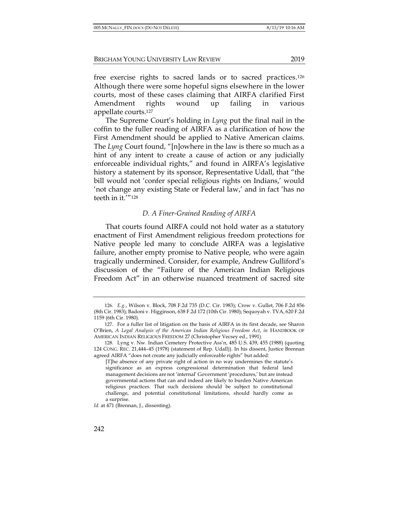free exercise rights to sacred lands or to sacred practices.126 Although there were some hopeful signs elsewhere in the lower courts, most of these cases claiming that AIRFA clarified First Amendment rights wound up failing in various appellate courts.127

The Supreme Court's holding in *Lyng* put the final nail in the coffin to the fuller reading of AIRFA as a clarification of how the First Amendment should be applied to Native American claims. The *Lyng* Court found, "[n]owhere in the law is there so much as a hint of any intent to create a cause of action or any judicially enforceable individual rights," and found in AIRFA's legislative history a statement by its sponsor, Representative Udall, that "the bill would not 'confer special religious rights on Indians,' would 'not change any existing State or Federal law,' and in fact 'has no teeth in it.'"128

# *D. A Finer-Grained Reading of AIRFA*

That courts found AIRFA could not hold water as a statutory enactment of First Amendment religious freedom protections for Native people led many to conclude AIRFA was a legislative failure, another empty promise to Native people, who were again tragically undermined. Consider, for example, Andrew Gulliford's discussion of the "Failure of the American Indian Religious Freedom Act" in an otherwise nuanced treatment of sacred site

<sup>126.</sup> *E.g.*, Wilson v. Block, 708 F.2d 735 (D.C. Cir. 1983); Crow v. Gullet, 706 F.2d 856 (8th Cir. 1983); Badoni v. Higginson, 638 F.2d 172 (10th Cir. 1980); Sequoyah v. TVA, 620 F.2d 1159 (6th Cir. 1980).

<sup>127.</sup> For a fuller list of litigation on the basis of AIRFA in its first decade, see Sharon O'Brien, *A Legal Analysis of the American Indian Religious Freedom Act*, *in* HANDBOOK OF AMERICAN INDIAN RELIGIOUS FREEDOM 27 (Christopher Vecsey ed., 1991).

<sup>128</sup>*.* Lyng v. Nw. Indian Cemetery Protective Ass'n, 485 U.S. 439, 455 (1988) (quoting 124 CONG. REC. 21,444–45 (1978) (statement of Rep. Udall)). In his dissent, Justice Brennan agreed AIRFA "does not create any judicially enforceable rights" but added:

<sup>[</sup>T]he absence of any private right of action in no way undermines the statute's significance as an express congressional determination that federal land management decisions are not 'internal' Government 'procedures,' but are instead governmental actions that can and indeed are likely to burden Native American religious practices. That such decisions should be subject to constitutional challenge, and potential constitutional limitations, should hardly come as a surprise.

Id. at 471 (Brennan, J., dissenting).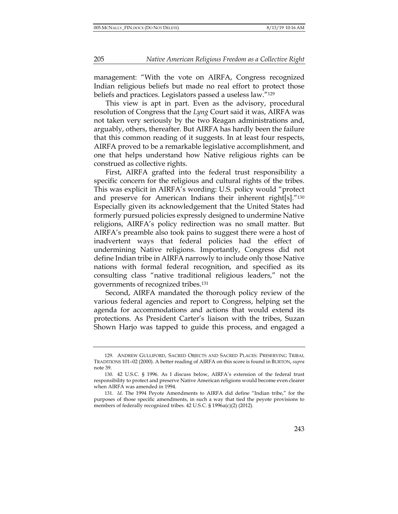management: "With the vote on AIRFA, Congress recognized Indian religious beliefs but made no real effort to protect those beliefs and practices. Legislators passed a useless law."129

This view is apt in part. Even as the advisory, procedural resolution of Congress that the *Lyng* Court said it was, AIRFA was not taken very seriously by the two Reagan administrations and, arguably, others, thereafter. But AIRFA has hardly been the failure that this common reading of it suggests. In at least four respects, AIRFA proved to be a remarkable legislative accomplishment, and one that helps understand how Native religious rights can be construed as collective rights.

First, AIRFA grafted into the federal trust responsibility a specific concern for the religious and cultural rights of the tribes. This was explicit in AIRFA's wording: U.S. policy would "protect and preserve for American Indians their inherent right[s]."130 Especially given its acknowledgement that the United States had formerly pursued policies expressly designed to undermine Native religions, AIRFA's policy redirection was no small matter. But AIRFA's preamble also took pains to suggest there were a host of inadvertent ways that federal policies had the effect of undermining Native religions. Importantly, Congress did not define Indian tribe in AIRFA narrowly to include only those Native nations with formal federal recognition, and specified as its consulting class "native traditional religious leaders," not the governments of recognized tribes.131

Second, AIRFA mandated the thorough policy review of the various federal agencies and report to Congress, helping set the agenda for accommodations and actions that would extend its protections. As President Carter's liaison with the tribes, Suzan Shown Harjo was tapped to guide this process, and engaged a

<sup>129.</sup> ANDREW GULLIFORD, SACRED OBJECTS AND SACRED PLACES: PRESERVING TRIBAL TRADITIONS 101–02 (2000). A better reading of AIRFA on this score is found in BURTON, *supra*  note 39.

<sup>130.</sup> 42 U.S.C. § 1996. As I discuss below, AIRFA's extension of the federal trust responsibility to protect and preserve Native American religions would become even clearer when AIRFA was amended in 1994.

<sup>131.</sup> *Id.* The 1994 Peyote Amendments to AIRFA did define "Indian tribe," for the purposes of those specific amendments, in such a way that tied the peyote provisions to members of federally recognized tribes. 42 U.S.C. § 1996a(c)(2) (2012).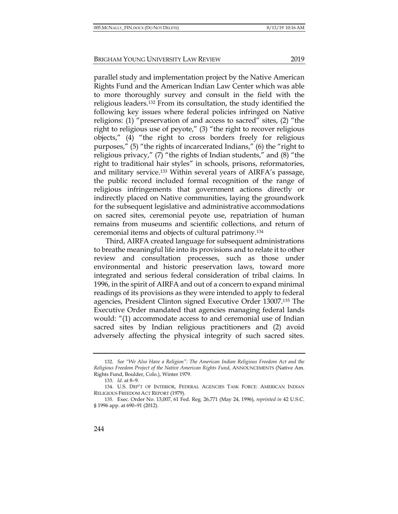parallel study and implementation project by the Native American Rights Fund and the American Indian Law Center which was able to more thoroughly survey and consult in the field with the religious leaders.132 From its consultation, the study identified the following key issues where federal policies infringed on Native religions: (1) "preservation of and access to sacred" sites, (2) "the right to religious use of peyote," (3) "the right to recover religious objects," (4) "the right to cross borders freely for religious purposes," (5) "the rights of incarcerated Indians," (6) the "right to

religious privacy,"  $(7)$  "the rights of Indian students," and  $(8)$  "the right to traditional hair styles" in schools, prisons, reformatories, and military service.133 Within several years of AIRFA's passage, the public record included formal recognition of the range of religious infringements that government actions directly or indirectly placed on Native communities, laying the groundwork for the subsequent legislative and administrative accommodations on sacred sites, ceremonial peyote use, repatriation of human remains from museums and scientific collections, and return of ceremonial items and objects of cultural patrimony.134

Third, AIRFA created language for subsequent administrations to breathe meaningful life into its provisions and to relate it to other review and consultation processes, such as those under environmental and historic preservation laws, toward more integrated and serious federal consideration of tribal claims. In 1996, in the spirit of AIRFA and out of a concern to expand minimal readings of its provisions as they were intended to apply to federal agencies, President Clinton signed Executive Order 13007.135 The Executive Order mandated that agencies managing federal lands would: "(1) accommodate access to and ceremonial use of Indian sacred sites by Indian religious practitioners and (2) avoid adversely affecting the physical integrity of such sacred sites.

<sup>132.</sup> *See "We Also Have a Religion": The American Indian Religious Freedom Act and the Religious Freedom Project of the Native American Rights Fund*, ANNOUNCEMENTS (Native Am. Rights Fund, Boulder, Colo.), Winter 1979.

<sup>133.</sup> *Id.* at 8–9.

<sup>134.</sup> U.S. DEP'T OF INTERIOR, FEDERAL AGENCIES TASK FORCE: AMERICAN INDIAN RELIGIOUS FREEDOM ACT REPORT (1979).

<sup>135.</sup> Exec. Order No. 13,007, 61 Fed. Reg. 26,771 (May 24, 1996), *reprinted in* 42 U.S.C. § 1996 app. at 690-91 (2012).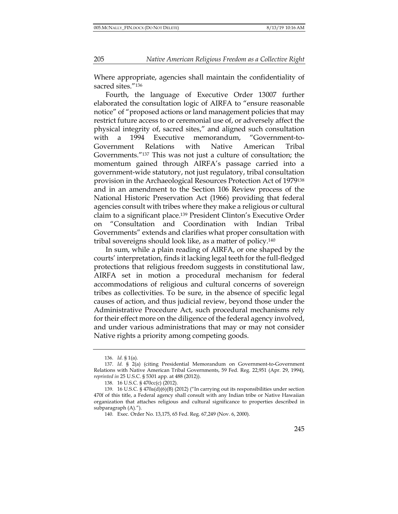Where appropriate, agencies shall maintain the confidentiality of sacred sites."<sup>136</sup>

Fourth, the language of Executive Order 13007 further elaborated the consultation logic of AIRFA to "ensure reasonable notice" of "proposed actions or land management policies that may restrict future access to or ceremonial use of, or adversely affect the physical integrity of, sacred sites," and aligned such consultation with a 1994 Executive memorandum, "Government-to-Government Relations with Native American Tribal Governments."137 This was not just a culture of consultation; the momentum gained through AIRFA's passage carried into a government-wide statutory, not just regulatory, tribal consultation provision in the Archaeological Resources Protection Act of 1979138 and in an amendment to the Section 106 Review process of the National Historic Preservation Act (1966) providing that federal agencies consult with tribes where they make a religious or cultural claim to a significant place.139 President Clinton's Executive Order on "Consultation and Coordination with Indian Tribal Governments" extends and clarifies what proper consultation with tribal sovereigns should look like, as a matter of policy.140

In sum, while a plain reading of AIRFA, or one shaped by the courts' interpretation, finds it lacking legal teeth for the full-fledged protections that religious freedom suggests in constitutional law, AIRFA set in motion a procedural mechanism for federal accommodations of religious and cultural concerns of sovereign tribes as collectivities. To be sure, in the absence of specific legal causes of action, and thus judicial review, beyond those under the Administrative Procedure Act, such procedural mechanisms rely for their effect more on the diligence of the federal agency involved, and under various administrations that may or may not consider Native rights a priority among competing goods.

<sup>136.</sup> *Id.* § 1(a).

<sup>137.</sup> *Id.* § 2(a) (citing Presidential Memorandum on Government-to-Government Relations with Native American Tribal Governments, 59 Fed. Reg. 22,951 (Apr. 29, 1994), *reprinted in* 25 U.S.C. § 5301 app. at 488 (2012)).

<sup>138.</sup> 16 U.S.C. § 470cc(c) (2012).

<sup>139.</sup> 16 U.S.C. § 470a(d)(6)(B) (2012) ("In carrying out its responsibilities under section 470f of this title, a Federal agency shall consult with any Indian tribe or Native Hawaiian organization that attaches religious and cultural significance to properties described in subparagraph (A).").

<sup>140.</sup> Exec. Order No. 13,175, 65 Fed. Reg. 67,249 (Nov. 6, 2000).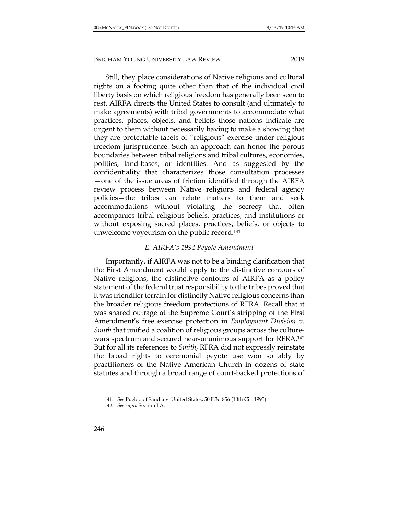Still, they place considerations of Native religious and cultural rights on a footing quite other than that of the individual civil liberty basis on which religious freedom has generally been seen to rest. AIRFA directs the United States to consult (and ultimately to make agreements) with tribal governments to accommodate what practices, places, objects, and beliefs those nations indicate are urgent to them without necessarily having to make a showing that they are protectable facets of "religious" exercise under religious freedom jurisprudence. Such an approach can honor the porous boundaries between tribal religions and tribal cultures, economies, polities, land-bases, or identities. And as suggested by the confidentiality that characterizes those consultation processes —one of the issue areas of friction identified through the AIRFA review process between Native religions and federal agency policies—the tribes can relate matters to them and seek accommodations without violating the secrecy that often accompanies tribal religious beliefs, practices, and institutions or without exposing sacred places, practices, beliefs, or objects to unwelcome voyeurism on the public record.141

# *E. AIRFA's 1994 Peyote Amendment*

Importantly, if AIRFA was not to be a binding clarification that the First Amendment would apply to the distinctive contours of Native religions, the distinctive contours of AIRFA as a policy statement of the federal trust responsibility to the tribes proved that it was friendlier terrain for distinctly Native religious concerns than the broader religious freedom protections of RFRA. Recall that it was shared outrage at the Supreme Court's stripping of the First Amendment's free exercise protection in *Employment Division v. Smith* that unified a coalition of religious groups across the culturewars spectrum and secured near-unanimous support for RFRA.142 But for all its references to *Smith*, RFRA did not expressly reinstate the broad rights to ceremonial peyote use won so ably by practitioners of the Native American Church in dozens of state statutes and through a broad range of court-backed protections of

<sup>141.</sup> *See* Pueblo of Sandia v. United States, 50 F.3d 856 (10th Cir. 1995).

<sup>142.</sup> *See supra* Section I.A.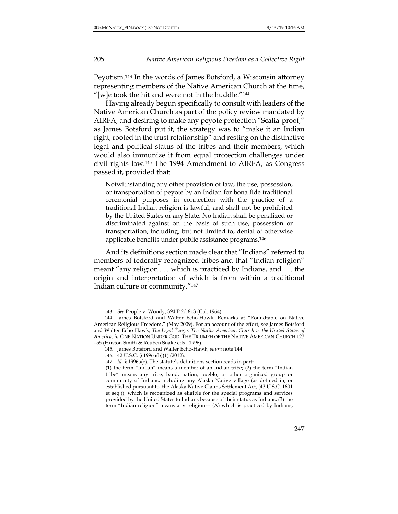Peyotism.143 In the words of James Botsford, a Wisconsin attorney representing members of the Native American Church at the time, "[w]e took the hit and were not in the huddle." $144$ 

Having already begun specifically to consult with leaders of the Native American Church as part of the policy review mandated by AIRFA, and desiring to make any peyote protection "Scalia-proof," as James Botsford put it, the strategy was to "make it an Indian right, rooted in the trust relationship" and resting on the distinctive legal and political status of the tribes and their members, which would also immunize it from equal protection challenges under civil rights law.145 The 1994 Amendment to AIRFA, as Congress passed it, provided that:

Notwithstanding any other provision of law, the use, possession, or transportation of peyote by an Indian for bona fide traditional ceremonial purposes in connection with the practice of a traditional Indian religion is lawful, and shall not be prohibited by the United States or any State. No Indian shall be penalized or discriminated against on the basis of such use, possession or transportation, including, but not limited to, denial of otherwise applicable benefits under public assistance programs.146

And its definitions section made clear that "Indians" referred to members of federally recognized tribes and that "Indian religion" meant "any religion . . . which is practiced by Indians, and . . . the origin and interpretation of which is from within a traditional Indian culture or community."147

<sup>143.</sup> *See* People v. Woody, 394 P.2d 813 (Cal. 1964).

<sup>144.</sup> James Botsford and Walter Echo-Hawk, Remarks at "Roundtable on Native American Religious Freedom," (May 2009). For an account of the effort, see James Botsford and Walter Echo Hawk, *The Legal Tango: The Native American Church v. the United States of America*, *in* ONE NATION UNDER GOD: THE TRIUMPH OF THE NATIVE AMERICAN CHURCH 123 –55 (Huston Smith & Reuben Snake eds., 1996).

<sup>145.</sup> James Botsford and Walter Echo-Hawk, *supra* note 144.

<sup>146.</sup> 42 U.S.C. § 1996a(b)(1) (2012).

<sup>147.</sup> *Id.* § 1996a(c). The statute's definitions section reads in part:

<sup>(1)</sup> the term "Indian" means a member of an Indian tribe; (2) the term "Indian tribe" means any tribe, band, nation, pueblo, or other organized group or community of Indians, including any Alaska Native village (as defined in, or established pursuant to, the Alaska Native Claims Settlement Act, (43 U.S.C. 1601 et seq.)), which is recognized as eligible for the special programs and services provided by the United States to Indians because of their status as Indians; (3) the term "Indian religion" means any religion— (A) which is practiced by Indians,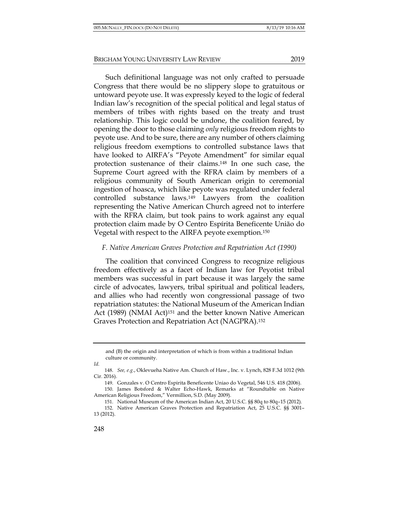Such definitional language was not only crafted to persuade Congress that there would be no slippery slope to gratuitous or untoward peyote use. It was expressly keyed to the logic of federal Indian law's recognition of the special political and legal status of members of tribes with rights based on the treaty and trust relationship. This logic could be undone, the coalition feared, by opening the door to those claiming *only* religious freedom rights to peyote use. And to be sure, there are any number of others claiming religious freedom exemptions to controlled substance laws that have looked to AIRFA's "Peyote Amendment" for similar equal protection sustenance of their claims.148 In one such case, the Supreme Court agreed with the RFRA claim by members of a religious community of South American origin to ceremonial ingestion of hoasca, which like peyote was regulated under federal controlled substance laws.149 Lawyers from the coalition representing the Native American Church agreed not to interfere with the RFRA claim, but took pains to work against any equal protection claim made by O Centro Espírita Beneficente União do Vegetal with respect to the AIRFA peyote exemption.150

#### *F. Native American Graves Protection and Repatriation Act (1990)*

The coalition that convinced Congress to recognize religious freedom effectively as a facet of Indian law for Peyotist tribal members was successful in part because it was largely the same circle of advocates, lawyers, tribal spiritual and political leaders, and allies who had recently won congressional passage of two repatriation statutes: the National Museum of the American Indian Act (1989) (NMAI Act)<sup>151</sup> and the better known Native American Graves Protection and Repatriation Act (NAGPRA).152

*Id.*

and (B) the origin and interpretation of which is from within a traditional Indian culture or community.

<sup>148.</sup> *See, e.g.*, Oklevueha Native Am. Church of Haw., Inc. v. Lynch, 828 F.3d 1012 (9th Cir. 2016).

<sup>149.</sup> Gonzales v. O Centro Espirita Beneficente Uniao do Vegetal, 546 U.S. 418 (2006).

<sup>150.</sup> James Botsford & Walter Echo-Hawk, Remarks at "Roundtable on Native American Religious Freedom," Vermillion, S.D. (May 2009).

<sup>151.</sup> National Museum of the American Indian Act, 20 U.S.C. §§ 80q to 80q–15 (2012).

<sup>152.</sup> Native American Graves Protection and Repatriation Act, 25 U.S.C. §§ 3001– 13 (2012).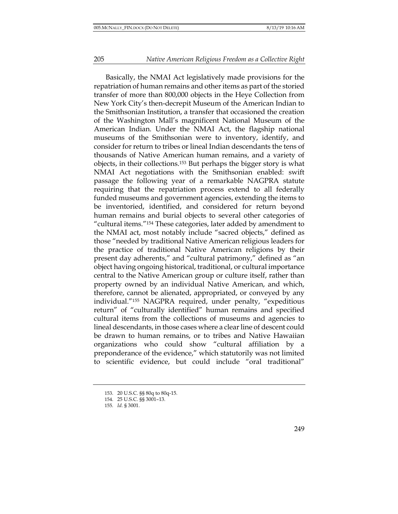Basically, the NMAI Act legislatively made provisions for the repatriation of human remains and other items as part of the storied transfer of more than 800,000 objects in the Heye Collection from New York City's then-decrepit Museum of the American Indian to the Smithsonian Institution, a transfer that occasioned the creation of the Washington Mall's magnificent National Museum of the American Indian. Under the NMAI Act, the flagship national museums of the Smithsonian were to inventory, identify, and consider for return to tribes or lineal Indian descendants the tens of thousands of Native American human remains, and a variety of objects, in their collections.153 But perhaps the bigger story is what NMAI Act negotiations with the Smithsonian enabled: swift passage the following year of a remarkable NAGPRA statute requiring that the repatriation process extend to all federally funded museums and government agencies, extending the items to be inventoried, identified, and considered for return beyond human remains and burial objects to several other categories of "cultural items."154 These categories, later added by amendment to the NMAI act, most notably include "sacred objects," defined as those "needed by traditional Native American religious leaders for the practice of traditional Native American religions by their present day adherents," and "cultural patrimony," defined as "an object having ongoing historical, traditional, or cultural importance central to the Native American group or culture itself, rather than property owned by an individual Native American, and which, therefore, cannot be alienated, appropriated, or conveyed by any individual."155 NAGPRA required, under penalty, "expeditious return" of "culturally identified" human remains and specified cultural items from the collections of museums and agencies to lineal descendants, in those cases where a clear line of descent could be drawn to human remains, or to tribes and Native Hawaiian organizations who could show "cultural affiliation by a preponderance of the evidence," which statutorily was not limited to scientific evidence, but could include "oral traditional"

<sup>153.</sup> 20 U.S.C. §§ 80q to 80q-15.

<sup>154.</sup> 25 U.S.C. §§ 3001–13.

<sup>155</sup>*. Id.* § 3001.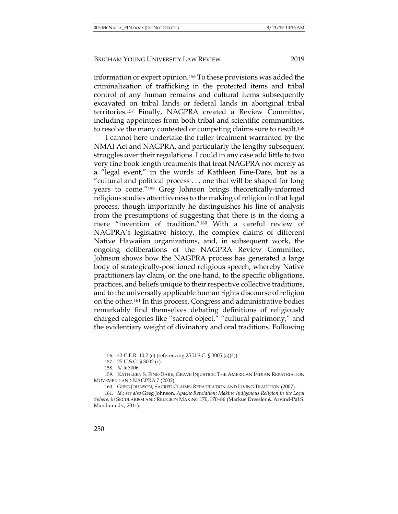information or expert opinion.156 To these provisions was added the criminalization of trafficking in the protected items and tribal control of any human remains and cultural items subsequently excavated on tribal lands or federal lands in aboriginal tribal territories.157 Finally, NAGPRA created a Review Committee, including appointees from both tribal and scientific communities, to resolve the many contested or competing claims sure to result.158

I cannot here undertake the fuller treatment warranted by the NMAI Act and NAGPRA, and particularly the lengthy subsequent struggles over their regulations. I could in any case add little to two very fine book length treatments that treat NAGPRA not merely as a "legal event," in the words of Kathleen Fine-Dare, but as a "cultural and political process . . . one that will be shaped for long years to come."159 Greg Johnson brings theoretically-informed religious studies attentiveness to the making of religion in that legal process, though importantly he distinguishes his line of analysis from the presumptions of suggesting that there is in the doing a mere "invention of tradition."160 With a careful review of NAGPRA's legislative history, the complex claims of different Native Hawaiian organizations, and, in subsequent work, the ongoing deliberations of the NAGPRA Review Committee, Johnson shows how the NAGPRA process has generated a large body of strategically-positioned religious speech, whereby Native practitioners lay claim, on the one hand, to the specific obligations, practices, and beliefs unique to their respective collective traditions, and to the universally applicable human rights discourse of religion on the other.161 In this process, Congress and administrative bodies remarkably find themselves debating definitions of religiously charged categories like "sacred object," "cultural patrimony," and the evidentiary weight of divinatory and oral traditions. Following

<sup>156.</sup> 43 C.F.R. 10.2 (e) (referencing 25 U.S.C. § 3005 (a)(4)).

<sup>157.</sup> 25 U.S.C. § 3002 (c).

<sup>158.</sup> *Id.* § 3006.

<sup>159.</sup> KATHLEEN S. FINE-DARE, GRAVE INJUSTICE: THE AMERICAN INDIAN REPATRIATION MOVEMENT AND NAGPRA 7 (2002).

<sup>160.</sup> GREG JOHNSON, SACRED CLAIMS: REPATRIATION AND LIVING TRADITION (2007).

<sup>161.</sup> *Id.*; *see also* Greg Johnson, *Apache Revelation: Making Indigenous Religion in the Legal Sphere, in* SECULARISM AND RELIGION MAKING 170, 170–86 (Markus Dressler & Arvind-Pal S. Mandair eds., 2011).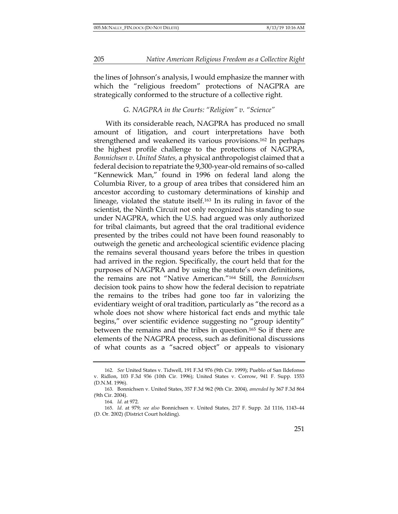the lines of Johnson's analysis, I would emphasize the manner with which the "religious freedom" protections of NAGPRA are strategically conformed to the structure of a collective right.

# *G. NAGPRA in the Courts: "Religion" v. "Science"*

With its considerable reach, NAGPRA has produced no small amount of litigation, and court interpretations have both strengthened and weakened its various provisions.162 In perhaps the highest profile challenge to the protections of NAGPRA, *Bonnichsen v. United States,* a physical anthropologist claimed that a federal decision to repatriate the 9,300-year-old remains of so-called "Kennewick Man," found in 1996 on federal land along the Columbia River, to a group of area tribes that considered him an ancestor according to customary determinations of kinship and lineage, violated the statute itself.163 In its ruling in favor of the scientist, the Ninth Circuit not only recognized his standing to sue under NAGPRA, which the U.S. had argued was only authorized for tribal claimants, but agreed that the oral traditional evidence presented by the tribes could not have been found reasonably to outweigh the genetic and archeological scientific evidence placing the remains several thousand years before the tribes in question had arrived in the region. Specifically, the court held that for the purposes of NAGPRA and by using the statute's own definitions, the remains are not "Native American."164 Still, the *Bonnichsen* decision took pains to show how the federal decision to repatriate the remains to the tribes had gone too far in valorizing the evidentiary weight of oral tradition, particularly as "the record as a whole does not show where historical fact ends and mythic tale begins," over scientific evidence suggesting no "group identity" between the remains and the tribes in question.165 So if there are elements of the NAGPRA process, such as definitional discussions of what counts as a "sacred object" or appeals to visionary

<sup>162.</sup> *See* United States v. Tidwell, 191 F.3d 976 (9th Cir. 1999); Pueblo of San Ildefonso v. Ridlon, 103 F.3d 936 (10th Cir. 1996); United States v. Corrow, 941 F. Supp. 1553 (D.N.M. 1996).

<sup>163.</sup> Bonnichsen v. United States, 357 F.3d 962 (9th Cir. 2004)*, amended by* 367 F.3d 864 (9th Cir. 2004).

<sup>164.</sup> *Id.* at 972.

<sup>165.</sup> *Id*. at 979; *see also* Bonnichsen v. United States, 217 F. Supp. 2d 1116, 1143–44 (D. Or. 2002) (District Court holding).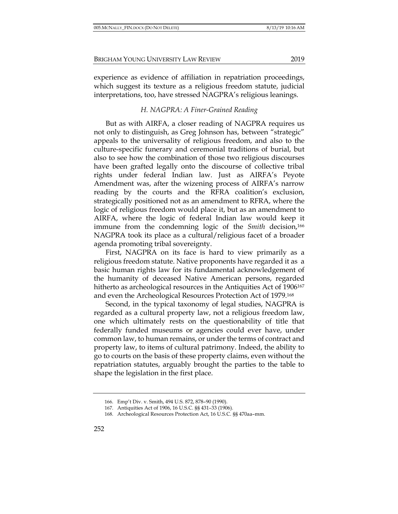experience as evidence of affiliation in repatriation proceedings, which suggest its texture as a religious freedom statute, judicial interpretations, too, have stressed NAGPRA's religious leanings.

## *H. NAGPRA: A Finer-Grained Reading*

But as with AIRFA, a closer reading of NAGPRA requires us not only to distinguish, as Greg Johnson has, between "strategic" appeals to the universality of religious freedom, and also to the culture-specific funerary and ceremonial traditions of burial, but also to see how the combination of those two religious discourses have been grafted legally onto the discourse of collective tribal rights under federal Indian law. Just as AIRFA's Peyote Amendment was, after the wizening process of AIRFA's narrow reading by the courts and the RFRA coalition's exclusion, strategically positioned not as an amendment to RFRA, where the logic of religious freedom would place it, but as an amendment to AIRFA, where the logic of federal Indian law would keep it immune from the condemning logic of the *Smith* decision,166 NAGPRA took its place as a cultural/religious facet of a broader agenda promoting tribal sovereignty.

First, NAGPRA on its face is hard to view primarily as a religious freedom statute. Native proponents have regarded it as a basic human rights law for its fundamental acknowledgement of the humanity of deceased Native American persons, regarded hitherto as archeological resources in the Antiquities Act of 1906<sup>167</sup> and even the Archeological Resources Protection Act of 1979.168

Second, in the typical taxonomy of legal studies, NAGPRA is regarded as a cultural property law, not a religious freedom law, one which ultimately rests on the questionability of title that federally funded museums or agencies could ever have, under common law, to human remains, or under the terms of contract and property law, to items of cultural patrimony. Indeed, the ability to go to courts on the basis of these property claims, even without the repatriation statutes, arguably brought the parties to the table to shape the legislation in the first place.

<sup>166.</sup> Emp't Div. v. Smith, 494 U.S. 872, 878–90 (1990).

<sup>167.</sup> Antiquities Act of 1906, 16 U.S.C. §§ 431–33 (1906).

<sup>168.</sup> Archeological Resources Protection Act, 16 U.S.C. §§ 470aa–mm.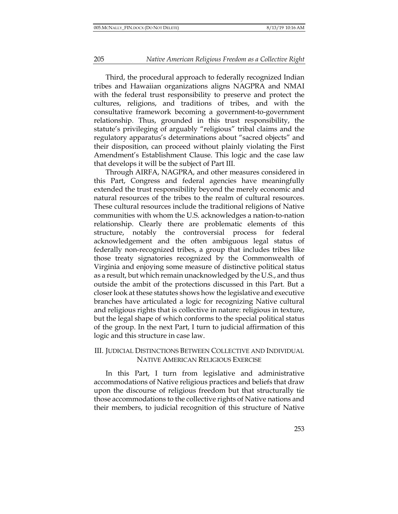Third, the procedural approach to federally recognized Indian tribes and Hawaiian organizations aligns NAGPRA and NMAI with the federal trust responsibility to preserve and protect the cultures, religions, and traditions of tribes, and with the consultative framework becoming a government-to-government relationship. Thus, grounded in this trust responsibility, the statute's privileging of arguably "religious" tribal claims and the regulatory apparatus's determinations about "sacred objects" and their disposition, can proceed without plainly violating the First Amendment's Establishment Clause. This logic and the case law that develops it will be the subject of Part III.

Through AIRFA, NAGPRA, and other measures considered in this Part, Congress and federal agencies have meaningfully extended the trust responsibility beyond the merely economic and natural resources of the tribes to the realm of cultural resources. These cultural resources include the traditional religions of Native communities with whom the U.S. acknowledges a nation-to-nation relationship. Clearly there are problematic elements of this structure, notably the controversial process for federal acknowledgement and the often ambiguous legal status of federally non-recognized tribes, a group that includes tribes like those treaty signatories recognized by the Commonwealth of Virginia and enjoying some measure of distinctive political status as a result, but which remain unacknowledged by the U.S., and thus outside the ambit of the protections discussed in this Part. But a closer look at these statutes shows how the legislative and executive branches have articulated a logic for recognizing Native cultural and religious rights that is collective in nature: religious in texture, but the legal shape of which conforms to the special political status of the group. In the next Part, I turn to judicial affirmation of this logic and this structure in case law.

#### III. JUDICIAL DISTINCTIONS BETWEEN COLLECTIVE AND INDIVIDUAL NATIVE AMERICAN RELIGIOUS EXERCISE

In this Part, I turn from legislative and administrative accommodations of Native religious practices and beliefs that draw upon the discourse of religious freedom but that structurally tie those accommodations to the collective rights of Native nations and their members, to judicial recognition of this structure of Native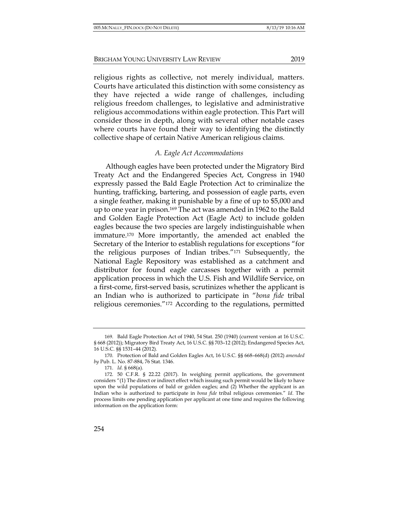religious rights as collective, not merely individual, matters. Courts have articulated this distinction with some consistency as they have rejected a wide range of challenges, including religious freedom challenges, to legislative and administrative religious accommodations within eagle protection. This Part will consider those in depth, along with several other notable cases where courts have found their way to identifying the distinctly

#### collective shape of certain Native American religious claims.

## *A. Eagle Act Accommodations*

Although eagles have been protected under the Migratory Bird Treaty Act and the Endangered Species Act, Congress in 1940 expressly passed the Bald Eagle Protection Act to criminalize the hunting, trafficking, bartering, and possession of eagle parts, even a single feather, making it punishable by a fine of up to \$5,000 and up to one year in prison.169 The act was amended in 1962 to the Bald and Golden Eagle Protection Act (Eagle Act*)* to include golden eagles because the two species are largely indistinguishable when immature.170 More importantly, the amended act enabled the Secretary of the Interior to establish regulations for exceptions "for the religious purposes of Indian tribes."171 Subsequently, the National Eagle Repository was established as a catchment and distributor for found eagle carcasses together with a permit application process in which the U.S. Fish and Wildlife Service, on a first-come, first-served basis, scrutinizes whether the applicant is an Indian who is authorized to participate in "*bona fide* tribal religious ceremonies."172 According to the regulations, permitted

<sup>169.</sup> Bald Eagle Protection Act of 1940, 54 Stat. 250 (1940) (current version at 16 U.S.C. § 668 (2012)); Migratory Bird Treaty Act, 16 U.S.C. §§ 703–12 (2012); Endangered Species Act, 16 U.S.C. §§ 1531–44 (2012).

<sup>170.</sup> Protection of Bald and Golden Eagles Act, 16 U.S.C. §§ 668–668(d) (2012) *amended by* Pub. L. No. 87-884, 76 Stat. 1346.

<sup>171.</sup> *Id.* § 668(a).

<sup>172.</sup> 50 C.F.R. § 22.22 (2017). In weighing permit applications, the government considers "(1) The direct or indirect effect which issuing such permit would be likely to have upon the wild populations of bald or golden eagles; and (2) Whether the applicant is an Indian who is authorized to participate in *bona fide* tribal religious ceremonies." *Id*. The process limits one pending application per applicant at one time and requires the following information on the application form: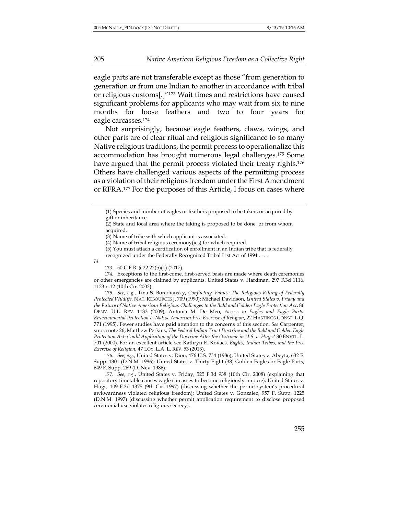eagle parts are not transferable except as those "from generation to generation or from one Indian to another in accordance with tribal or religious customs[.]"173 Wait times and restrictions have caused significant problems for applicants who may wait from six to nine months for loose feathers and two to four years for eagle carcasses.174

Not surprisingly, because eagle feathers, claws, wings, and other parts are of clear ritual and religious significance to so many Native religious traditions, the permit process to operationalize this accommodation has brought numerous legal challenges.175 Some have argued that the permit process violated their treaty rights.<sup>176</sup> Others have challenged various aspects of the permitting process as a violation of their religious freedom under the First Amendment or RFRA.177 For the purposes of this Article, I focus on cases where

*Id*.

174. Exceptions to the first-come, first-served basis are made where death ceremonies or other emergencies are claimed by applicants. United States v. Hardman, 297 F.3d 1116, 1123 n.12 (10th Cir. 2002).

175. *See, e.g.*, Tina S. Boradiansky, *Conflicting Values: The Religious Killing of Federally Protected Wildlife*, NAT. RESOURCES J. 709 (1990); Michael Davidson, *United States v. Friday and the Future of Native American Religious Challenges to the Bald and Golden Eagle Protection Act*, 86 DENV. U.L. REV. 1133 (2009); Antonia M. De Meo, *Access to Eagles and Eagle Parts: Environmental Protection v. Native American Free Exercise of Religion*, 22 HASTINGS CONST. L.Q. 771 (1995). Fewer studies have paid attention to the concerns of this section. *See* Carpenter, supra note 26; Matthew Perkins, *The Federal Indian Trust Doctrine and the Bald and Golden Eagle Protection Act: Could Application of the Doctrine Alter the Outcome in U.S. v. Hugs?* 30 ENVTL. L. 701 (2000). For an excellent article see Kathryn E. Kovacs, *Eagles, Indian Tribes, and the Free Exercise of Religion,* 47 LOY. L.A. L. REV. 53 (2013).

176. *See, e.g.*, United States v. Dion, 476 U.S. 734 (1986); United States v. Abeyta, 632 F. Supp. 1301 (D.N.M. 1986)*;* United States v. Thirty Eight (38) Golden Eagles or Eagle Parts, 649 F. Supp. 269 (D. Nev. 1986).

177. *See, e.g.*, United States v. Friday*,* 525 F.3d 938 (10th Cir. 2008) (explaining that repository timetable causes eagle carcasses to become religiously impure); United States v. Hugs*,* 109 F.3d 1375 (9th Cir. 1997) (discussing whether the permit system's procedural awkwardness violated religious freedom); United States v. Gonzalez, 957 F. Supp. 1225 (D.N.M. 1997) (discussing whether permit application requirement to disclose proposed ceremonial use violates religious secrecy).

<sup>(1)</sup> Species and number of eagles or feathers proposed to be taken, or acquired by gift or inheritance.

<sup>(2)</sup> State and local area where the taking is proposed to be done, or from whom acquired.

<sup>(3)</sup> Name of tribe with which applicant is associated.

<sup>(4)</sup> Name of tribal religious ceremony(ies) for which required.

<sup>(5)</sup> You must attach a certification of enrollment in an Indian tribe that is federally

recognized under the Federally Recognized Tribal List Act of 1994 . . . .

<sup>173.</sup> 50 C.F.R. § 22.22(b)(1) (2017).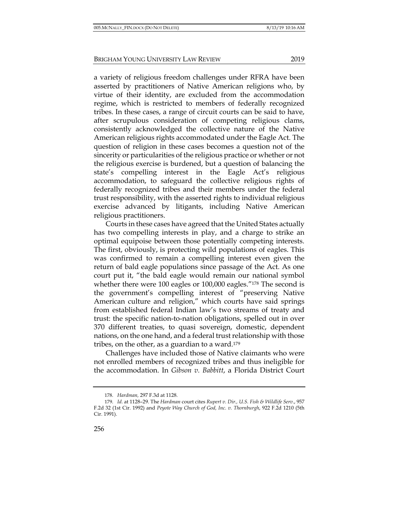a variety of religious freedom challenges under RFRA have been asserted by practitioners of Native American religions who, by virtue of their identity, are excluded from the accommodation regime, which is restricted to members of federally recognized tribes. In these cases, a range of circuit courts can be said to have, after scrupulous consideration of competing religious clams, consistently acknowledged the collective nature of the Native American religious rights accommodated under the Eagle Act. The question of religion in these cases becomes a question not of the sincerity or particularities of the religious practice or whether or not the religious exercise is burdened, but a question of balancing the state's compelling interest in the Eagle Act's religious accommodation, to safeguard the collective religious rights of federally recognized tribes and their members under the federal trust responsibility, with the asserted rights to individual religious exercise advanced by litigants, including Native American religious practitioners.

Courts in these cases have agreed that the United States actually has two compelling interests in play, and a charge to strike an optimal equipoise between those potentially competing interests. The first, obviously, is protecting wild populations of eagles. This was confirmed to remain a compelling interest even given the return of bald eagle populations since passage of the Act. As one court put it, "the bald eagle would remain our national symbol whether there were 100 eagles or 100,000 eagles."178 The second is the government's compelling interest of "preserving Native American culture and religion," which courts have said springs from established federal Indian law's two streams of treaty and trust: the specific nation-to-nation obligations, spelled out in over 370 different treaties, to quasi sovereign, domestic, dependent nations, on the one hand, and a federal trust relationship with those tribes, on the other, as a guardian to a ward.179

Challenges have included those of Native claimants who were not enrolled members of recognized tribes and thus ineligible for the accommodation. In *Gibson v. Babbitt*, a Florida District Court

<sup>178.</sup> *Hardman,* 297 F.3d at 1128.

<sup>179.</sup> *Id.* at 1128–29. The *Hardman* court cites *Rupert v. Dir., U.S. Fish & Wildlife Serv.*, 957 F.2d 32 (1st Cir. 1992) and *Peyote Way Church of God, Inc. v. Thornburgh*, 922 F.2d 1210 (5th Cir. 1991).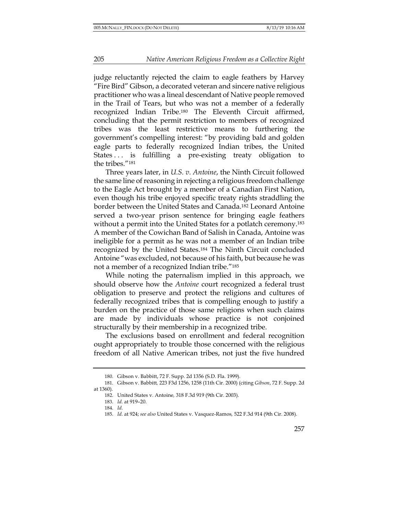judge reluctantly rejected the claim to eagle feathers by Harvey "Fire Bird" Gibson, a decorated veteran and sincere native religious practitioner who was a lineal descendant of Native people removed in the Trail of Tears, but who was not a member of a federally recognized Indian Tribe.180 The Eleventh Circuit affirmed, concluding that the permit restriction to members of recognized tribes was the least restrictive means to furthering the government's compelling interest: "by providing bald and golden eagle parts to federally recognized Indian tribes, the United States ... is fulfilling a pre-existing treaty obligation to the tribes."181

Three years later, in *U.S. v. Antoine*, the Ninth Circuit followed the same line of reasoning in rejecting a religious freedom challenge to the Eagle Act brought by a member of a Canadian First Nation, even though his tribe enjoyed specific treaty rights straddling the border between the United States and Canada.182 Leonard Antoine served a two-year prison sentence for bringing eagle feathers without a permit into the United States for a potlatch ceremony.<sup>183</sup> A member of the Cowichan Band of Salish in Canada, Antoine was ineligible for a permit as he was not a member of an Indian tribe recognized by the United States.184 The Ninth Circuit concluded Antoine "was excluded, not because of his faith, but because he was not a member of a recognized Indian tribe."185

While noting the paternalism implied in this approach, we should observe how the *Antoine* court recognized a federal trust obligation to preserve and protect the religions and cultures of federally recognized tribes that is compelling enough to justify a burden on the practice of those same religions when such claims are made by individuals whose practice is not conjoined structurally by their membership in a recognized tribe.

The exclusions based on enrollment and federal recognition ought appropriately to trouble those concerned with the religious freedom of all Native American tribes, not just the five hundred

<sup>180.</sup> Gibson v. Babbitt, 72 F. Supp. 2d 1356 (S.D. Fla. 1999).

<sup>181.</sup> Gibson v. Babbitt*,* 223 F3d 1256, 1258 (11th Cir. 2000) (citing *Gibson*, 72 F. Supp. 2d at 1360).

<sup>182.</sup> United States v. Antoine*,* 318 F.3d 919 (9th Cir. 2003).

<sup>183.</sup> *Id.* at 919–20.

<sup>184.</sup> *Id.*

<sup>185.</sup> *Id.* at 924; *see also* United States v. Vasquez-Ramos*,* 522 F.3d 914 (9th Cir. 2008).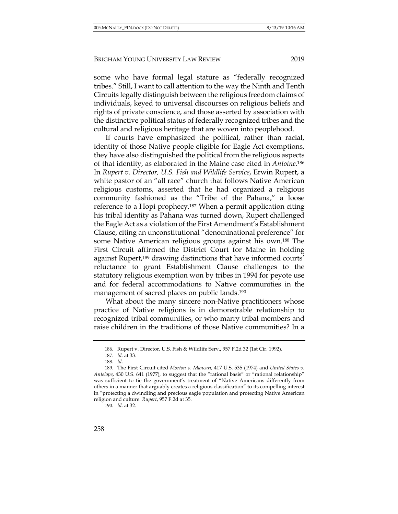some who have formal legal stature as "federally recognized tribes." Still, I want to call attention to the way the Ninth and Tenth Circuits legally distinguish between the religious freedom claims of individuals, keyed to universal discourses on religious beliefs and rights of private conscience, and those asserted by association with the distinctive political status of federally recognized tribes and the cultural and religious heritage that are woven into peoplehood.

If courts have emphasized the political, rather than racial, identity of those Native people eligible for Eagle Act exemptions, they have also distinguished the political from the religious aspects of that identity, as elaborated in the Maine case cited in *Antoine.*<sup>186</sup> In *Rupert v. Director, U.S. Fish and Wildlife Service*, Erwin Rupert, a white pastor of an "all race" church that follows Native American religious customs, asserted that he had organized a religious community fashioned as the "Tribe of the Pahana," a loose reference to a Hopi prophecy.187 When a permit application citing his tribal identity as Pahana was turned down, Rupert challenged the Eagle Act as a violation of the First Amendment's Establishment Clause, citing an unconstitutional "denominational preference" for some Native American religious groups against his own.188 The First Circuit affirmed the District Court for Maine in holding against Rupert,189 drawing distinctions that have informed courts' reluctance to grant Establishment Clause challenges to the statutory religious exemption won by tribes in 1994 for peyote use and for federal accommodations to Native communities in the management of sacred places on public lands.190

What about the many sincere non-Native practitioners whose practice of Native religions is in demonstrable relationship to recognized tribal communities, or who marry tribal members and raise children in the traditions of those Native communities? In a

<sup>186.</sup> Rupert v. Director, U.S. Fish & Wildlife Serv.**,** 957 F.2d 32 (1st Cir. 1992).

<sup>187.</sup> *Id.* at 33.

<sup>188.</sup> *Id.*

<sup>189.</sup> The First Circuit cited *Morton v. Mancari*, 417 U.S. 535 (1974) and *United States v. Antelope*, 430 U.S. 641 (1977)*,* to suggest that the "rational basis" or "rational relationship" was sufficient to tie the government's treatment of "Native Americans differently from others in a manner that arguably creates a religious classification" to its compelling interest in "protecting a dwindling and precious eagle population and protecting Native American religion and culture. *Rupert*, 957 F.2d at 35.

<sup>190.</sup> *Id.* at 32.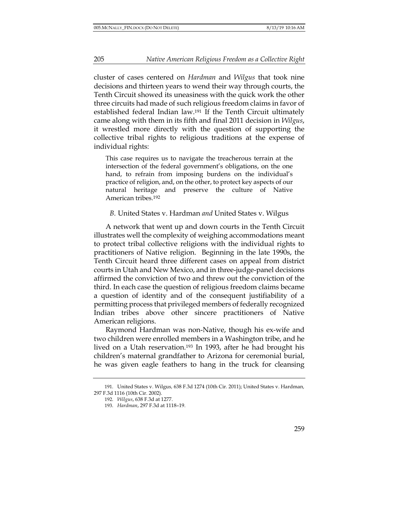cluster of cases centered on *Hardman* and *Wilgus* that took nine decisions and thirteen years to wend their way through courts, the Tenth Circuit showed its uneasiness with the quick work the other three circuits had made of such religious freedom claims in favor of established federal Indian law.191 If the Tenth Circuit ultimately came along with them in its fifth and final 2011 decision in *Wilgus*, it wrestled more directly with the question of supporting the collective tribal rights to religious traditions at the expense of individual rights:

This case requires us to navigate the treacherous terrain at the intersection of the federal government's obligations, on the one hand, to refrain from imposing burdens on the individual's practice of religion, and, on the other, to protect key aspects of our natural heritage and preserve the culture of Native American tribes.192

*B.* United States v. Hardman *and* United States v. Wilgus

A network that went up and down courts in the Tenth Circuit illustrates well the complexity of weighing accommodations meant to protect tribal collective religions with the individual rights to practitioners of Native religion. Beginning in the late 1990s, the Tenth Circuit heard three different cases on appeal from district courts in Utah and New Mexico, and in three-judge-panel decisions affirmed the conviction of two and threw out the conviction of the third. In each case the question of religious freedom claims became a question of identity and of the consequent justifiability of a permitting process that privileged members of federally recognized Indian tribes above other sincere practitioners of Native American religions.

Raymond Hardman was non-Native, though his ex-wife and two children were enrolled members in a Washington tribe, and he lived on a Utah reservation.193 In 1993, after he had brought his children's maternal grandfather to Arizona for ceremonial burial, he was given eagle feathers to hang in the truck for cleansing

<sup>191.</sup> United States v. Wilgus*,* 638 F.3d 1274 (10th Cir. 2011); United States v. Hardman*,* 297 F.3d 1116 (10th Cir. 2002).

<sup>192.</sup> *Wilgus*, 638 F.3d at 1277.

<sup>193.</sup> *Hardman*, 297 F.3d at 1118–19.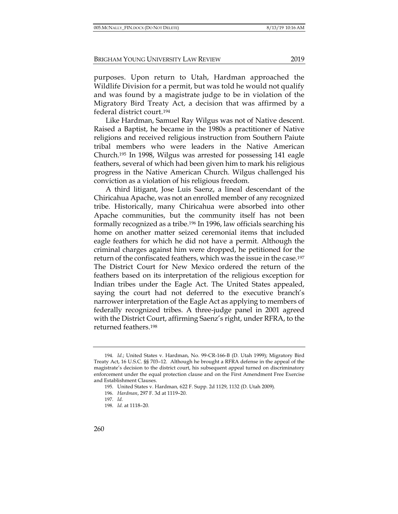purposes. Upon return to Utah, Hardman approached the Wildlife Division for a permit, but was told he would not qualify and was found by a magistrate judge to be in violation of the Migratory Bird Treaty Act, a decision that was affirmed by a federal district court.194

Like Hardman, Samuel Ray Wilgus was not of Native descent. Raised a Baptist, he became in the 1980s a practitioner of Native religions and received religious instruction from Southern Paiute tribal members who were leaders in the Native American Church.195 In 1998, Wilgus was arrested for possessing 141 eagle feathers, several of which had been given him to mark his religious progress in the Native American Church. Wilgus challenged his conviction as a violation of his religious freedom.

A third litigant, Jose Luis Saenz, a lineal descendant of the Chiricahua Apache, was not an enrolled member of any recognized tribe. Historically, many Chiricahua were absorbed into other Apache communities, but the community itself has not been formally recognized as a tribe.196 In 1996, law officials searching his home on another matter seized ceremonial items that included eagle feathers for which he did not have a permit. Although the criminal charges against him were dropped, he petitioned for the return of the confiscated feathers, which was the issue in the case.197 The District Court for New Mexico ordered the return of the feathers based on its interpretation of the religious exception for Indian tribes under the Eagle Act. The United States appealed, saying the court had not deferred to the executive branch's narrower interpretation of the Eagle Act as applying to members of federally recognized tribes. A three-judge panel in 2001 agreed with the District Court, affirming Saenz's right, under RFRA, to the returned feathers.198

<sup>194.</sup> *Id.*; United States v. Hardman, No. 99-CR-166-B (D. Utah 1999); Migratory Bird Treaty Act, 16 U.S.C. §§ 703–12. Although he brought a RFRA defense in the appeal of the magistrate's decision to the district court, his subsequent appeal turned on discriminatory enforcement under the equal protection clause and on the First Amendment Free Exercise and Establishment Clauses.

<sup>195.</sup> United States v. Hardman*,* 622 F. Supp. 2d 1129, 1132 (D. Utah 2009).

<sup>196.</sup> *Hardman*, 297 F. 3d at 1119–20.

<sup>197.</sup> *Id.*

<sup>198.</sup> *Id.* at 1118–20.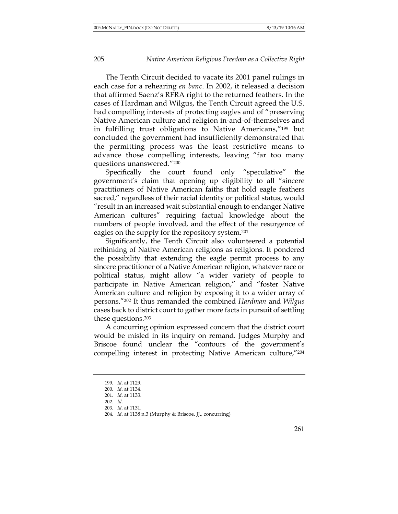The Tenth Circuit decided to vacate its 2001 panel rulings in each case for a rehearing *en banc*. In 2002, it released a decision that affirmed Saenz's RFRA right to the returned feathers. In the cases of Hardman and Wilgus, the Tenth Circuit agreed the U.S. had compelling interests of protecting eagles and of "preserving Native American culture and religion in-and-of-themselves and in fulfilling trust obligations to Native Americans,"199 but concluded the government had insufficiently demonstrated that the permitting process was the least restrictive means to advance those compelling interests, leaving "far too many questions unanswered."200

Specifically the court found only "speculative" the government's claim that opening up eligibility to all "sincere practitioners of Native American faiths that hold eagle feathers sacred," regardless of their racial identity or political status, would "result in an increased wait substantial enough to endanger Native American cultures" requiring factual knowledge about the numbers of people involved, and the effect of the resurgence of eagles on the supply for the repository system.201

Significantly, the Tenth Circuit also volunteered a potential rethinking of Native American religions as religions. It pondered the possibility that extending the eagle permit process to any sincere practitioner of a Native American religion, whatever race or political status, might allow "a wider variety of people to participate in Native American religion," and "foster Native American culture and religion by exposing it to a wider array of persons."202 It thus remanded the combined *Hardman* and *Wilgus*  cases back to district court to gather more facts in pursuit of settling these questions.203

A concurring opinion expressed concern that the district court would be misled in its inquiry on remand. Judges Murphy and Briscoe found unclear the "contours of the government's compelling interest in protecting Native American culture,"204

<sup>199.</sup> *Id.* at 1129.

<sup>200.</sup> *Id.* at 1134.

<sup>201.</sup> *Id.* at 1133.

<sup>202.</sup> *Id.*

<sup>203.</sup> *Id.* at 1131.

<sup>204.</sup> *Id.* at 1138 n.3 (Murphy & Briscoe, JJ., concurring)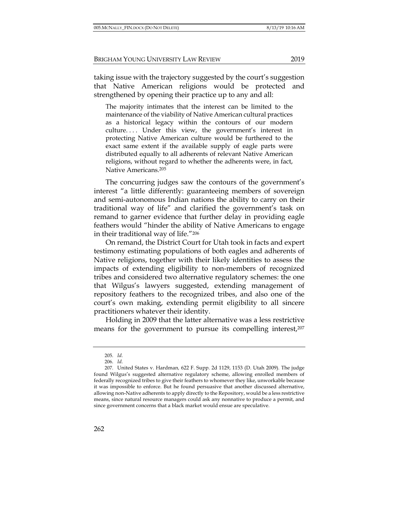taking issue with the trajectory suggested by the court's suggestion that Native American religions would be protected and strengthened by opening their practice up to any and all:

The majority intimates that the interest can be limited to the maintenance of the viability of Native American cultural practices as a historical legacy within the contours of our modern culture.... Under this view, the government's interest in protecting Native American culture would be furthered to the exact same extent if the available supply of eagle parts were distributed equally to all adherents of relevant Native American religions, without regard to whether the adherents were, in fact, Native Americans.205

The concurring judges saw the contours of the government's interest "a little differently: guaranteeing members of sovereign and semi-autonomous Indian nations the ability to carry on their traditional way of life" and clarified the government's task on remand to garner evidence that further delay in providing eagle feathers would "hinder the ability of Native Americans to engage in their traditional way of life."206

On remand, the District Court for Utah took in facts and expert testimony estimating populations of both eagles and adherents of Native religions, together with their likely identities to assess the impacts of extending eligibility to non-members of recognized tribes and considered two alternative regulatory schemes: the one that Wilgus's lawyers suggested, extending management of repository feathers to the recognized tribes, and also one of the court's own making, extending permit eligibility to all sincere practitioners whatever their identity.

Holding in 2009 that the latter alternative was a less restrictive means for the government to pursue its compelling interest,207

<sup>205.</sup> *Id.*

<sup>206.</sup> *Id.*

<sup>207.</sup> United States v. Hardman*,* 622 F. Supp. 2d 1129, 1153 (D. Utah 2009). The judge found Wilgus's suggested alternative regulatory scheme, allowing enrolled members of federally recognized tribes to give their feathers to whomever they like, unworkable because it was impossible to enforce. But he found persuasive that another discussed alternative, allowing non-Native adherents to apply directly to the Repository, would be a less restrictive means, since natural resource managers could ask any nonnative to produce a permit, and since government concerns that a black market would ensue are speculative.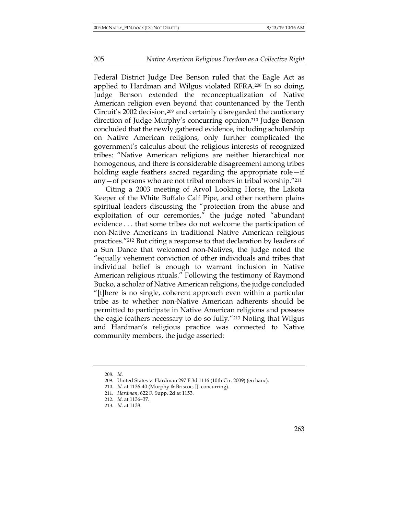Federal District Judge Dee Benson ruled that the Eagle Act as applied to Hardman and Wilgus violated RFRA.208 In so doing, Judge Benson extended the reconceptualization of Native American religion even beyond that countenanced by the Tenth Circuit's 2002 decision,209 and certainly disregarded the cautionary direction of Judge Murphy's concurring opinion.210 Judge Benson concluded that the newly gathered evidence, including scholarship on Native American religions, only further complicated the government's calculus about the religious interests of recognized tribes: "Native American religions are neither hierarchical nor homogenous, and there is considerable disagreement among tribes holding eagle feathers sacred regarding the appropriate role—if any—of persons who are not tribal members in tribal worship."211

Citing a 2003 meeting of Arvol Looking Horse, the Lakota Keeper of the White Buffalo Calf Pipe, and other northern plains spiritual leaders discussing the "protection from the abuse and exploitation of our ceremonies," the judge noted "abundant evidence . . . that some tribes do not welcome the participation of non-Native Americans in traditional Native American religious practices."212 But citing a response to that declaration by leaders of a Sun Dance that welcomed non-Natives, the judge noted the "equally vehement conviction of other individuals and tribes that individual belief is enough to warrant inclusion in Native American religious rituals." Following the testimony of Raymond Bucko, a scholar of Native American religions, the judge concluded "[t]here is no single, coherent approach even within a particular tribe as to whether non-Native American adherents should be permitted to participate in Native American religions and possess the eagle feathers necessary to do so fully."213 Noting that Wilgus and Hardman's religious practice was connected to Native community members, the judge asserted:

<sup>208.</sup> *Id.*

<sup>209.</sup> United States v. Hardman 297 F.3d 1116 (10th Cir. 2009) (en banc)*.*

<sup>210.</sup> *Id.* at 1136-40 (Murphy & Briscoe, JJ. concurring).

<sup>211.</sup> *Hardman*, 622 F. Supp. 2d at 1153.

<sup>212.</sup> *Id.* at 1136–37.

<sup>213.</sup> *Id.* at 1138.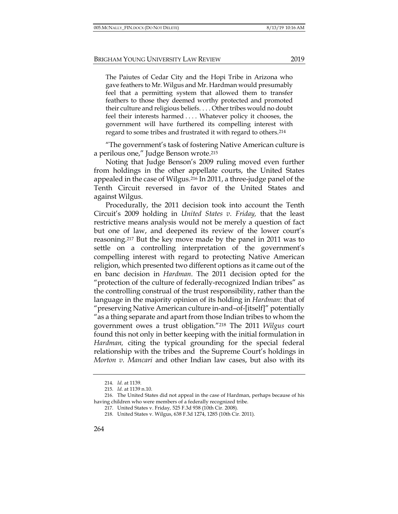The Paiutes of Cedar City and the Hopi Tribe in Arizona who gave feathers to Mr. Wilgus and Mr. Hardman would presumably feel that a permitting system that allowed them to transfer feathers to those they deemed worthy protected and promoted their culture and religious beliefs. . . . Other tribes would no doubt feel their interests harmed . . . . Whatever policy it chooses, the government will have furthered its compelling interest with regard to some tribes and frustrated it with regard to others.214

"The government's task of fostering Native American culture is a perilous one," Judge Benson wrote.215

Noting that Judge Benson's 2009 ruling moved even further from holdings in the other appellate courts, the United States appealed in the case of Wilgus.216 In 2011, a three-judge panel of the Tenth Circuit reversed in favor of the United States and against Wilgus.

Procedurally, the 2011 decision took into account the Tenth Circuit's 2009 holding in *United States v. Friday,* that the least restrictive means analysis would not be merely a question of fact but one of law, and deepened its review of the lower court's reasoning.217 But the key move made by the panel in 2011 was to settle on a controlling interpretation of the government's compelling interest with regard to protecting Native American religion, which presented two different options as it came out of the en banc decision in *Hardman*. The 2011 decision opted for the "protection of the culture of federally-recognized Indian tribes" as the controlling construal of the trust responsibility, rather than the language in the majority opinion of its holding in *Hardman*: that of "preserving Native American culture in-and–of-[itself]" potentially "as a thing separate and apart from those Indian tribes to whom the government owes a trust obligation."218 The 2011 *Wilgus* court found this not only in better keeping with the initial formulation in *Hardman,* citing the typical grounding for the special federal relationship with the tribes and the Supreme Court's holdings in *Morton v. Mancari* and other Indian law cases, but also with its

<sup>214.</sup> *Id.* at 1139.

<sup>215.</sup> *Id.* at 1139 n.10.

<sup>216.</sup> The United States did not appeal in the case of Hardman, perhaps because of his having children who were members of a federally recognized tribe.

<sup>217.</sup> United States v. Friday*,* 525 F.3d 938 (10th Cir. 2008).

<sup>218.</sup> United States v. Wilgus, 638 F.3d 1274, 1285 (10th Cir. 2011).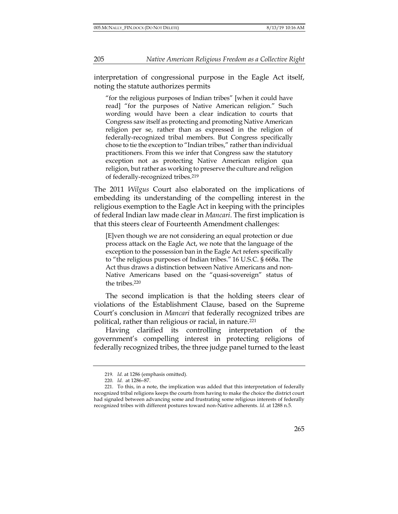interpretation of congressional purpose in the Eagle Act itself, noting the statute authorizes permits

"for the religious purposes of Indian tribes" [when it could have read] "for the purposes of Native American religion." Such wording would have been a clear indication to courts that Congress saw itself as protecting and promoting Native American religion per se, rather than as expressed in the religion of federally-recognized tribal members. But Congress specifically chose to tie the exception to "Indian tribes," rather than individual practitioners. From this we infer that Congress saw the statutory exception not as protecting Native American religion qua religion, but rather as working to preserve the culture and religion of federally-recognized tribes.219

The 2011 *Wilgus* Court also elaborated on the implications of embedding its understanding of the compelling interest in the religious exemption to the Eagle Act in keeping with the principles of federal Indian law made clear in *Mancari*. The first implication is that this steers clear of Fourteenth Amendment challenges:

[E]ven though we are not considering an equal protection or due process attack on the Eagle Act, we note that the language of the exception to the possession ban in the Eagle Act refers specifically to "the religious purposes of Indian tribes." 16 U.S.C. § 668a. The Act thus draws a distinction between Native Americans and non-Native Americans based on the "quasi-sovereign" status of the tribes.220

The second implication is that the holding steers clear of violations of the Establishment Clause, based on the Supreme Court's conclusion in *Mancari* that federally recognized tribes are political, rather than religious or racial, in nature.<sup>221</sup>

Having clarified its controlling interpretation of the government's compelling interest in protecting religions of federally recognized tribes, the three judge panel turned to the least

<sup>219</sup>*. Id.* at 1286 (emphasis omitted).

<sup>220.</sup> *Id.* at 1286–87.

<sup>221.</sup> To this, in a note, the implication was added that this interpretation of federally recognized tribal religions keeps the courts from having to make the choice the district court had signaled between advancing some and frustrating some religious interests of federally recognized tribes with different postures toward non-Native adherents. *Id.* at 1288 n.5.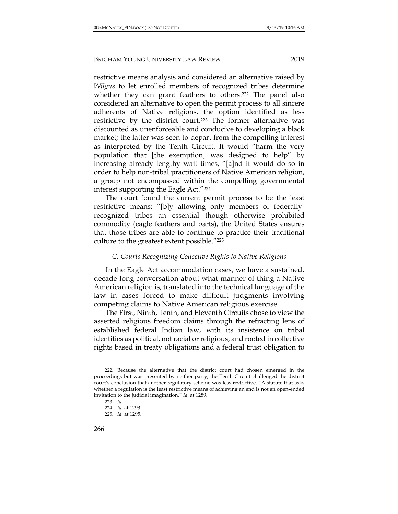restrictive means analysis and considered an alternative raised by *Wilgus* to let enrolled members of recognized tribes determine whether they can grant feathers to others.<sup>222</sup> The panel also considered an alternative to open the permit process to all sincere adherents of Native religions, the option identified as less restrictive by the district court.223 The former alternative was discounted as unenforceable and conducive to developing a black market; the latter was seen to depart from the compelling interest as interpreted by the Tenth Circuit. It would "harm the very population that [the exemption] was designed to help" by increasing already lengthy wait times, "[a]nd it would do so in order to help non-tribal practitioners of Native American religion, a group not encompassed within the compelling governmental interest supporting the Eagle Act."224

The court found the current permit process to be the least restrictive means: "[b]y allowing only members of federallyrecognized tribes an essential though otherwise prohibited commodity (eagle feathers and parts), the United States ensures that those tribes are able to continue to practice their traditional culture to the greatest extent possible."225

# *C. Courts Recognizing Collective Rights to Native Religions*

In the Eagle Act accommodation cases, we have a sustained, decade-long conversation about what manner of thing a Native American religion is, translated into the technical language of the law in cases forced to make difficult judgments involving competing claims to Native American religious exercise.

The First, Ninth, Tenth, and Eleventh Circuits chose to view the asserted religious freedom claims through the refracting lens of established federal Indian law, with its insistence on tribal identities as political, not racial or religious, and rooted in collective rights based in treaty obligations and a federal trust obligation to

<sup>222.</sup> Because the alternative that the district court had chosen emerged in the proceedings but was presented by neither party, the Tenth Circuit challenged the district court's conclusion that another regulatory scheme was less restrictive. "A statute that asks whether a regulation is the least restrictive means of achieving an end is not an open-ended invitation to the judicial imagination*.*" *Id.* at 1289.

<sup>223.</sup> *Id.*

<sup>224.</sup> *Id.* at 1293.

<sup>225.</sup> *Id.* at 1295.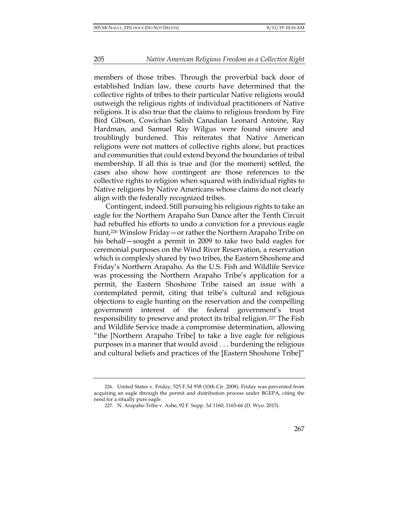members of those tribes. Through the proverbial back door of established Indian law, these courts have determined that the collective rights of tribes to their particular Native religions would outweigh the religious rights of individual practitioners of Native religions. It is also true that the claims to religious freedom by Fire Bird Gibson, Cowichan Salish Canadian Leonard Antoine, Ray Hardman, and Samuel Ray Wilgus were found sincere and troublingly burdened. This reiterates that Native American religions were not matters of collective rights alone, but practices and communities that could extend beyond the boundaries of tribal membership. If all this is true and (for the moment) settled, the cases also show how contingent are those references to the collective rights to religion when squared with individual rights to Native religions by Native Americans whose claims do not clearly align with the federally recognized tribes.

Contingent, indeed. Still pursuing his religious rights to take an eagle for the Northern Arapaho Sun Dance after the Tenth Circuit had rebuffed his efforts to undo a conviction for a previous eagle hunt,226 Winslow Friday—or rather the Northern Arapaho Tribe on his behalf—sought a permit in 2009 to take two bald eagles for ceremonial purposes on the Wind River Reservation, a reservation which is complexly shared by two tribes, the Eastern Shoshone and Friday's Northern Arapaho. As the U.S. Fish and Wildlife Service was processing the Northern Arapaho Tribe's application for a permit, the Eastern Shoshone Tribe raised an issue with a contemplated permit, citing that tribe's cultural and religious objections to eagle hunting on the reservation and the compelling government interest of the federal government's trust responsibility to preserve and protect its tribal religion.227 The Fish and Wildlife Service made a compromise determination, allowing "the [Northern Arapaho Tribe] to take a live eagle for religious purposes in a manner that would avoid . . . burdening the religious and cultural beliefs and practices of the [Eastern Shoshone Tribe]"

<sup>226.</sup> United States v. Friday, 525 F.3d 938 (10th Cir. 2008). Friday was prevented from acquiring an eagle through the permit and distribution process under BGEPA, citing the need for a ritually pure eagle.

<sup>227.</sup> N. Arapaho Tribe v. Ashe, 92 F. Supp. 3d 1160, 1165-66 (D. Wyo. 2015).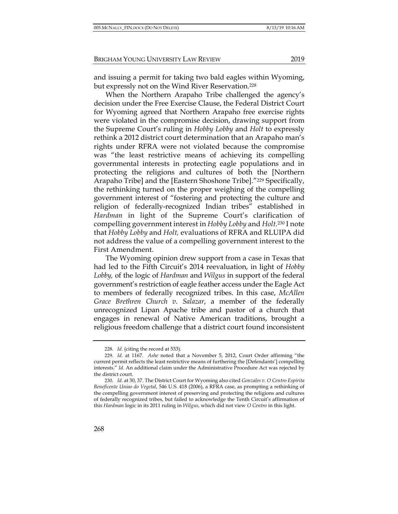and issuing a permit for taking two bald eagles within Wyoming, but expressly not on the Wind River Reservation.<sup>228</sup>

When the Northern Arapaho Tribe challenged the agency's decision under the Free Exercise Clause, the Federal District Court for Wyoming agreed that Northern Arapaho free exercise rights were violated in the compromise decision, drawing support from the Supreme Court's ruling in *Hobby Lobby* and *Holt* to expressly rethink a 2012 district court determination that an Arapaho man's rights under RFRA were not violated because the compromise was "the least restrictive means of achieving its compelling governmental interests in protecting eagle populations and in protecting the religions and cultures of both the [Northern Arapaho Tribe] and the [Eastern Shoshone Tribe]."<sup>229</sup> Specifically, the rethinking turned on the proper weighing of the compelling government interest of "fostering and protecting the culture and religion of federally-recognized Indian tribes" established in *Hardman* in light of the Supreme Court's clarification of compelling government interest in *Hobby Lobby* and *Holt.*<sup>230</sup> I note that *Hobby Lobby* and *Holt,* evaluations of RFRA and RLUIPA did not address the value of a compelling government interest to the First Amendment.

The Wyoming opinion drew support from a case in Texas that had led to the Fifth Circuit's 2014 reevaluation, in light of *Hobby Lobby,* of the logic of *Hardman* and *Wilgus* in support of the federal government's restriction of eagle feather access under the Eagle Act to members of federally recognized tribes. In this case, *McAllen Grace Brethren Church v. Salazar*, a member of the federally unrecognized Lipan Apache tribe and pastor of a church that engages in renewal of Native American traditions, brought a religious freedom challenge that a district court found inconsistent

<sup>228.</sup> *Id.* (citing the record at 533).

<sup>229.</sup> *Id.* at 1167. *Ashe* noted that a November 5, 2012, Court Order affirming "the current permit reflects the least restrictive means of furthering the [Defendants'] compelling interests." *Id.* An additional claim under the Administrative Procedure Act was rejected by the district court.

<sup>230.</sup> *Id.* at 30, 37. The District Court for Wyoming also cited *Gonzales v. O Centro Espirita Beneficente Uniao do Vegetal*, 546 U.S. 418 (2006), a RFRA case, as prompting a rethinking of the compelling government interest of preserving and protecting the religions and cultures of federally recognized tribes, but failed to acknowledge the Tenth Circuit's affirmation of this *Hardman* logic in its 2011 ruling in *Wilgus,* which did not view *O Centro* in this light.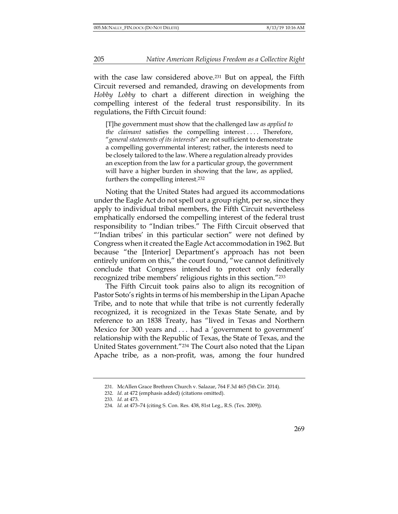with the case law considered above.<sup>231</sup> But on appeal, the Fifth Circuit reversed and remanded, drawing on developments from *Hobby Lobby* to chart a different direction in weighing the compelling interest of the federal trust responsibility. In its regulations, the Fifth Circuit found:

[T]he government must show that the challenged law *as applied to the claimant* satisfies the compelling interest .... Therefore, "*general statements of its interests*" are not sufficient to demonstrate a compelling governmental interest; rather, the interests need to be closely tailored to the law. Where a regulation already provides an exception from the law for a particular group, the government will have a higher burden in showing that the law, as applied, furthers the compelling interest.232

Noting that the United States had argued its accommodations under the Eagle Act do not spell out a group right, per se, since they apply to individual tribal members, the Fifth Circuit nevertheless emphatically endorsed the compelling interest of the federal trust responsibility to "Indian tribes." The Fifth Circuit observed that "'Indian tribes' in this particular section" were not defined by Congress when it created the Eagle Act accommodation in 1962. But because "the [Interior] Department's approach has not been entirely uniform on this," the court found, "we cannot definitively conclude that Congress intended to protect only federally recognized tribe members' religious rights in this section."233

The Fifth Circuit took pains also to align its recognition of Pastor Soto's rights in terms of his membership in the Lipan Apache Tribe, and to note that while that tribe is not currently federally recognized, it is recognized in the Texas State Senate, and by reference to an 1838 Treaty, has "lived in Texas and Northern Mexico for 300 years and . . . had a 'government to government' relationship with the Republic of Texas, the State of Texas, and the United States government."234 The Court also noted that the Lipan Apache tribe, as a non-profit, was, among the four hundred

<sup>231.</sup> McAllen Grace Brethren Church v. Salazar, 764 F.3d 465 (5th Cir. 2014).

<sup>232.</sup> *Id.* at 472 (emphasis added) (citations omitted).

<sup>233.</sup> *Id.* at 473.

<sup>234.</sup> *Id.* at 473–74 (citing S. Con. Res. 438, 81st Leg., R.S. (Tex. 2009)).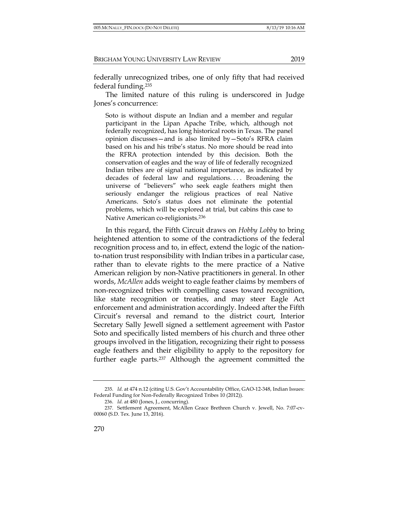federally unrecognized tribes, one of only fifty that had received federal funding.235

The limited nature of this ruling is underscored in Judge Jones's concurrence:

Soto is without dispute an Indian and a member and regular participant in the Lipan Apache Tribe, which, although not federally recognized, has long historical roots in Texas. The panel opinion discusses—and is also limited by—Soto's RFRA claim based on his and his tribe's status. No more should be read into the RFRA protection intended by this decision. Both the conservation of eagles and the way of life of federally recognized Indian tribes are of signal national importance, as indicated by decades of federal law and regulations.... Broadening the universe of "believers" who seek eagle feathers might then seriously endanger the religious practices of real Native Americans. Soto's status does not eliminate the potential problems, which will be explored at trial, but cabins this case to Native American co-religionists.236

In this regard, the Fifth Circuit draws on *Hobby Lobby* to bring heightened attention to some of the contradictions of the federal recognition process and to, in effect, extend the logic of the nationto-nation trust responsibility with Indian tribes in a particular case, rather than to elevate rights to the mere practice of a Native American religion by non-Native practitioners in general. In other words, *McAllen* adds weight to eagle feather claims by members of non-recognized tribes with compelling cases toward recognition, like state recognition or treaties, and may steer Eagle Act enforcement and administration accordingly. Indeed after the Fifth Circuit's reversal and remand to the district court, Interior Secretary Sally Jewell signed a settlement agreement with Pastor Soto and specifically listed members of his church and three other groups involved in the litigation, recognizing their right to possess eagle feathers and their eligibility to apply to the repository for further eagle parts.237 Although the agreement committed the

<sup>235.</sup> *Id.* at 474 n.12 (citing U.S. Gov't Accountability Office, GAO-12-348, Indian Issues: Federal Funding for Non-Federally Recognized Tribes 10 (2012)).

<sup>236.</sup> *Id.* at 480 (Jones, J., concurring).

<sup>237.</sup> Settlement Agreement, McAllen Grace Brethren Church v. Jewell, No. 7:07-cv-00060 (S.D. Tex. June 13, 2016).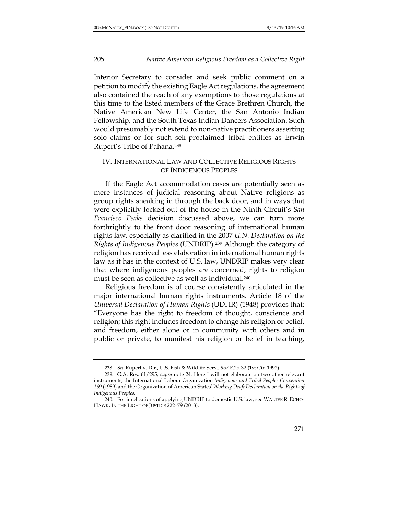Interior Secretary to consider and seek public comment on a petition to modify the existing Eagle Act regulations, the agreement also contained the reach of any exemptions to those regulations at this time to the listed members of the Grace Brethren Church, the Native American New Life Center, the San Antonio Indian Fellowship, and the South Texas Indian Dancers Association. Such would presumably not extend to non-native practitioners asserting solo claims or for such self-proclaimed tribal entities as Erwin Rupert's Tribe of Pahana.238

## IV. INTERNATIONAL LAW AND COLLECTIVE RELIGIOUS RIGHTS OF INDIGENOUS PEOPLES

If the Eagle Act accommodation cases are potentially seen as mere instances of judicial reasoning about Native religions as group rights sneaking in through the back door, and in ways that were explicitly locked out of the house in the Ninth Circuit's *San Francisco Peaks* decision discussed above, we can turn more forthrightly to the front door reasoning of international human rights law, especially as clarified in the 2007 *U.N. Declaration on the Rights of Indigenous Peoples* (UNDRIP).239 Although the category of religion has received less elaboration in international human rights law as it has in the context of U.S. law, UNDRIP makes very clear that where indigenous peoples are concerned, rights to religion must be seen as collective as well as individual.240

Religious freedom is of course consistently articulated in the major international human rights instruments. Article 18 of the *Universal Declaration of Human Rights* (UDHR) (1948) provides that: "Everyone has the right to freedom of thought, conscience and religion; this right includes freedom to change his religion or belief, and freedom, either alone or in community with others and in public or private, to manifest his religion or belief in teaching,

<sup>238.</sup> *See* Rupert v. Dir., U.S. Fish & Wildlife Serv., 957 F.2d 32 (1st Cir. 1992).

<sup>239.</sup> G.A. Res. 61/295, *supra* note 24. Here I will not elaborate on two other relevant instruments, the International Labour Organization *Indigenous and Tribal Peoples Convention 169* (1989) and the Organization of American States' *Working Draft Declaration on the Rights of Indigenous Peoples*.

<sup>240.</sup> For implications of applying UNDRIP to domestic U.S. law, see WALTER R. ECHO-HAWK, IN THE LIGHT OF JUSTICE 222–79 (2013).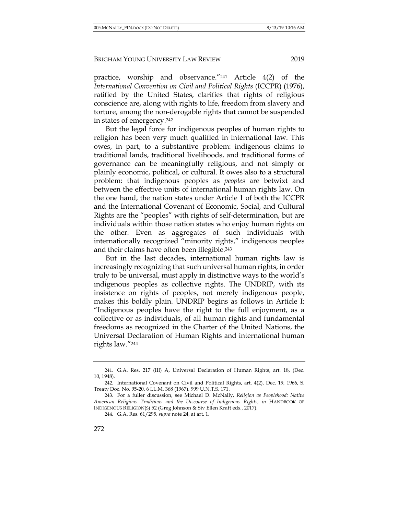practice, worship and observance."241 Article 4(2) of the *International Convention on Civil and Political Rights* (ICCPR) (1976), ratified by the United States, clarifies that rights of religious conscience are, along with rights to life, freedom from slavery and torture, among the non-derogable rights that cannot be suspended in states of emergency.242

But the legal force for indigenous peoples of human rights to religion has been very much qualified in international law. This owes, in part, to a substantive problem: indigenous claims to traditional lands, traditional livelihoods, and traditional forms of governance can be meaningfully religious, and not simply or plainly economic, political, or cultural. It owes also to a structural problem: that indigenous peoples as *peoples* are betwixt and between the effective units of international human rights law. On the one hand, the nation states under Article 1 of both the ICCPR and the International Covenant of Economic, Social, and Cultural Rights are the "peoples" with rights of self-determination, but are individuals within those nation states who enjoy human rights on the other. Even as aggregates of such individuals with internationally recognized "minority rights," indigenous peoples and their claims have often been illegible.243

But in the last decades, international human rights law is increasingly recognizing that such universal human rights, in order truly to be universal, must apply in distinctive ways to the world's indigenous peoples as collective rights. The UNDRIP, with its insistence on rights of peoples, not merely indigenous people, makes this boldly plain. UNDRIP begins as follows in Article I: "Indigenous peoples have the right to the full enjoyment, as a collective or as individuals, of all human rights and fundamental freedoms as recognized in the Charter of the United Nations, the Universal Declaration of Human Rights and international human rights law."244

<sup>241.</sup> G.A. Res. 217 (III) A, Universal Declaration of Human Rights, art. 18, (Dec. 10, 1948).

<sup>242.</sup> International Covenant on Civil and Political Rights, art. 4(2), Dec. 19, 1966, S. Treaty Doc. No. 95-20, 6 I.L.M. 368 (1967), 999 U.N.T.S. 171.

<sup>243.</sup> For a fuller discussion, see Michael D. McNally, *Religion as Peoplehood: Native American Religious Traditions and the Discourse of Indigenous Rights*, *in* HANDBOOK OF INDIGENOUS RELIGION(S) 52 (Greg Johnson & Siv Ellen Kraft eds., 2017).

<sup>244.</sup> G.A. Res. 61/295, *supra* note 24, at art. 1.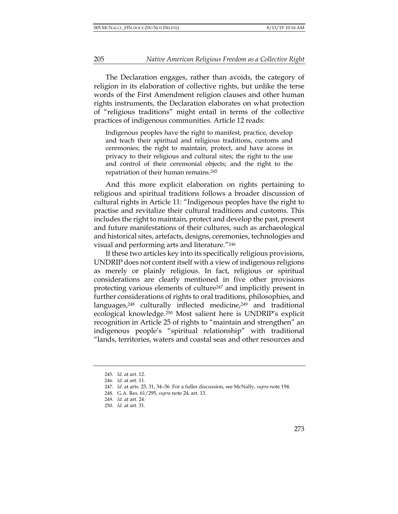The Declaration engages, rather than avoids, the category of religion in its elaboration of collective rights, but unlike the terse words of the First Amendment religion clauses and other human rights instruments, the Declaration elaborates on what protection of "religious traditions" might entail in terms of the collective practices of indigenous communities. Article 12 reads:

Indigenous peoples have the right to manifest, practice, develop and teach their spiritual and religious traditions, customs and ceremonies; the right to maintain, protect, and have access in privacy to their religious and cultural sites; the right to the use and control of their ceremonial objects; and the right to the repatriation of their human remains.245

And this more explicit elaboration on rights pertaining to religious and spiritual traditions follows a broader discussion of cultural rights in Article 11: "Indigenous peoples have the right to practise and revitalize their cultural traditions and customs. This includes the right to maintain, protect and develop the past, present and future manifestations of their cultures, such as archaeological and historical sites, artefacts, designs, ceremonies, technologies and visual and performing arts and literature."246

If these two articles key into its specifically religious provisions, UNDRIP does not content itself with a view of indigenous religions as merely or plainly religious. In fact, religious or spiritual considerations are clearly mentioned in five other provisions protecting various elements of culture247 and implicitly present in further considerations of rights to oral traditions, philosophies, and languages,<sup>248</sup> culturally inflected medicine,<sup>249</sup> and traditional ecological knowledge.250 Most salient here is UNDRIP's explicit recognition in Article 25 of rights to "maintain and strengthen" an indigenous people's "spiritual relationship" with traditional "lands, territories, waters and coastal seas and other resources and

<sup>245.</sup> *Id.* at art. 12.

<sup>246.</sup> *Id.* at art. 11.

<sup>247.</sup> *Id.* at arts. 25, 31, 34–36. For a fuller discussion, see McNally, *supra* note 194.

<sup>248.</sup> G.A. Res. 61/295, *supra* note 24, art. 13.

<sup>249.</sup> *Id.* at art. 24.

<sup>250.</sup> *Id.* at art. 31.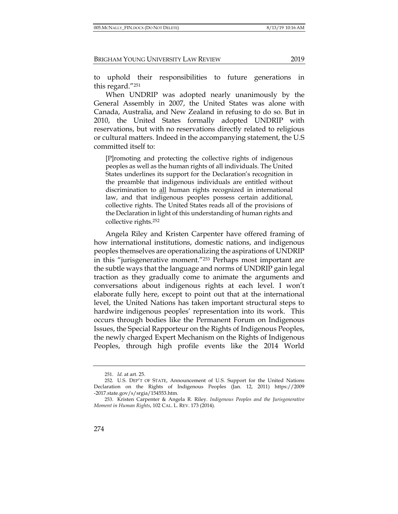to uphold their responsibilities to future generations in this regard."251

When UNDRIP was adopted nearly unanimously by the General Assembly in 2007, the United States was alone with Canada, Australia, and New Zealand in refusing to do so. But in 2010, the United States formally adopted UNDRIP with reservations, but with no reservations directly related to religious or cultural matters. Indeed in the accompanying statement, the U.S committed itself to:

[P]romoting and protecting the collective rights of indigenous peoples as well as the human rights of all individuals. The United States underlines its support for the Declaration's recognition in the preamble that indigenous individuals are entitled without discrimination to all human rights recognized in international law, and that indigenous peoples possess certain additional, collective rights. The United States reads all of the provisions of the Declaration in light of this understanding of human rights and collective rights.252

Angela Riley and Kristen Carpenter have offered framing of how international institutions, domestic nations, and indigenous peoples themselves are operationalizing the aspirations of UNDRIP in this "jurisgenerative moment."253 Perhaps most important are the subtle ways that the language and norms of UNDRIP gain legal traction as they gradually come to animate the arguments and conversations about indigenous rights at each level. I won't elaborate fully here, except to point out that at the international level, the United Nations has taken important structural steps to hardwire indigenous peoples' representation into its work. This occurs through bodies like the Permanent Forum on Indigenous Issues, the Special Rapporteur on the Rights of Indigenous Peoples, the newly charged Expert Mechanism on the Rights of Indigenous Peoples, through high profile events like the 2014 World

<sup>251.</sup> *Id.* at art. 25.

<sup>252.</sup> U.S. DEP'T OF STATE, Announcement of U.S. Support for the United Nations Declaration on the Rights of Indigenous Peoples (Jan. 12, 2011) https://2009 -2017.state.gov/s/srgia/154553.htm.

<sup>253.</sup> Kristen Carpenter & Angela R. Riley. *Indigenous Peoples and the Jurisgenerative Moment in Human Rights*, 102 CAL. L. REV. 173 (2014).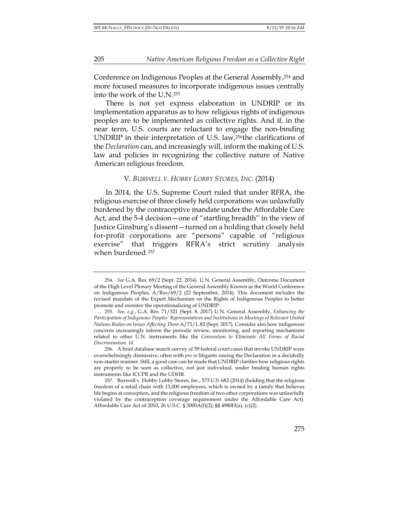Conference on Indigenous Peoples at the General Assembly,254 and more focused measures to incorporate indigenous issues centrally into the work of the U.N.255

There is not yet express elaboration in UNDRIP or its implementation apparatus as to how religious rights of indigenous peoples are to be implemented as collective rights. And if, in the near term, U.S. courts are reluctant to engage the non-binding UNDRIP in their interpretation of U.S. law,256the clarifications of the *Declaration* can, and increasingly will, inform the making of U.S. law and policies in recognizing the collective nature of Native American religious freedom.

#### V. *BURWELL V. HOBBY LOBBY STORES, INC.* (2014)

In 2014, the U.S. Supreme Court ruled that under RFRA, the religious exercise of three closely held corporations was unlawfully burdened by the contraceptive mandate under the Affordable Care Act, and the 5-4 decision—one of "startling breadth" in the view of Justice Ginsburg's dissent—turned on a holding that closely held for-profit corporations are "persons" capable of "religious exercise" that triggers RFRA's strict scrutiny analysis when burdened.257

<sup>254.</sup> *See* G.A. Res. 69/2 (Sept. 22, 2014). U.N. General Assembly, Outcome Document of the High Level Plenary Meeting of the General Assembly Known as the World Conference on Indigenous Peoples, A/Res/69/2 (22 September, 2014). This document includes the revised mandate of the Expert Mechanism on the Rights of Indigenous Peoples to better promote and monitor the operationalizing of UNDRIP.

<sup>255.</sup> *See, e.g.*, G.A. Res. 71/321 (Sept. 8, 2017) U.N. General Assembly, *Enhancing the Participation of Indigenous Peoples' Representatives and Institutions in Meetings of Relevant United Nations Bodies on Issues Affecting Them* A/71/L.82 (Sept. 2017). Consider also how indigenous concerns increasingly inform the periodic review, monitoring, and reporting mechanisms related to other U.N. instruments like the *Convention to Eliminate All Forms of Racial Discrimination*. *Id.*

<sup>256.</sup> A brief database search survey of 59 federal court cases that invoke UNDRIP were overwhelmingly dismissive, often with *pro se* litigants raising the Declaration in a decidedly non-starter manner. Still, a good case can be made that UNDRIP clarifies how religious rights are properly to be seen as collective, not just individual, under binding human rights instruments like ICCPR and the UDHR.

<sup>257.</sup> Burwell v. Hobby Lobby Stores, Inc., 573 U.S. 682 (2014) (holding that the religious freedom of a retail chain with 13,000 employees, which is owned by a family that believes life begins at conception, and the religious freedom of two other corporations was unlawfully violated by the contraception coverage requirement under the Affordable Care Act). Affordable Care Act of 2010, 26 U.S.C. § 5000A(f)(2); §§ 4980H(a), (c)(2).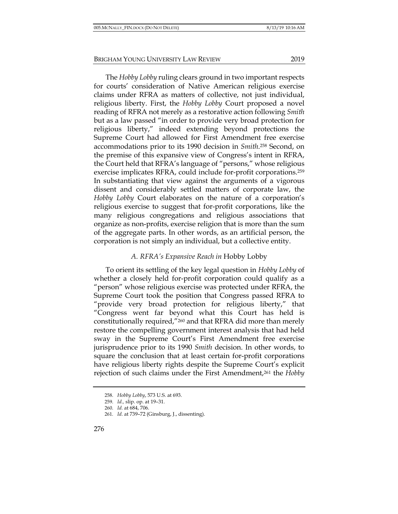The *Hobby Lobby* ruling clears ground in two important respects for courts' consideration of Native American religious exercise claims under RFRA as matters of collective, not just individual, religious liberty. First, the *Hobby Lobby* Court proposed a novel reading of RFRA not merely as a restorative action following *Smith*  but as a law passed "in order to provide very broad protection for religious liberty," indeed extending beyond protections the Supreme Court had allowed for First Amendment free exercise accommodations prior to its 1990 decision in *Smith*.258 Second, on the premise of this expansive view of Congress's intent in RFRA, the Court held that RFRA's language of "persons," whose religious exercise implicates RFRA, could include for-profit corporations.259 In substantiating that view against the arguments of a vigorous dissent and considerably settled matters of corporate law, the *Hobby Lobby* Court elaborates on the nature of a corporation's religious exercise to suggest that for-profit corporations, like the many religious congregations and religious associations that organize as non-profits, exercise religion that is more than the sum of the aggregate parts. In other words, as an artificial person, the

# *A. RFRA's Expansive Reach in* Hobby Lobby

corporation is not simply an individual, but a collective entity.

To orient its settling of the key legal question in *Hobby Lobby* of whether a closely held for-profit corporation could qualify as a "person" whose religious exercise was protected under RFRA, the Supreme Court took the position that Congress passed RFRA to "provide very broad protection for religious liberty," that "Congress went far beyond what this Court has held is constitutionally required,"260 and that RFRA did more than merely restore the compelling government interest analysis that had held sway in the Supreme Court's First Amendment free exercise jurisprudence prior to its 1990 *Smith* decision. In other words, to square the conclusion that at least certain for-profit corporations have religious liberty rights despite the Supreme Court's explicit rejection of such claims under the First Amendment,261 the *Hobby* 

<sup>258.</sup> *Hobby Lobby*, 573 U.S. at 693.

<sup>259.</sup> *Id.,* slip. op. at 19–31.

<sup>260.</sup> *Id.* at 684, 706.

<sup>261</sup>*. Id.* at 739–72 (Ginsburg, J., dissenting).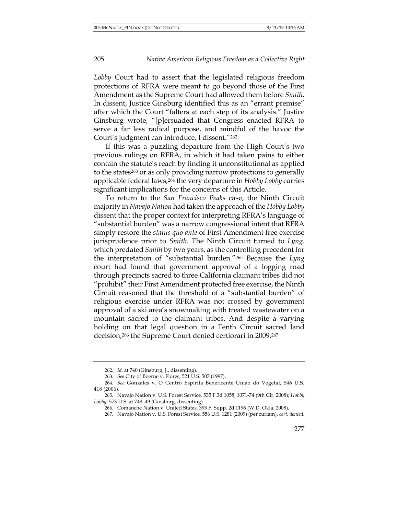*Lobby* Court had to assert that the legislated religious freedom protections of RFRA were meant to go beyond those of the First Amendment as the Supreme Court had allowed them before *Smith*. In dissent, Justice Ginsburg identified this as an "errant premise" after which the Court "falters at each step of its analysis." Justice Ginsburg wrote, "[p]ersuaded that Congress enacted RFRA to serve a far less radical purpose, and mindful of the havoc the Court's judgment can introduce, I dissent."262

If this was a puzzling departure from the High Court's two previous rulings on RFRA, in which it had taken pains to either contain the statute's reach by finding it unconstitutional as applied to the states263 or as only providing narrow protections to generally applicable federal laws*,*<sup>264</sup> the very departure in *Hobby Lobby* carries significant implications for the concerns of this Article.

To return to the *San Francisco Peaks* case, the Ninth Circuit majority in *Navajo Nation* had taken the approach of the *Hobby Lobby* dissent that the proper context for interpreting RFRA's language of "substantial burden" was a narrow congressional intent that RFRA simply restore the *status quo ante* of First Amendment free exercise jurisprudence prior to *Smith.* The Ninth Circuit turned to *Lyng,*  which predated *Smith* by two years, as the controlling precedent for the interpretation of "substantial burden."265 Because the *Lyng* court had found that government approval of a logging road through precincts sacred to three California claimant tribes did not "prohibit" their First Amendment protected free exercise, the Ninth Circuit reasoned that the threshold of a "substantial burden" of religious exercise under RFRA was not crossed by government approval of a ski area's snowmaking with treated wastewater on a mountain sacred to the claimant tribes. And despite a varying holding on that legal question in a Tenth Circuit sacred land decision,266 the Supreme Court denied certiorari in 2009.267

<sup>262.</sup> *Id.* at 740 (Ginsburg, J., dissenting).

<sup>263.</sup> *See* City of Boerne v. Flores, 521 U.S. 507 (1997).

<sup>264.</sup> *See* Gonzales v. O Centro Espirita Beneficente Uniao do Vegetal, 546 U.S. 418 (2006).

<sup>265.</sup> Navajo Nation v. U.S. Forest Service*,* 535 F.3d 1058, 1071-74 (9th Cir. 2008); *Hobby Lobby*, 573 U.S. at 748–49 (Ginsburg, dissenting).

<sup>266.</sup> Comanche Nation v. United States, 393 F. Supp. 2d 1196 (W.D. Okla. 2008).

<sup>267.</sup> Navajo Nation v. U.S. Forest Service*,* 556 U.S. 1281 (2009) (per curiam), *cert. denied*.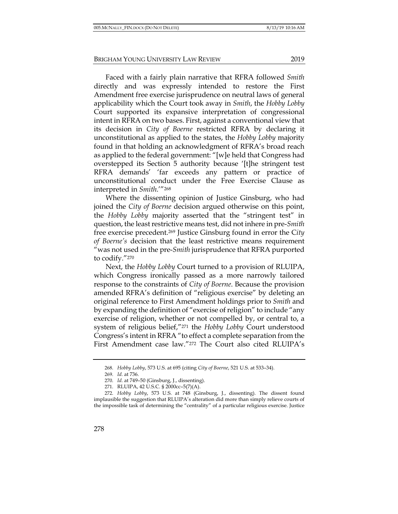Faced with a fairly plain narrative that RFRA followed *Smith*  directly and was expressly intended to restore the First Amendment free exercise jurisprudence on neutral laws of general applicability which the Court took away in *Smith*, the *Hobby Lobby*  Court supported its expansive interpretation of congressional intent in RFRA on two bases. First, against a conventional view that its decision in *City of Boerne* restricted RFRA by declaring it unconstitutional as applied to the states, the *Hobby Lobby* majority found in that holding an acknowledgment of RFRA's broad reach as applied to the federal government: "[w]e held that Congress had overstepped its Section 5 authority because '[t]he stringent test RFRA demands' 'far exceeds any pattern or practice of unconstitutional conduct under the Free Exercise Clause as interpreted in *Smith*.'"268

Where the dissenting opinion of Justice Ginsburg, who had joined the *City of Boerne* decision argued otherwise on this point, the *Hobby Lobby* majority asserted that the "stringent test" in question, the least restrictive means test, did not inhere in pre-*Smith* free exercise precedent.269 Justice Ginsburg found in error the C*ity of Boerne's* decision that the least restrictive means requirement "was not used in the pre-*Smith* jurisprudence that RFRA purported to codify."270

Next, the *Hobby Lobby* Court turned to a provision of RLUIPA, which Congress ironically passed as a more narrowly tailored response to the constraints of *City of Boerne*. Because the provision amended RFRA's definition of "religious exercise" by deleting an original reference to First Amendment holdings prior to *Smith* and by expanding the definition of "exercise of religion" to include "any exercise of religion, whether or not compelled by, or central to, a system of religious belief,"271 the *Hobby Lobby* Court understood Congress's intent in RFRA "to effect a complete separation from the First Amendment case law."<sup>272</sup> The Court also cited RLUIPA's

<sup>268.</sup> *Hobby Lobby*, 573 U.S. at 695 (citing *City of Boerne*, 521 U.S. at 533–34).

<sup>269.</sup> *Id.* at 736.

<sup>270.</sup> *Id.* at 749–50 (Ginsburg, J., dissenting).

<sup>271.</sup> RLUIPA, 42 U.S.C. § 2000cc–5(7)(A).

<sup>272.</sup> *Hobby Lobby*, 573 U.S. at 748 (Ginsburg, J., dissenting). The dissent found implausible the suggestion that RLUIPA's alteration did more than simply relieve courts of the impossible task of determining the "centrality" of a particular religious exercise. Justice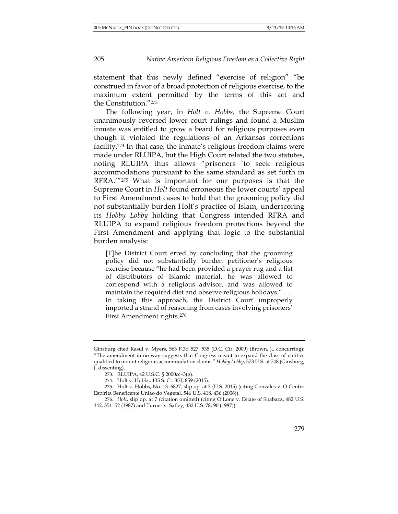statement that this newly defined "exercise of religion" "be construed in favor of a broad protection of religious exercise, to the maximum extent permitted by the terms of this act and the Constitution."273

The following year, in *Holt v. Hobbs,* the Supreme Court unanimously reversed lower court rulings and found a Muslim inmate was entitled to grow a beard for religious purposes even though it violated the regulations of an Arkansas corrections facility.274 In that case, the inmate's religious freedom claims were made under RLUIPA, but the High Court related the two statutes, noting RLUIPA thus allows "prisoners 'to seek religious accommodations pursuant to the same standard as set forth in RFRA.'"275 What is important for our purposes is that the Supreme Court in *Holt* found erroneous the lower courts' appeal to First Amendment cases to hold that the grooming policy did not substantially burden Holt's practice of Islam, underscoring its *Hobby Lobby* holding that Congress intended RFRA and RLUIPA to expand religious freedom protections beyond the First Amendment and applying that logic to the substantial burden analysis:

[T]he District Court erred by concluding that the grooming policy did not substantially burden petitioner's religious exercise because "he had been provided a prayer rug and a list of distributors of Islamic material, he was allowed to correspond with a religious advisor, and was allowed to maintain the required diet and observe religious holidays." . . . In taking this approach, the District Court improperly imported a strand of reasoning from cases involving prisoners' First Amendment rights.276

Ginsburg cited Rasul v. Myers, 563 F.3d 527, 535 (D.C. Cir. 2009) (Brown, J., concurring): "The amendment in no way suggests that Congress meant to expand the class of entities qualified to mount religious accommodation claims." *Hobby Lobby*, 573 U.S. at 748 (Ginsburg, J. dissenting).

<sup>273.</sup> RLUIPA, 42 U.S.C. § 2000cc–3(g).

<sup>274.</sup> Holt v. Hobbs, 135 S. Ct. 853, 859 (2015).

<sup>275.</sup> Holt v. Hobbs, No. 13–6827*,* slip op. at 3 (U.S. 2015) (citing Gonzales v. O Centro Espirita Beneficente Uniao do Vegetal, 546 U.S. 418, 436 (2006)).

<sup>276.</sup> *Holt*, slip op. at 7 (citation omitted) (citing O'Lone v. Estate of Shabazz, 482 U.S. 342, 351–52 (1987) and Turner v. Safley, 482 U.S. 78, 90 (1987)).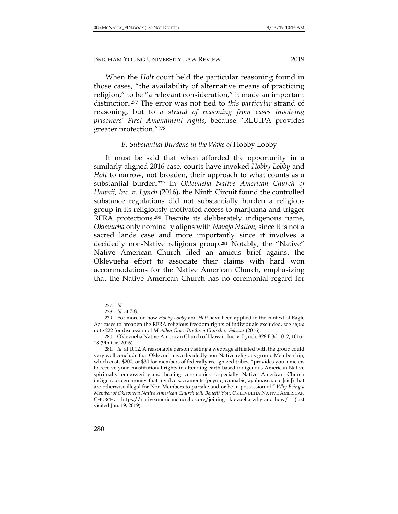When the *Holt* court held the particular reasoning found in those cases, "the availability of alternative means of practicing religion," to be "a relevant consideration," it made an important distinction.277 The error was not tied to *this particular* strand of reasoning, but to *a strand of reasoning from cases involving prisoners' First Amendment rights,* because "RLUIPA provides greater protection."278

### *B. Substantial Burdens in the Wake of* Hobby Lobby

It must be said that when afforded the opportunity in a similarly aligned 2016 case, courts have invoked *Hobby Lobby* and *Holt* to narrow, not broaden, their approach to what counts as a substantial burden.279 In *Oklevueha Native American Church of Hawaii, Inc. v. Lynch* (2016), the Ninth Circuit found the controlled substance regulations did not substantially burden a religious group in its religiously motivated access to marijuana and trigger RFRA protections.280 Despite its deliberately indigenous name, *Oklevueha* only nominally aligns with *Navajo Nation,* since it is not a sacred lands case and more importantly since it involves a decidedly non-Native religious group.281 Notably, the "Native" Native American Church filed an amicus brief against the Oklevueha effort to associate their claims with hard won accommodations for the Native American Church, emphasizing that the Native American Church has no ceremonial regard for

<sup>277.</sup> *Id.*

<sup>278.</sup> *Id.* at 7-8.

<sup>279.</sup> For more on how *Hobby Lobby* and *Holt* have been applied in the context of Eagle Act cases to broaden the RFRA religious freedom rights of individuals excluded, see *supra* note 222 for discussion of *McAllen Grace Brethren Church v. Salazar* (2016).

<sup>280.</sup> Oklevueha Native American Church of Hawaii, Inc. v. Lynch, 828 F.3d 1012**,** 1016– 18 (9th Cir. 2016).

<sup>281.</sup> *Id.* at 1012. A reasonable person visiting a webpage affiliated with the group could very well conclude that Oklevueha is a decidedly non-Native religious group. Membership, which costs \$200, or \$30 for members of federally recognized tribes, "provides you a means to receive your constitutional rights in attending earth based indigenous American Native spiritually empowering and healing ceremonies—especially Native American Church indigenous ceremonies that involve sacraments (peyote, cannabis, ayahuasca, etc [sic]) that are otherwise illegal for Non-Members to partake and or be in possession of." *Why Being a Member of Oklevueha Native American Church will Benefit You*, OKLEVUEHA NATIVE AMERICAN CHURCH, https://nativeamericanchurches.org/joining-oklevueha-why-and-how/ (last visited Jan. 19, 2019).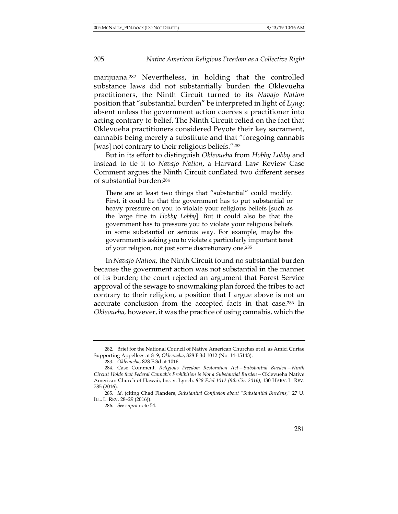marijuana.282 Nevertheless, in holding that the controlled substance laws did not substantially burden the Oklevueha practitioners, the Ninth Circuit turned to its *Navajo Nation*  position that "substantial burden" be interpreted in light of *Lyng*: absent unless the government action coerces a practitioner into acting contrary to belief. The Ninth Circuit relied on the fact that Oklevueha practitioners considered Peyote their key sacrament, cannabis being merely a substitute and that "foregoing cannabis [was] not contrary to their religious beliefs."283

But in its effort to distinguish *Oklevueha* from *Hobby Lobby* and instead to tie it to *Navajo Nation*, a Harvard Law Review Case Comment argues the Ninth Circuit conflated two different senses of substantial burden:284

There are at least two things that "substantial" could modify. First, it could be that the government has to put substantial or heavy pressure on you to violate your religious beliefs [such as the large fine in *Hobby Lobby*]. But it could also be that the government has to pressure you to violate your religious beliefs in some substantial or serious way. For example, maybe the government is asking you to violate a particularly important tenet of your religion, not just some discretionary one.285

In*Navajo Nation,* the Ninth Circuit found no substantial burden because the government action was not substantial in the manner of its burden; the court rejected an argument that Forest Service approval of the sewage to snowmaking plan forced the tribes to act contrary to their religion, a position that I argue above is not an accurate conclusion from the accepted facts in that case.286 In *Oklevueha,* however, it was the practice of using cannabis, which the

<sup>282.</sup> Brief for the National Council of Native American Churches et al. as Amici Curiae Supporting Appellees at 8–9, *Oklevueha*, 828 F.3d 1012 (No. 14-15143).

<sup>283.</sup> *Oklevueha*, 828 F.3d at 1016.

<sup>284.</sup> Case Comment, *Religious Freedom Restoration Act—Substantial Burden—Ninth Circuit Holds that Federal Cannabis Prohibition is Not a Substantial Burden—*Oklevueha Native American Church of Hawaii, Inc. v. Lynch*, 828 F.3d 1012 (9th Cir. 2016)*, 130 HARV. L. REV. 785 (2016).

<sup>285.</sup> *Id.* (citing Chad Flanders, *Substantial Confusion about "Substantial Burdens,"* 27 U. ILL. L. REV. 28–29 (2016)).

<sup>286.</sup> *See supra* note 54*.*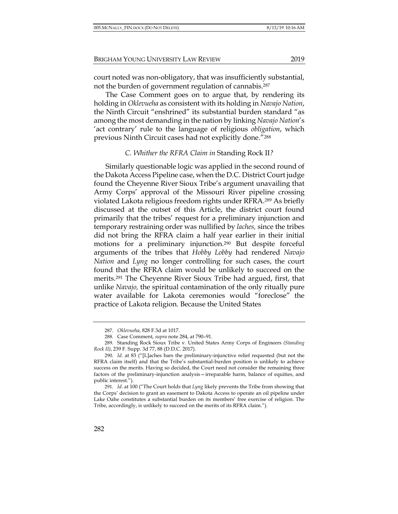court noted was non-obligatory, that was insufficiently substantial, not the burden of government regulation of cannabis.287

The Case Comment goes on to argue that, by rendering its holding in *Oklevueha* as consistent with its holding in *Navajo Nation*, the Ninth Circuit "enshrined" its substantial burden standard "as among the most demanding in the nation by linking *Navajo Nation*'s 'act contrary' rule to the language of religious *obligation*, which previous Ninth Circuit cases had not explicitly done."288

#### *C. Whither the RFRA Claim in* Standing Rock II*?*

Similarly questionable logic was applied in the second round of the Dakota Access Pipeline case, when the D.C. District Court judge found the Cheyenne River Sioux Tribe's argument unavailing that Army Corps' approval of the Missouri River pipeline crossing violated Lakota religious freedom rights under RFRA.289 As briefly discussed at the outset of this Article, the district court found primarily that the tribes' request for a preliminary injunction and temporary restraining order was nullified by *laches,* since the tribes did not bring the RFRA claim a half year earlier in their initial motions for a preliminary injunction.290 But despite forceful arguments of the tribes that *Hobby Lobby* had rendered *Navajo Nation* and *Lyng* no longer controlling for such cases, the court found that the RFRA claim would be unlikely to succeed on the merits.291 The Cheyenne River Sioux Tribe had argued, first, that unlike *Navajo,* the spiritual contamination of the only ritually pure water available for Lakota ceremonies would "foreclose" the practice of Lakota religion. Because the United States

<sup>287.</sup> *Oklevueha*, 828 F.3d at 1017.

<sup>288.</sup> Case Comment, *supra* note 284, at 790–91.

<sup>289.</sup> Standing Rock Sioux Tribe v. United States Army Corps of Engineers *(Standing Rock II)*, 239 F. Supp. 3d 77, 88 (D.D.C. 2017).

<sup>290.</sup> *Id.* at 83 ("[L]aches bars the preliminary-injunctive relief requested (but not the RFRA claim itself) and that the Tribe's substantial-burden position is unlikely to achieve success on the merits. Having so decided, the Court need not consider the remaining three factors of the preliminary-injunction analysis—irreparable harm, balance of equities, and public interest.").

<sup>291.</sup> *Id.* at 100 ("The Court holds that *Lyng* likely prevents the Tribe from showing that the Corps' decision to grant an easement to Dakota Access to operate an oil pipeline under Lake Oahe constitutes a substantial burden on its members' free exercise of religion. The Tribe, accordingly, is unlikely to succeed on the merits of its RFRA claim.").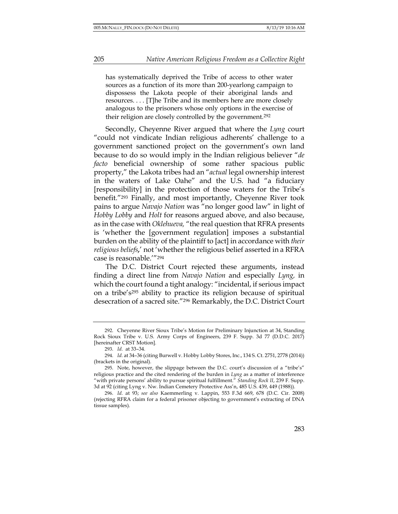has systematically deprived the Tribe of access to other water sources as a function of its more than 200-yearlong campaign to dispossess the Lakota people of their aboriginal lands and resources. . . . [T]he Tribe and its members here are more closely analogous to the prisoners whose only options in the exercise of their religion are closely controlled by the government.292

Secondly, Cheyenne River argued that where the *Lyng* court "could not vindicate Indian religious adherents' challenge to a government sanctioned project on the government's own land because to do so would imply in the Indian religious believer "*de facto* beneficial ownership of some rather spacious public property," the Lakota tribes had an "*actual* legal ownership interest in the waters of Lake Oahe" and the U.S. had "a fiduciary [responsibility] in the protection of those waters for the Tribe's benefit."293 Finally, and most importantly, Cheyenne River took pains to argue *Navajo Nation* was "no longer good law" in light of *Hobby Lobby* and *Holt* for reasons argued above, and also because, as in the case with *Oklehueva,* "the real question that RFRA presents is 'whether the [government regulation] imposes a substantial burden on the ability of the plaintiff to [act] in accordance with *their religious beliefs,*' not 'whether the religious belief asserted in a RFRA case is reasonable.'"294

The D.C. District Court rejected these arguments, instead finding a direct line from *Navajo Nation* and especially *Lyng,* in which the court found a tight analogy: "incidental, if serious impact on a tribe's295 ability to practice its religion because of spiritual desecration of a sacred site."296 Remarkably, the D.C. District Court

<sup>292.</sup> Cheyenne River Sioux Tribe's Motion for Preliminary Injunction at 34, Standing Rock Sioux Tribe v. U.S. Army Corps of Engineers, 239 F. Supp. 3d 77 (D.D.C. 2017) [hereinafter CRST Motion].

<sup>293.</sup> *Id.* at 33–34*.*

<sup>294.</sup> *Id.* at 34–36 (citing Burwell v. Hobby Lobby Stores, Inc., 134 S. Ct. 2751, 2778 (2014)) (brackets in the original).

<sup>295.</sup> Note, however, the slippage between the D.C. court's discussion of a "tribe's" religious practice and the cited rendering of the burden in *Lyng* as a matter of interference "with private persons' ability to pursue spiritual fulfillment." *Standing Rock II*, 239 F. Supp. 3d at 92 (citing Lyng v. Nw. Indian Cemetery Protective Ass'n, 485 U.S. 439, 449 (1988)).

<sup>296.</sup> *Id.* at 93; *see also* Kaemmerling v. Lappin, 553 F.3d 669, 678 (D.C. Cir. 2008) (rejecting RFRA claim for a federal prisoner objecting to government's extracting of DNA tissue samples).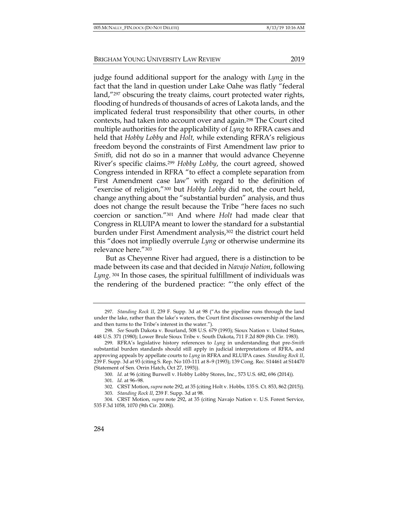judge found additional support for the analogy with *Lyng* in the fact that the land in question under Lake Oahe was flatly "federal land,"297 obscuring the treaty claims, court protected water rights, flooding of hundreds of thousands of acres of Lakota lands, and the implicated federal trust responsibility that other courts, in other contexts, had taken into account over and again.298 The Court cited multiple authorities for the applicability of *Lyng* to RFRA cases and held that *Hobby Lobby* and *Holt,* while extending RFRA's religious freedom beyond the constraints of First Amendment law prior to *Smith,* did not do so in a manner that would advance Cheyenne River's specific claims.299 *Hobby Lobby*, the court agreed, showed Congress intended in RFRA "to effect a complete separation from First Amendment case law" with regard to the definition of "exercise of religion,"300 but *Hobby Lobby* did not, the court held, change anything about the "substantial burden" analysis, and thus does not change the result because the Tribe "here faces no such coercion or sanction."301 And where *Holt* had made clear that Congress in RLUIPA meant to lower the standard for a substantial burden under First Amendment analysis,302 the district court held this "does not impliedly overrule *Lyng* or otherwise undermine its relevance here."303

But as Cheyenne River had argued, there is a distinction to be made between its case and that decided in *Navajo Nation*, following *Lyng.* <sup>304</sup> In those cases, the spiritual fulfillment of individuals was the rendering of the burdened practice: "'the only effect of the

<sup>297.</sup> *Standing Rock II*, 239 F. Supp. 3d at 98 ("As the pipeline runs through the land under the lake, rather than the lake's waters, the Court first discusses ownership of the land and then turns to the Tribe's interest in the water.").

<sup>298.</sup> *See* South Dakota v. Bourland, 508 U.S. 679 (1993); Sioux Nation v. United States, 448 U.S. 371 (1980); Lower Brule Sioux Tribe v. South Dakota, 711 F.2d 809 (8th Cir. 1983).

<sup>299.</sup> RFRA's legislative history references to *Lyng* in understanding that pre-*Smith*  substantial burden standards should still apply in judicial interpretations of RFRA, and approving appeals by appellate courts to *Lyng* in RFRA and RLUIPA cases. *Standing Rock II*, 239 F. Supp. 3d at 93 (citing S. Rep. No 103-111 at 8–9 (1993); 139 Cong. Rec. S14461 at S14470 (Statement of Sen. Orrin Hatch, Oct 27, 1993)).

<sup>300.</sup> *Id.* at 96 (citing Burwell v. Hobby Lobby Stores, Inc., 573 U.S. 682, 696 (2014)).

<sup>301.</sup> *Id.* at 96–98.

<sup>302.</sup> CRST Motion, *supra* note 292, at 35 (citing Holt v. Hobbs*,* 135 S. Ct. 853, 862 (2015)).

<sup>303.</sup> *Standing Rock II*, 239 F. Supp. 3d at 98.

<sup>304.</sup> CRST Motion, *supra* note 292, at 35 (citing Navajo Nation v. U.S. Forest Service, 535 F.3d 1058, 1070 (9th Cir. 2008)).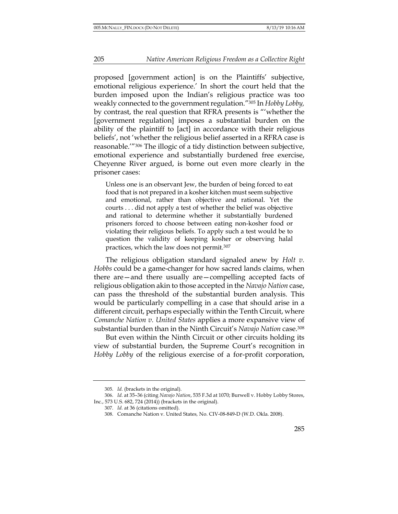proposed [government action] is on the Plaintiffs' subjective, emotional religious experience.' In short the court held that the burden imposed upon the Indian's religious practice was too weakly connected to the government regulation."305 In *Hobby Lobby,*  by contrast, the real question that RFRA presents is "'whether the [government regulation] imposes a substantial burden on the ability of the plaintiff to [act] in accordance with their religious beliefs', not 'whether the religious belief asserted in a RFRA case is reasonable.'"306 The illogic of a tidy distinction between subjective, emotional experience and substantially burdened free exercise, Cheyenne River argued, is borne out even more clearly in the prisoner cases:

Unless one is an observant Jew, the burden of being forced to eat food that is not prepared in a kosher kitchen must seem subjective and emotional, rather than objective and rational. Yet the courts . . . did not apply a test of whether the belief was objective and rational to determine whether it substantially burdened prisoners forced to choose between eating non-kosher food or violating their religious beliefs. To apply such a test would be to question the validity of keeping kosher or observing halal practices, which the law does not permit.307

The religious obligation standard signaled anew by *Holt v. Hobbs* could be a game-changer for how sacred lands claims, when there are—and there usually are—compelling accepted facts of religious obligation akin to those accepted in the *Navajo Nation* case, can pass the threshold of the substantial burden analysis. This would be particularly compelling in a case that should arise in a different circuit, perhaps especially within the Tenth Circuit, where *Comanche Nation v. United States* applies a more expansive view of substantial burden than in the Ninth Circuit's *Navajo Nation* case.308

But even within the Ninth Circuit or other circuits holding its view of substantial burden, the Supreme Court's recognition in *Hobby Lobby* of the religious exercise of a for-profit corporation,

<sup>305.</sup> *Id.* (brackets in the original).

<sup>306.</sup> *Id.* at 35–36 (citing *Navajo Nation*, 535 F.3d at 1070; Burwell v. Hobby Lobby Stores, Inc., 573 U.S. 682, 724 (2014)) (brackets in the original).

<sup>307.</sup> *Id.* at 36 (citations omitted).

<sup>308.</sup> Comanche Nation v. United States*,* No. CIV-08-849-D (W.D. Okla. 2008).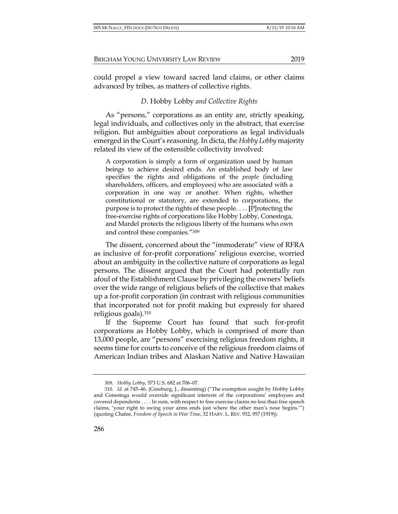could propel a view toward sacred land claims, or other claims advanced by tribes, as matters of collective rights.

## *D.* Hobby Lobby *and Collective Rights*

As "persons," corporations as an entity are, strictly speaking, legal individuals, and collectives only in the abstract, that exercise religion. But ambiguities about corporations as legal individuals emerged in the Court's reasoning. In dicta, the *Hobby Lobby* majority related its view of the ostensible collectivity involved:

A corporation is simply a form of organization used by human beings to achieve desired ends. An established body of law specifies the rights and obligations of the *people* (including shareholders, officers, and employees) who are associated with a corporation in one way or another. When rights, whether constitutional or statutory, are extended to corporations, the purpose is to protect the rights of these people. . . . **[**P]rotecting the free-exercise rights of corporations like Hobby Lobby, Conestoga, and Mardel protects the religious liberty of the humans who own and control these companies."309

The dissent, concerned about the "immoderate" view of RFRA as inclusive of for-profit corporations' religious exercise, worried about an ambiguity in the collective nature of corporations as legal persons. The dissent argued that the Court had potentially run afoul of the Establishment Clause by privileging the owners' beliefs over the wide range of religious beliefs of the collective that makes up a for-profit corporation (in contrast with religious communities that incorporated not for profit making but expressly for shared religious goals).310

If the Supreme Court has found that such for-profit corporations as Hobby Lobby, which is comprised of more than 13,000 people, are "persons" exercising religious freedom rights, it seems time for courts to conceive of the religious freedom claims of American Indian tribes and Alaskan Native and Native Hawaiian

286

<sup>309.</sup> *Hobby Lobby*, 573 U.S. 682 at 706–07.

<sup>310.</sup> *Id.* at 745–46*.* (Ginsburg, J., dissenting) ("The exemption sought by Hobby Lobby and Conestoga would override significant interests of the corporations' employees and covered dependents . . . . In sum, with respect to free exercise claims no less than free speech claims, 'your right to swing your arms ends just where the other man's nose begins.'") (quoting Chafee, *Freedom of Speech in War Time*, 32 HARV. L. REV. 932, 957 (1919)).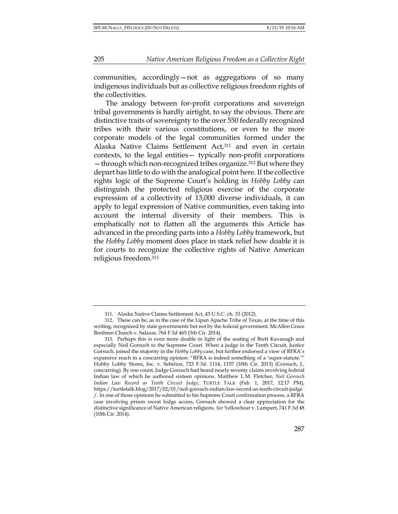communities, accordingly—not as aggregations of so many indigenous individuals but as collective religious freedom rights of the collectivities.

The analogy between for-profit corporations and sovereign tribal governments is hardly airtight, to say the obvious. There are distinctive traits of sovereignty to the over 550 federally recognized tribes with their various constitutions, or even to the more corporate models of the legal communities formed under the Alaska Native Claims Settlement Act,311 and even in certain contexts, to the legal entities— typically non-profit corporations —through which non-recognized tribes organize.312 But where they depart has little to do with the analogical point here. If the collective rights logic of the Supreme Court's holding in *Hobby Lobby* can distinguish the protected religious exercise of the corporate expression of a collectivity of 13,000 diverse individuals, it can apply to legal expression of Native communities, even taking into account the internal diversity of their members. This is emphatically not to flatten all the arguments this Article has advanced in the preceding parts into a *Hobby Lobby* framework, but the *Hobby Lobby* moment does place in stark relief how doable it is for courts to recognize the collective rights of Native American religious freedom.313

<sup>311.</sup> Alaska Native Claims Settlement Act, 43 U.S.C. ch. 33 (2012).

<sup>312.</sup> These can be, as in the case of the Lipan Apache Tribe of Texas, at the time of this writing, recognized by state governments but not by the federal government. McAllen Grace Brethren Church v. Salazar, 764 F.3d 465 (5th Cir. 2014).

<sup>313.</sup> Perhaps this is even more doable in light of the seating of Brett Kavanagh and especially Neil Gorsuch to the Supreme Court. When a judge in the Tenth Circuit, Justice Gorsuch, joined the majority in the *Hobby Lobby* case, but further endorsed a view of RFRA's expansive reach in a concurring opinion: "RFRA is indeed something of a 'super-statute.'" Hobby Lobby Stores, Inc. v. Sebelius, 723 F.3d. 1114, 1157 (10th Cir. 2013) (Gorsuch, J., concurring). By one count, Judge Gorsuch had heard nearly seventy claims involving federal Indian law of which he authored sixteen opinions. Matthew L.M. Fletcher, *Neil Gorsuch Indian Law Record as Tenth Circuit Judge*, TURTLE TALK (Feb. 1, 2017, 12:17 PM), https://turtletalk.blog/2017/02/01/neil-gorsuch-indian-law-record-as-tenth-circuit-judge /. In one of those opinions he submitted to his Supreme Court confirmation process, a RFRA case involving prison sweat lodge access, Gorsuch showed a clear appreciation for the distinctive significance of Native American religions. *See* Yellowbear v. Lampert, 741 F.3d 48 (10th Cir. 2014).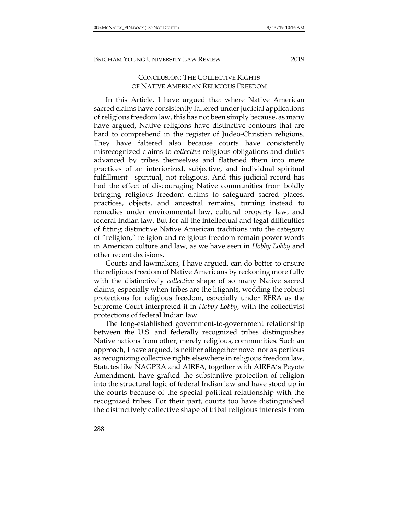## CONCLUSION: THE COLLECTIVE RIGHTS OF NATIVE AMERICAN RELIGIOUS FREEDOM

In this Article, I have argued that where Native American sacred claims have consistently faltered under judicial applications of religious freedom law, this has not been simply because, as many have argued, Native religions have distinctive contours that are hard to comprehend in the register of Judeo-Christian religions. They have faltered also because courts have consistently misrecognized claims to *collective* religious obligations and duties advanced by tribes themselves and flattened them into mere practices of an interiorized, subjective, and individual spiritual fulfillment—spiritual, not religious. And this judicial record has had the effect of discouraging Native communities from boldly bringing religious freedom claims to safeguard sacred places, practices, objects, and ancestral remains, turning instead to remedies under environmental law, cultural property law, and federal Indian law. But for all the intellectual and legal difficulties of fitting distinctive Native American traditions into the category of "religion," religion and religious freedom remain power words in American culture and law, as we have seen in *Hobby Lobby* and other recent decisions.

Courts and lawmakers, I have argued, can do better to ensure the religious freedom of Native Americans by reckoning more fully with the distinctively *collective* shape of so many Native sacred claims, especially when tribes are the litigants, wedding the robust protections for religious freedom, especially under RFRA as the Supreme Court interpreted it in *Hobby Lobby*, with the collectivist protections of federal Indian law.

The long-established government-to-government relationship between the U.S. and federally recognized tribes distinguishes Native nations from other, merely religious, communities. Such an approach, I have argued, is neither altogether novel nor as perilous as recognizing collective rights elsewhere in religious freedom law. Statutes like NAGPRA and AIRFA, together with AIRFA's Peyote Amendment, have grafted the substantive protection of religion into the structural logic of federal Indian law and have stood up in the courts because of the special political relationship with the recognized tribes. For their part, courts too have distinguished the distinctively collective shape of tribal religious interests from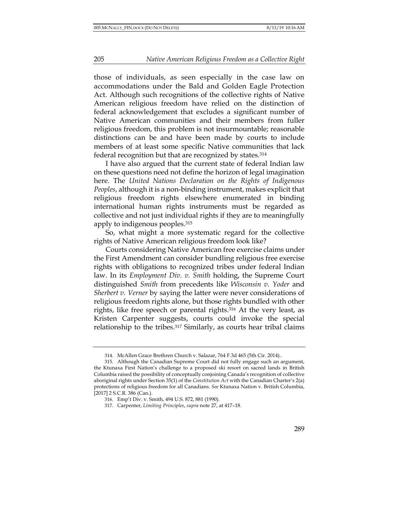those of individuals, as seen especially in the case law on accommodations under the Bald and Golden Eagle Protection Act. Although such recognitions of the collective rights of Native American religious freedom have relied on the distinction of federal acknowledgement that excludes a significant number of Native American communities and their members from fuller religious freedom, this problem is not insurmountable; reasonable distinctions can be and have been made by courts to include members of at least some specific Native communities that lack federal recognition but that are recognized by states.314

I have also argued that the current state of federal Indian law on these questions need not define the horizon of legal imagination here. The *United Nations Declaration on the Rights of Indigenous Peoples*, although it is a non-binding instrument, makes explicit that religious freedom rights elsewhere enumerated in binding international human rights instruments must be regarded as collective and not just individual rights if they are to meaningfully apply to indigenous peoples.315

So, what might a more systematic regard for the collective rights of Native American religious freedom look like?

Courts considering Native American free exercise claims under the First Amendment can consider bundling religious free exercise rights with obligations to recognized tribes under federal Indian law. In its *Employment Div. v. Smith* holding, the Supreme Court distinguished *Smith* from precedents like *Wisconsin v. Yoder* and *Sherbert v. Verner* by saying the latter were never considerations of religious freedom rights alone, but those rights bundled with other rights, like free speech or parental rights.316 At the very least, as Kristen Carpenter suggests, courts could invoke the special relationship to the tribes.317 Similarly, as courts hear tribal claims

<sup>314.</sup> McAllen Grace Brethren Church v. Salazar, 764 F.3d 465 (5th Cir. 2014).*.*

<sup>315.</sup> Although the Canadian Supreme Court did not fully engage such an argument, the Ktunaxa First Nation's challenge to a proposed ski resort on sacred lands in British Columbia raised the possibility of conceptually conjoining Canada's recognition of collective aboriginal rights under Section 35(1) of the *Constitution Act* with the Canadian Charter's 2(a) protections of religious freedom for all Canadians. *See* Ktunaxa Nation v. British Columbia, [2017] 2 S.C.R. 386 (Can.).

<sup>316.</sup> Emp't Div. v. Smith, 494 U.S. 872, 881 (1990).

<sup>317.</sup> Carpenter, *Limiting Principles*, *supra* note 27, at 417–18.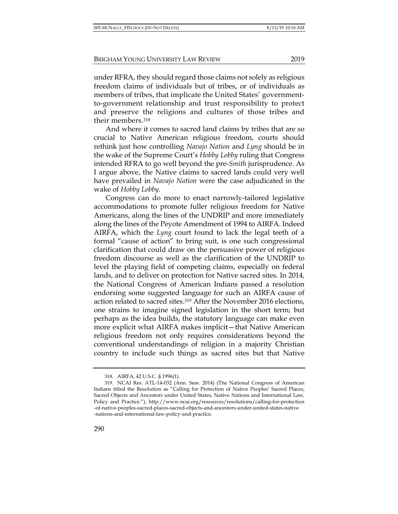under RFRA, they should regard those claims not solely as religious freedom claims of individuals but of tribes, or of individuals as members of tribes, that implicate the United States' governmentto-government relationship and trust responsibility to protect and preserve the religions and cultures of those tribes and their members.318

And where it comes to sacred land claims by tribes that are so crucial to Native American religious freedom, courts should rethink just how controlling *Navajo Nation* and *Lyng* should be in the wake of the Supreme Court's *Hobby Lobby* ruling that Congress intended RFRA to go well beyond the pre-*Smith* jurisprudence. As I argue above, the Native claims to sacred lands could very well have prevailed in *Navajo Nation* were the case adjudicated in the wake of *Hobby Lobby*.

Congress can do more to enact narrowly-tailored legislative accommodations to promote fuller religious freedom for Native Americans, along the lines of the UNDRIP and more immediately along the lines of the Peyote Amendment of 1994 to AIRFA. Indeed AIRFA, which the *Lyng* court found to lack the legal teeth of a formal "cause of action" to bring suit, is one such congressional clarification that could draw on the persuasive power of religious freedom discourse as well as the clarification of the UNDRIP to level the playing field of competing claims, especially on federal lands, and to deliver on protection for Native sacred sites. In 2014, the National Congress of American Indians passed a resolution endorsing some suggested language for such an AIRFA cause of action related to sacred sites.319 After the November 2016 elections, one strains to imagine signed legislation in the short term; but perhaps as the idea builds, the statutory language can make even more explicit what AIRFA makes implicit—that Native American religious freedom not only requires considerations beyond the conventional understandings of religion in a majority Christian country to include such things as sacred sites but that Native

<sup>318.</sup> AIRFA, 42 U.S.C. § 1996(1).

<sup>319.</sup> NCAI Res. ATL-14-032 (Ann. Sess. 2014) (The National Congress of American Indians titled the Resolution as "Calling for Protection of Native Peoples' Sacred Places, Sacred Objects and Ancestors under United States, Native Nations and International Law, Policy and Practice."), http://www.ncai.org/resources/resolutions/calling-for-protection -of-native-peoples-sacred-places-sacred-objects-and-ancestors-under-united-states-native -nations-and-international-law-policy-and-practice.